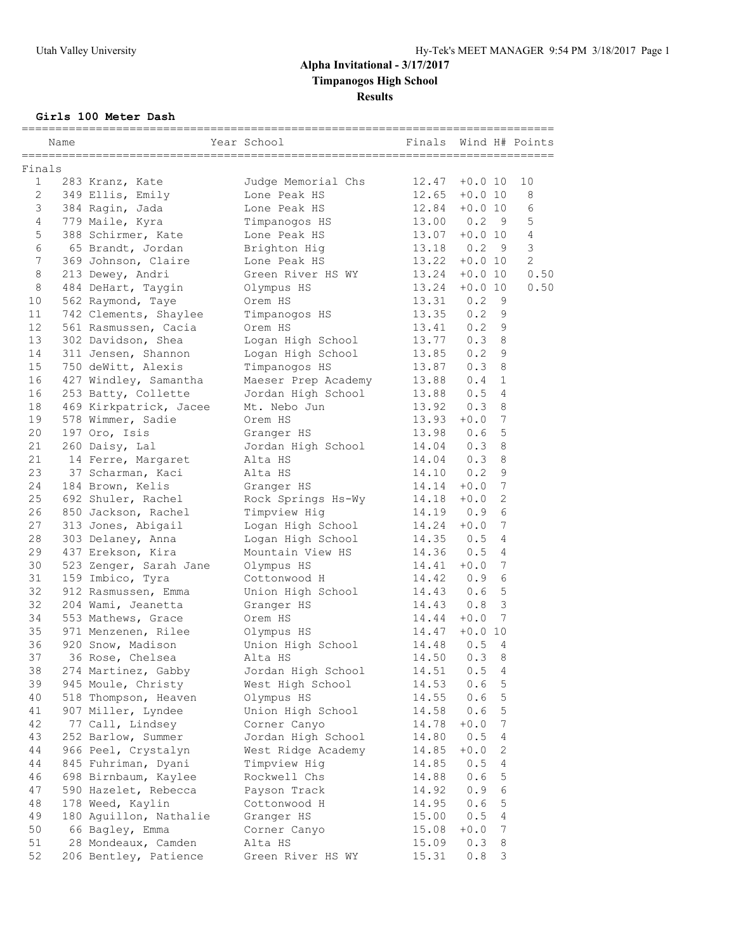### **Girls 100 Meter Dash**

|              | Name |                        | Year School         | Finals           |           |                 | ;======================<br>Wind H# Points |
|--------------|------|------------------------|---------------------|------------------|-----------|-----------------|-------------------------------------------|
| Finals       |      |                        |                     |                  |           |                 |                                           |
| $\mathbf{1}$ |      | 283 Kranz, Kate        | Judge Memorial Chs  | $12.47 + 0.010$  |           |                 | 10                                        |
| 2            |      | 349 Ellis, Emily       | Lone Peak HS        | $12.65 + 0.0 10$ |           |                 | 8                                         |
| 3            |      | 384 Ragin, Jada        | Lone Peak HS        | 12.84            | $+0.0 10$ |                 | 6                                         |
| 4            |      | 779 Maile, Kyra        | Timpanogos HS       | 13.00            | 0.2       | - 9             | $\mathsf S$                               |
| 5            |      | 388 Schirmer, Kate     | Lone Peak HS        | 13.07            | $+0.0$ 10 |                 | 4                                         |
| 6            |      | 65 Brandt, Jordan      | Brighton Hig        | 13.18 0.2        |           | 9               | $\mathfrak{Z}$                            |
| 7            |      | 369 Johnson, Claire    | Lone Peak HS        | 13.22            | $+0.0 10$ |                 | $\overline{c}$                            |
| 8            |      | 213 Dewey, Andri       | Green River HS WY   | 13.24            | $+0.0$ 10 |                 | 0.50                                      |
| 8            |      | 484 DeHart, Taygin     | Olympus HS          | 13.24            | $+0.0 10$ |                 | 0.50                                      |
| 10           |      | 562 Raymond, Taye      | Orem HS             | 13.31            | 0.2       | 9               |                                           |
| 11           |      | 742 Clements, Shaylee  | Timpanogos HS       | 13.35            | 0.2       | 9               |                                           |
| 12           |      | 561 Rasmussen, Cacia   | Orem HS             | 13.41            | 0.2       | $\overline{9}$  |                                           |
| 13           |      | 302 Davidson, Shea     | Logan High School   | 13.77            | 0.38      |                 |                                           |
| 14           |      | 311 Jensen, Shannon    | Logan High School   | 13.85            | $0.2$ 9   |                 |                                           |
| 15           |      | 750 deWitt, Alexis     | Timpanogos HS       | 13.87            | 0.3       | 8               |                                           |
| 16           |      | 427 Windley, Samantha  | Maeser Prep Academy | 13.88            | 0.4       | $\mathbf{1}$    |                                           |
| 16           |      | 253 Batty, Collette    | Jordan High School  | 13.88            | 0.5       | 4               |                                           |
| 18           |      | 469 Kirkpatrick, Jacee | Mt. Nebo Jun        | 13.92            | 0.3       | 8               |                                           |
| 19           |      | 578 Wimmer, Sadie      | Orem HS             | 13.93            | $+0.0$    | 7               |                                           |
| 20           |      | 197 Oro, Isis          | Granger HS          | 13.98 0.6        |           | 5               |                                           |
| 21           |      | 260 Daisy, Lal         | Jordan High School  | 14.04            | 0.3       | 8               |                                           |
| 21           |      | 14 Ferre, Margaret     | Alta HS             | 14.04            | 0.3       | 8               |                                           |
| 23           |      | 37 Scharman, Kaci      | Alta HS             | 14.10            | 0.2       | 9               |                                           |
| 24           |      | 184 Brown, Kelis       | Granger HS          | 14.14            | $+0.0$    | 7               |                                           |
| 25           |      | 692 Shuler, Rachel     | Rock Springs Hs-Wy  | $14.18 + 0.0$    |           | $\sqrt{2}$      |                                           |
| 26           |      | 850 Jackson, Rachel    | Timpview Hig        | 14.19 0.9        |           | $6\overline{6}$ |                                           |
| 27           |      | 313 Jones, Abigail     | Logan High School   | 14.24            | $+0.0$    | 7               |                                           |
| 28           |      | 303 Delaney, Anna      | Logan High School   | $14.35$ 0.5      |           | $\overline{4}$  |                                           |
| 29           |      | 437 Erekson, Kira      | Mountain View HS    | 14.36            | 0.5       | $\overline{4}$  |                                           |
| 30           |      | 523 Zenger, Sarah Jane | Olympus HS          | 14.41            | $+0.0$    | $7\phantom{.0}$ |                                           |
| 31           |      | 159 Imbico, Tyra       | Cottonwood H        | 14.42            | 0.9       | 6               |                                           |
| 32           |      | 912 Rasmussen, Emma    | Union High School   | 14.43            | 0.6       | 5               |                                           |
| 32           |      | 204 Wami, Jeanetta     | Granger HS          | 14.43            | 0.8       | 3               |                                           |
| 34           |      | 553 Mathews, Grace     | Orem HS             | 14.44            | $+0.0$    | 7               |                                           |
| 35           |      | 971 Menzenen, Rilee    | Olympus HS          | 14.47            | $+0.0 10$ |                 |                                           |
| 36           |      | 920 Snow, Madison      | Union High School   | 14.48            | 0.5       | 4               |                                           |
| 37           |      | 36 Rose, Chelsea       | Alta HS             | 14.50            | 0.3       | 8               |                                           |
| 38           |      | 274 Martinez, Gabby    | Jordan High School  | 14.51            | 0.5       | 4               |                                           |
| 39           |      | 945 Moule, Christy     | West High School    | 14.53            | 0.6       | $\mathsf S$     |                                           |
| 40           |      | 518 Thompson, Heaven   | Olympus HS          | 14.55            | 0.6       | 5               |                                           |
| 41           |      | 907 Miller, Lyndee     | Union High School   | 14.58            | 0.6       | 5               |                                           |
| 42           |      | 77 Call, Lindsey       | Corner Canyo        | 14.78            | $+0.0$    | 7               |                                           |
| 43           |      | 252 Barlow, Summer     | Jordan High School  | 14.80            | 0.5       | 4               |                                           |
| 44           |      | 966 Peel, Crystalyn    | West Ridge Academy  | 14.85            | $+0.0$    | $\mathbf{2}$    |                                           |
| 44           |      | 845 Fuhriman, Dyani    | Timpview Hig        | 14.85            | 0.5       | 4               |                                           |
| 46           |      | 698 Birnbaum, Kaylee   | Rockwell Chs        | 14.88            | 0.6       | 5               |                                           |
| 47           |      | 590 Hazelet, Rebecca   | Payson Track        | 14.92            | 0.9       | 6               |                                           |
| 48           |      | 178 Weed, Kaylin       | Cottonwood H        | 14.95            | 0.6       | $\mathsf S$     |                                           |
| 49           |      | 180 Aguillon, Nathalie | Granger HS          | 15.00            | 0.5       | 4               |                                           |
| 50           |      | 66 Bagley, Emma        | Corner Canyo        | 15.08            | $+0.0$    | 7               |                                           |
| 51           |      | 28 Mondeaux, Camden    | Alta HS             | 15.09            | 0.3       | 8               |                                           |
| 52           |      | 206 Bentley, Patience  | Green River HS WY   | 15.31            | 0.8       | 3               |                                           |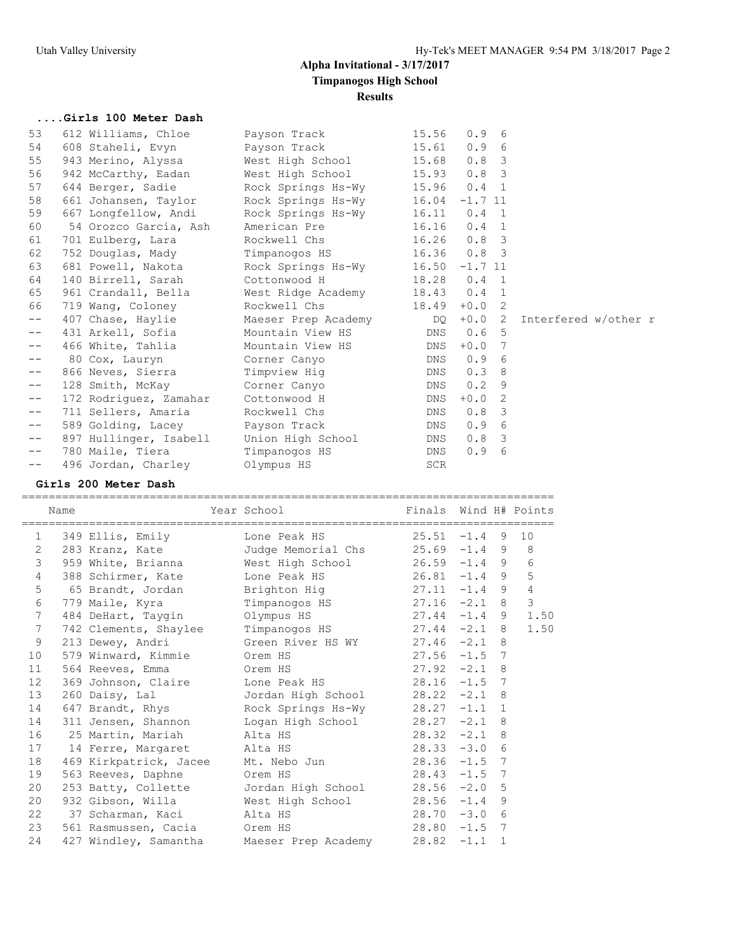## **....Girls 100 Meter Dash**

| 53                | 612 Williams, Chloe    | Payson Track        | 15.56          | 0.96                           |                      |
|-------------------|------------------------|---------------------|----------------|--------------------------------|----------------------|
| 54                | 608 Staheli, Evyn      | Payson Track        | 15.61          | 0.9<br>- 6                     |                      |
| 55                | 943 Merino, Alyssa     | West High School    | 15.68          | 0.8<br>$\overline{\mathbf{3}}$ |                      |
| 56                | 942 McCarthy, Eadan    | West High School    | 15.93          | 0.8 <sup>3</sup>               |                      |
| 57                | 644 Berger, Sadie      | Rock Springs Hs-Wy  | 15.96          | $0.4 \quad 1$                  |                      |
| 58                | 661 Johansen, Taylor   | Rock Springs Hs-Wy  | 16.04          | $-1.7$ 11                      |                      |
| 59                | 667 Longfellow, Andi   | Rock Springs Hs-Wy  |                | $16.11$ 0.4 1                  |                      |
| 60                | 54 Orozco Garcia, Ash  | American Pre        | 16.16          | 0.4<br>$\mathbf{1}$            |                      |
| 61                | 701 Eulberg, Lara      | Rockwell Chs        | 16.26          | $0.8 \quad 3$                  |                      |
| 62                | 752 Douglas, Mady      | Timpanogos HS       |                | $16.36$ $0.8$ 3                |                      |
| 63                | 681 Powell, Nakota     | Rock Springs Hs-Wy  | 16.50          | $-1.7$ 11                      |                      |
| 64                | 140 Birrell, Sarah     | Cottonwood H        |                | 18.28  0.4  1                  |                      |
| 65                | 961 Crandall, Bella    | West Ridge Academy  | $18.43 \t 0.4$ | $\overline{1}$                 |                      |
| 66                | 719 Wang, Coloney      | Rockwell Chs        | 18.49          | $+0.0$<br>- 2                  |                      |
| $- -$             | 407 Chase, Haylie      | Maeser Prep Academy | DO DO          | $+0.0$ 2                       | Interfered w/other r |
| $- -$             | 431 Arkell, Sofia      | Mountain View HS    | DNS            | 0.6<br>- 5                     |                      |
| $- -$             | 466 White, Tahlia      | Mountain View HS    | DNS            | $+0.0$<br>7                    |                      |
| $\qquad \qquad -$ | 80 Cox, Lauryn         | Corner Canyo        | DNS            | 0.9<br>- 6                     |                      |
| $- -$             | 866 Neves, Sierra      | Timpview Hig        | DNS            | 0.3<br>- 8                     |                      |
| $- -$             | 128 Smith, McKay       | Corner Canyo        | DNS            | 0.2<br>9                       |                      |
| $- -$             | 172 Rodriguez, Zamahar | Cottonwood H        | DNS            | $+0.0$<br>2                    |                      |
| $- -$             | 711 Sellers, Amaria    | Rockwell Chs        | DNS            | 0.8<br>- 3                     |                      |
| $- -$             | 589 Golding, Lacey     | Payson Track        | DNS            | 0.9<br>- 6                     |                      |
| $- -$             | 897 Hullinger, Isabell | Union High School   | DNS            | 0.8<br>$\overline{\mathbf{3}}$ |                      |
| $- -$             | 780 Maile, Tiera       | Timpanogos HS       | DNS            | 0.9<br>6                       |                      |
| $- -$             | 496 Jordan, Charley    | Olympus HS          | SCR            |                                |                      |
|                   |                        |                     |                |                                |                      |

### **Girls 200 Meter Dash**

=============================================================================== Name Year School Finals Wind H# Points

|                 | name      |                              | rear school                                                                                 | Finais          |  | Wind H# POINTS |
|-----------------|-----------|------------------------------|---------------------------------------------------------------------------------------------|-----------------|--|----------------|
|                 | $1 \quad$ |                              | 349 Ellis, Emily Lone Peak HS 25.51 -1.4 9 10                                               |                 |  |                |
| $\overline{2}$  |           |                              | 283 Kranz, Kate Judge Memorial Chs 25.69 -1.4 9 8                                           |                 |  |                |
| 3               |           |                              | 959 White, Brianna West High School 26.59 -1.4 9 6                                          |                 |  |                |
| $\overline{4}$  |           |                              | 388 Schirmer, Kate Lone Peak HS 26.81 -1.4 9 5                                              |                 |  |                |
| 5               |           |                              | 65 Brandt, Jordan Brighton Hig 27.11 -1.4 9 4                                               |                 |  |                |
| 6               |           |                              | 779 Maile, Kyra Timpanogos HS 27.16 -2.1 8                                                  |                 |  | $\mathcal{S}$  |
| 7               |           |                              | 484 DeHart, Taygin Clympus HS 27.44 -1.4 9 1.50                                             |                 |  |                |
| 7               |           |                              | 742 Clements, Shaylee Timpanogos HS 27.44 -2.1 8                                            |                 |  | 1.50           |
| 9               |           |                              | 213 Dewey, Andri Green River HS WY 27.46 -2.1 8                                             |                 |  |                |
| 10              |           |                              | 579 Winward, Kimmie Crem HS 27.56 -1.5 7<br>564 Reeves, Emma Crem HS 27.92 -2.1 8           |                 |  |                |
| 11              |           |                              |                                                                                             |                 |  |                |
| 12 <sup>°</sup> |           |                              | 369 Johnson, Claire Lone Peak HS 28.16 -1.5 7                                               |                 |  |                |
| 13              |           |                              | 260 Daisy, Lal Mordan High School 28.22 -2.1 8                                              |                 |  |                |
| 14              |           |                              | 647 Brandt, Rhys Rock Springs Hs-Wy 28.27 -1.1 1                                            |                 |  |                |
| 14              |           |                              | 311 Jensen, Shannon Logan High School 28.27 -2.1 8                                          |                 |  |                |
|                 |           |                              |                                                                                             |                 |  |                |
|                 |           |                              | 16 25 Martin, Mariah alta HS (28.32 -2.1 8)<br>17 14 Ferre, Margaret alta HS (28.33 -3.0 6) |                 |  |                |
| 18              |           |                              | 469 Kirkpatrick, Jacee Mt. Nebo Jun 28.36 -1.5 7                                            |                 |  |                |
| 19              |           |                              | 563 Reeves, Daphne Orem HS 28.43 -1.5 7                                                     |                 |  |                |
| 20              |           |                              | 253 Batty, Collette Jordan High School 28.56 -2.0 5                                         |                 |  |                |
| 20              |           |                              | 932 Gibson, Willa Mest High School 28.56 -1.4 9                                             |                 |  |                |
|                 |           | 22 37 Scharman, Kaci alta HS |                                                                                             | $28.70 - 3.0$ 6 |  |                |
| 23              |           | 561 Rasmussen, Cacia Orem HS |                                                                                             | $28.80 -1.5$ 7  |  |                |
| 24              |           |                              | 427 Windley, Samantha Maeser Prep Academy 28.82 -1.1 1                                      |                 |  |                |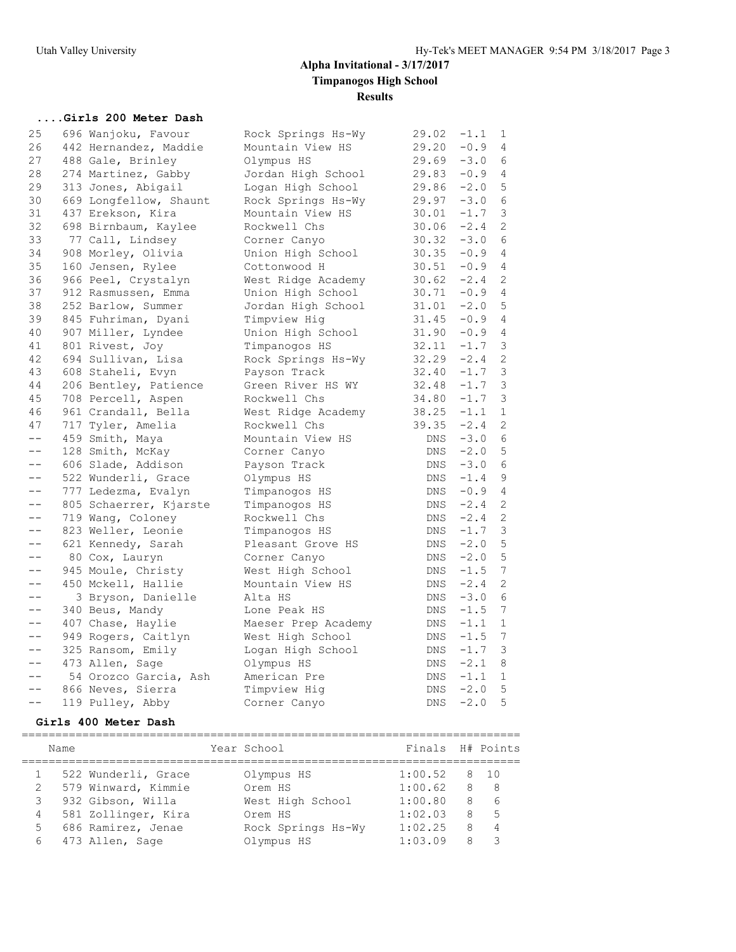### **....Girls 200 Meter Dash**

| 25                | 696 Wanjoku, Favour    | Rock Springs Hs-Wy  | 29.02 | $-1.1$ | 1              |
|-------------------|------------------------|---------------------|-------|--------|----------------|
| 26                | 442 Hernandez, Maddie  | Mountain View HS    | 29.20 | $-0.9$ | 4              |
| 27                | 488 Gale, Brinley      | Olympus HS          | 29.69 | $-3.0$ | 6              |
| 28                | 274 Martinez, Gabby    | Jordan High School  | 29.83 | $-0.9$ | 4              |
| 29                | 313 Jones, Abigail     | Logan High School   | 29.86 | $-2.0$ | 5              |
| 30                | 669 Longfellow, Shaunt | Rock Springs Hs-Wy  | 29.97 | $-3.0$ | 6              |
| 31                | 437 Erekson, Kira      | Mountain View HS    | 30.01 | $-1.7$ | 3              |
| 32                | 698 Birnbaum, Kaylee   | Rockwell Chs        | 30.06 | $-2.4$ | 2              |
| 33                | 77 Call, Lindsey       | Corner Canyo        | 30.32 | $-3.0$ | 6              |
| 34                | 908 Morley, Olivia     | Union High School   | 30.35 | $-0.9$ | $\overline{4}$ |
| 35                | 160 Jensen, Rylee      | Cottonwood H        | 30.51 | $-0.9$ | 4              |
| 36                | 966 Peel, Crystalyn    | West Ridge Academy  | 30.62 | $-2.4$ | 2              |
| 37                | 912 Rasmussen, Emma    | Union High School   | 30.71 | $-0.9$ | $\overline{4}$ |
| 38                | 252 Barlow, Summer     | Jordan High School  | 31.01 | $-2.0$ | $\mathsf S$    |
| 39                | 845 Fuhriman, Dyani    | Timpview Hig        | 31.45 | $-0.9$ | 4              |
| 40                | 907 Miller, Lyndee     | Union High School   | 31.90 | $-0.9$ | 4              |
| 41                | 801 Rivest, Joy        | Timpanogos HS       | 32.11 | $-1.7$ | 3              |
| 42                | 694 Sullivan, Lisa     | Rock Springs Hs-Wy  | 32.29 | $-2.4$ | 2              |
| 43                | 608 Staheli, Evyn      | Payson Track        | 32.40 | $-1.7$ | $\mathfrak{Z}$ |
| 44                | 206 Bentley, Patience  | Green River HS WY   | 32.48 | $-1.7$ | $\mathsf 3$    |
| 45                | 708 Percell, Aspen     | Rockwell Chs        | 34.80 | $-1.7$ | 3              |
| 46                | 961 Crandall, Bella    | West Ridge Academy  | 38.25 | $-1.1$ | $\mathbf 1$    |
| 47                | 717 Tyler, Amelia      | Rockwell Chs        | 39.35 | $-2.4$ | 2              |
| $-\,-$            | 459 Smith, Maya        | Mountain View HS    | DNS   | $-3.0$ | 6              |
| $- -$             | 128 Smith, McKay       | Corner Canyo        | DNS   | $-2.0$ | 5              |
| $- -$             | 606 Slade, Addison     | Payson Track        | DNS   | $-3.0$ | 6              |
| $- -$             | 522 Wunderli, Grace    | Olympus HS          | DNS   | $-1.4$ | $\mathsf 9$    |
| $\qquad \qquad -$ | 777 Ledezma, Evalyn    | Timpanogos HS       | DNS   | $-0.9$ | 4              |
| $ -$              | 805 Schaerrer, Kjarste | Timpanogos HS       | DNS   | $-2.4$ | 2              |
| $-\,-$            | 719 Wang, Coloney      | Rockwell Chs        | DNS   | $-2.4$ | 2              |
| $ -$              | 823 Weller, Leonie     | Timpanogos HS       | DNS   | $-1.7$ | $\mathcal{E}$  |
| $- -$             | 621 Kennedy, Sarah     | Pleasant Grove HS   | DNS   | $-2.0$ | 5              |
| $- -$             | 80 Cox, Lauryn         | Corner Canyo        | DNS   | $-2.0$ | 5              |
| $- -$             | 945 Moule, Christy     | West High School    | DNS   | $-1.5$ | 7              |
| $- -$             | 450 Mckell, Hallie     | Mountain View HS    | DNS   | $-2.4$ | 2              |
| $- -$             | 3 Bryson, Danielle     | Alta HS             | DNS   | $-3.0$ | 6              |
| $- -$             | 340 Beus, Mandy        | Lone Peak HS        | DNS   | $-1.5$ | 7              |
| $\qquad \qquad -$ | 407 Chase, Haylie      | Maeser Prep Academy | DNS   | $-1.1$ | $\mathbf{1}$   |
| $- -$             | 949 Rogers, Caitlyn    | West High School    | DNS   | $-1.5$ | 7              |
| $- -$             | 325 Ransom, Emily      | Logan High School   | DNS   | $-1.7$ | 3              |
| $-\,-$            | 473 Allen, Sage        | Olympus HS          | DNS   | $-2.1$ | 8              |
| $- -$             | 54 Orozco Garcia, Ash  | American Pre        | DNS   | $-1.1$ | $\mathbf{1}$   |
| $- -$             | 866 Neves, Sierra      | Timpview Hig        | DNS   | $-2.0$ | 5              |
| $- -$             | 119 Pulley, Abby       | Corner Canyo        | DNS   | $-2.0$ | 5              |
|                   |                        |                     |       |        |                |

## **Girls 400 Meter Dash**

|   | Name |                     | Year School        | Finals H# Points |   |      |
|---|------|---------------------|--------------------|------------------|---|------|
|   |      | 522 Wunderli, Grace | Olympus HS         | 1:00.52          |   | 8 10 |
| 2 |      | 579 Winward, Kimmie | Orem HS            | 1:00.62          | 8 | - 8  |
| 3 |      | 932 Gibson, Willa   | West High School   | 1:00.80          | 8 | 6    |
| 4 |      | 581 Zollinger, Kira | Orem HS            | 1:02.03          | 8 | .5   |
| 5 |      | 686 Ramirez, Jenae  | Rock Springs Hs-Wy | 1:02.25          | 8 | 4    |
| 6 |      | 473 Allen, Sage     | Olympus HS         | 1:03.09          | 8 |      |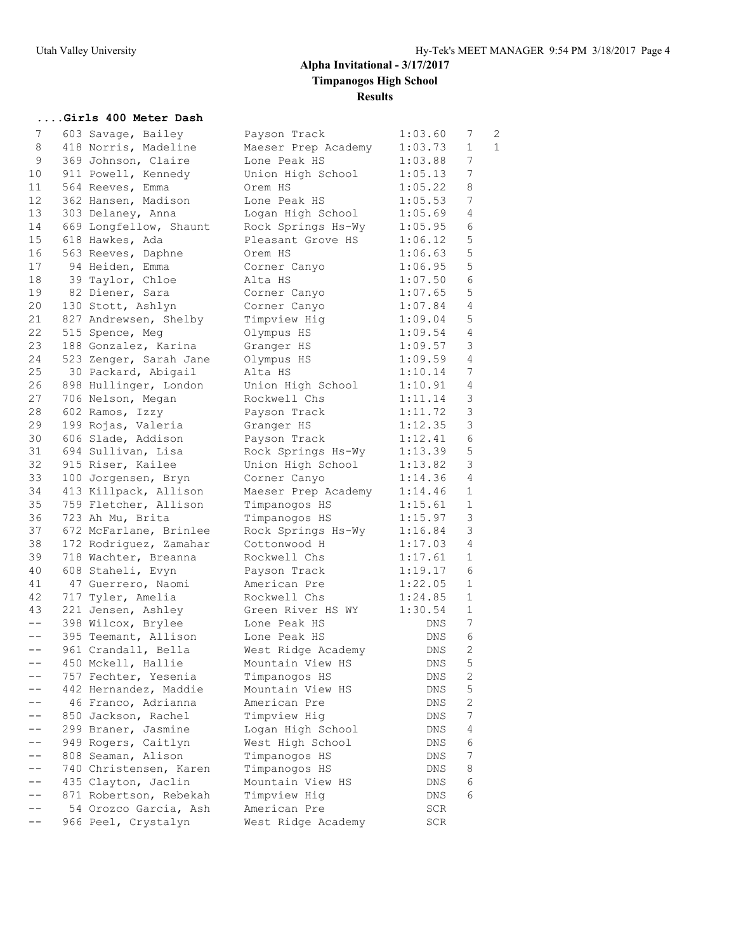### **....Girls 400 Meter Dash**

| 7                 | 603 Savage, Bailey     | Payson Track        | 1:03.60 | 7              | 2            |
|-------------------|------------------------|---------------------|---------|----------------|--------------|
| 8                 | 418 Norris, Madeline   | Maeser Prep Academy | 1:03.73 | 1              | $\mathbf{1}$ |
| 9                 | 369 Johnson, Claire    | Lone Peak HS        | 1:03.88 | 7              |              |
| 10                | 911 Powell, Kennedy    | Union High School   | 1:05.13 | 7              |              |
| 11                | 564 Reeves, Emma       | Orem HS             | 1:05.22 | 8              |              |
| 12                | 362 Hansen, Madison    | Lone Peak HS        | 1:05.53 | 7              |              |
| 13                | 303 Delaney, Anna      | Logan High School   | 1:05.69 | $\overline{4}$ |              |
| 14                | 669 Longfellow, Shaunt | Rock Springs Hs-Wy  | 1:05.95 | 6              |              |
| 15                | 618 Hawkes, Ada        | Pleasant Grove HS   | 1:06.12 | 5              |              |
| 16                | 563 Reeves, Daphne     | Orem HS             | 1:06.63 | 5              |              |
| 17                | 94 Heiden, Emma        | Corner Canyo        | 1:06.95 | 5              |              |
| 18                | 39 Taylor, Chloe       | Alta HS             | 1:07.50 | $\sqrt{6}$     |              |
| 19                |                        |                     | 1:07.65 | 5              |              |
|                   | 82 Diener, Sara        | Corner Canyo        |         | $\overline{4}$ |              |
| 20                | 130 Stott, Ashlyn      | Corner Canyo        | 1:07.84 |                |              |
| 21                | 827 Andrewsen, Shelby  | Timpview Hig        | 1:09.04 | 5              |              |
| 22                | 515 Spence, Meg        | Olympus HS          | 1:09.54 | $\overline{4}$ |              |
| 23                | 188 Gonzalez, Karina   | Granger HS          | 1:09.57 | 3              |              |
| 24                | 523 Zenger, Sarah Jane | Olympus HS          | 1:09.59 | $\sqrt{4}$     |              |
| 25                | 30 Packard, Abigail    | Alta HS             | 1:10.14 | 7              |              |
| 26                | 898 Hullinger, London  | Union High School   | 1:10.91 | $\overline{4}$ |              |
| 27                | 706 Nelson, Megan      | Rockwell Chs        | 1:11.14 | 3              |              |
| 28                | 602 Ramos, Izzy        | Payson Track        | 1:11.72 | 3              |              |
| 29                | 199 Rojas, Valeria     | Granger HS          | 1:12.35 | 3              |              |
| 30                | 606 Slade, Addison     | Payson Track        | 1:12.41 | $6\,$          |              |
| 31                | 694 Sullivan, Lisa     | Rock Springs Hs-Wy  | 1:13.39 | 5              |              |
| 32                | 915 Riser, Kailee      | Union High School   | 1:13.82 | 3              |              |
| 33                | 100 Jorgensen, Bryn    | Corner Canyo        | 1:14.36 | 4              |              |
| 34                | 413 Killpack, Allison  | Maeser Prep Academy | 1:14.46 | $\mathbf{1}$   |              |
| 35                | 759 Fletcher, Allison  | Timpanogos HS       | 1:15.61 | $\mathbf{1}$   |              |
| 36                | 723 Ah Mu, Brita       | Timpanogos HS       | 1:15.97 | $\mathsf 3$    |              |
| 37                | 672 McFarlane, Brinlee | Rock Springs Hs-Wy  | 1:16.84 | $\mathsf 3$    |              |
| 38                | 172 Rodriguez, Zamahar | Cottonwood H        | 1:17.03 | 4              |              |
| 39                | 718 Wachter, Breanna   | Rockwell Chs        | 1:17.61 | $\mathbf{1}$   |              |
| 40                | 608 Staheli, Evyn      | Payson Track        | 1:19.17 | 6              |              |
| 41                | 47 Guerrero, Naomi     | American Pre        | 1:22.05 | $\mathbf{1}$   |              |
| 42                | 717 Tyler, Amelia      | Rockwell Chs        | 1:24.85 | $\mathbf{1}$   |              |
| 43                | 221 Jensen, Ashley     | Green River HS WY   | 1:30.54 | $\mathbf 1$    |              |
| $--$              | 398 Wilcox, Brylee     | Lone Peak HS        | DNS     | 7              |              |
| $\qquad \qquad -$ | 395 Teemant, Allison   | Lone Peak HS        | DNS     | 6              |              |
| $- -$             | 961 Crandall, Bella    | West Ridge Academy  | DNS     | $\mathbf{2}$   |              |
| $- -$             | 450 Mckell, Hallie     | Mountain View HS    | DNS     | 5              |              |
|                   | 757 Fechter, Yesenia   | Timpanogos HS       | DNS     | 2              |              |
|                   | 442 Hernandez, Maddie  | Mountain View HS    | DNS     | 5              |              |
|                   |                        |                     |         | $\sqrt{2}$     |              |
|                   | 46 Franco, Adrianna    | American Pre        | DNS     | 7              |              |
|                   | 850 Jackson, Rachel    | Timpview Hig        | DNS     |                |              |
|                   | 299 Braner, Jasmine    | Logan High School   | DNS     | 4              |              |
|                   | 949 Rogers, Caitlyn    | West High School    | DNS     | 6              |              |
|                   | 808 Seaman, Alison     | Timpanogos HS       | DNS     | $\overline{7}$ |              |
|                   | 740 Christensen, Karen | Timpanogos HS       | DNS     | 8              |              |
|                   | 435 Clayton, Jaclin    | Mountain View HS    | DNS     | 6              |              |
|                   | 871 Robertson, Rebekah | Timpview Hig        | DNS     | 6              |              |
|                   | 54 Orozco Garcia, Ash  | American Pre        | SCR     |                |              |
| --                | 966 Peel, Crystalyn    | West Ridge Academy  | SCR     |                |              |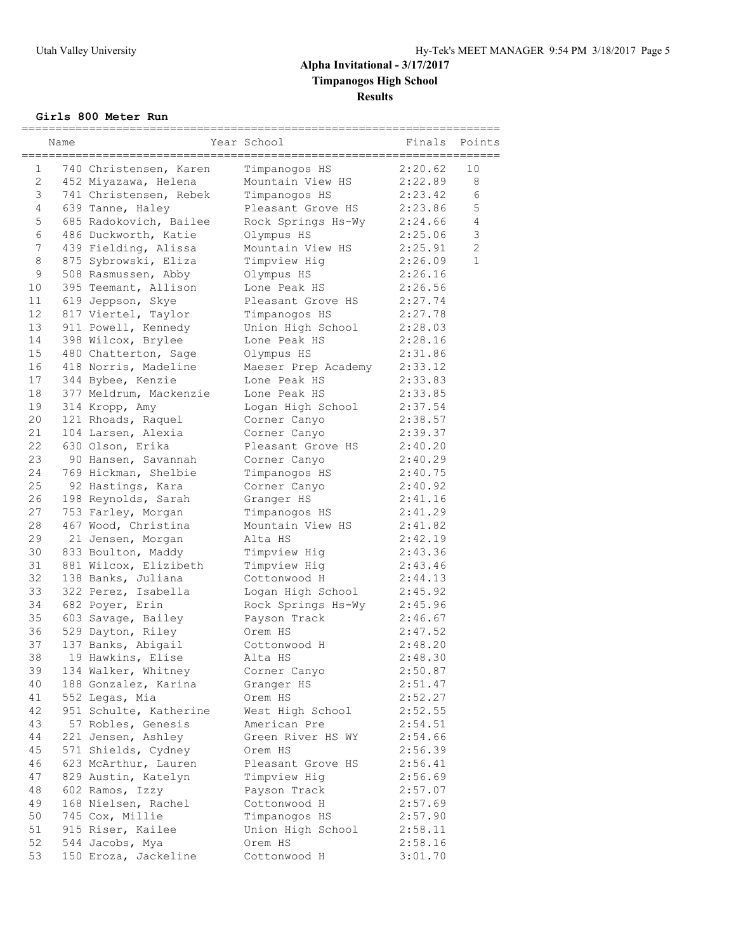### **Girls 800 Meter Run**

|    | Name |                        | Year School                  | Finals  | Points         |
|----|------|------------------------|------------------------------|---------|----------------|
| 1  |      | 740 Christensen, Karen | Timpanogos HS                | 2:20.62 | 10             |
| 2  |      | 452 Miyazawa, Helena   | Mountain View HS             | 2:22.89 | 8              |
| 3  |      | 741 Christensen, Rebek | Timpanogos HS                | 2:23.42 | 6              |
| 4  |      | 639 Tanne, Haley       | Pleasant Grove HS            | 2:23.86 | 5              |
| 5  |      | 685 Radokovich, Bailee | Rock Springs Hs-Wy 2:24.66   |         | $\overline{4}$ |
| 6  |      | 486 Duckworth, Katie   | Olympus HS                   | 2:25.06 | $\mathsf 3$    |
| 7  |      | 439 Fielding, Alissa   | Mountain View HS             | 2:25.91 | $\overline{c}$ |
| 8  |      | 875 Sybrowski, Eliza   | Timpview Hig                 | 2:26.09 | $\mathbf{1}$   |
| 9  |      | 508 Rasmussen, Abby    | Olympus HS                   | 2:26.16 |                |
| 10 |      | 395 Teemant, Allison   | Lone Peak HS                 | 2:26.56 |                |
| 11 |      | 619 Jeppson, Skye      | Pleasant Grove HS            | 2:27.74 |                |
| 12 |      | 817 Viertel, Taylor    | Timpanogos HS                | 2:27.78 |                |
| 13 |      | 911 Powell, Kennedy    | Union High School            | 2:28.03 |                |
| 14 |      | 398 Wilcox, Brylee     | Lone Peak HS                 | 2:28.16 |                |
| 15 |      | 480 Chatterton, Sage   | Olympus HS                   | 2:31.86 |                |
| 16 |      | 418 Norris, Madeline   | Maeser Prep Academy          | 2:33.12 |                |
| 17 |      | 344 Bybee, Kenzie      | Lone Peak HS                 | 2:33.83 |                |
| 18 |      | 377 Meldrum, Mackenzie | Lone Peak HS                 | 2:33.85 |                |
| 19 |      | 314 Kropp, Amy         | Logan High School            | 2:37.54 |                |
| 20 |      | 121 Rhoads, Raquel     | Corner Canyo                 | 2:38.57 |                |
| 21 |      | 104 Larsen, Alexia     | Corner Canyo                 | 2:39.37 |                |
| 22 |      | 630 Olson, Erika       | Pleasant Grove HS            | 2:40.20 |                |
| 23 |      | 90 Hansen, Savannah    | Corner Canyo                 | 2:40.29 |                |
| 24 |      | 769 Hickman, Shelbie   | Timpanogos HS                | 2:40.75 |                |
| 25 |      | 92 Hastings, Kara      | Corner Canyo                 | 2:40.92 |                |
| 26 |      | 198 Reynolds, Sarah    | Granger HS                   | 2:41.16 |                |
| 27 |      | 753 Farley, Morgan     | Timpanogos HS                | 2:41.29 |                |
| 28 |      | 467 Wood, Christina    | Mountain View HS             | 2:41.82 |                |
| 29 |      | 21 Jensen, Morgan      | Alta HS                      | 2:42.19 |                |
| 30 |      | 833 Boulton, Maddy     | Timpview Hig                 | 2:43.36 |                |
| 31 |      | 881 Wilcox, Elizibeth  | Timpview Hig                 | 2:43.46 |                |
| 32 |      | 138 Banks, Juliana     | Cottonwood H                 | 2:44.13 |                |
| 33 |      | 322 Perez, Isabella    | Logan High School            | 2:45.92 |                |
| 34 |      | 682 Poyer, Erin        | Rock Springs Hs-Wy           | 2:45.96 |                |
| 35 |      | 603 Savage, Bailey     | Payson Track                 | 2:46.67 |                |
| 36 |      | 529 Dayton, Riley      | Orem HS                      | 2:47.52 |                |
| 37 |      | 137 Banks, Abigail     | Cottonwood H                 | 2:48.20 |                |
| 38 |      | 19 Hawkins, Elise      | Alta HS                      | 2:48.30 |                |
| 39 |      | 134 Walker, Whitney    | Corner Canyo                 | 2:50.87 |                |
| 40 |      | 188 Gonzalez, Karina   | Granger HS                   | 2:51.47 |                |
| 41 |      | 552 Legas, Mia         | Orem HS                      | 2:52.27 |                |
| 42 |      | 951 Schulte, Katherine | West High School             | 2:52.55 |                |
| 43 |      | 57 Robles, Genesis     | American Pre                 | 2:54.51 |                |
| 44 |      | 221 Jensen, Ashley     | Green River HS WY            | 2:54.66 |                |
| 45 |      | 571 Shields, Cydney    | Orem HS                      | 2:56.39 |                |
| 46 |      | 623 McArthur, Lauren   | Pleasant Grove HS            | 2:56.41 |                |
| 47 |      | 829 Austin, Katelyn    | Timpview Hig                 | 2:56.69 |                |
| 48 |      | 602 Ramos, Izzy        | Payson Track                 | 2:57.07 |                |
| 49 |      | 168 Nielsen, Rachel    | Cottonwood H                 | 2:57.69 |                |
| 50 |      | 745 Cox, Millie        | Timpanogos HS                | 2:57.90 |                |
| 51 |      | 915 Riser, Kailee      |                              |         |                |
| 52 |      |                        | Union High School<br>Orem HS | 2:58.11 |                |
| 53 |      | 544 Jacobs, Mya        |                              | 2:58.16 |                |
|    |      | 150 Eroza, Jackeline   | Cottonwood H                 | 3:01.70 |                |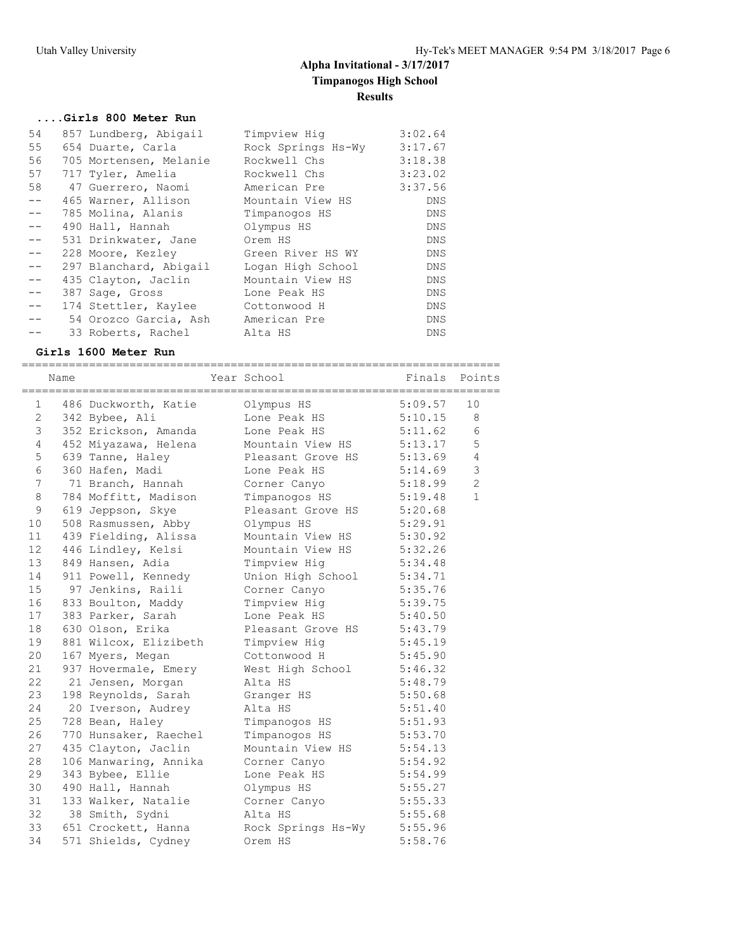#### **....Girls 800 Meter Run**

| 54    | 857 Lundberg, Abigail  | Timpview Hig       | 3:02.64    |
|-------|------------------------|--------------------|------------|
| 55    | 654 Duarte, Carla      | Rock Springs Hs-Wy | 3:17.67    |
| 56    | 705 Mortensen, Melanie | Rockwell Chs       | 3:18.38    |
| 57    | 717 Tyler, Amelia      | Rockwell Chs       | 3:23.02    |
| 58    | 47 Guerrero, Naomi     | American Pre       | 3:37.56    |
| $- -$ | 465 Warner, Allison    | Mountain View HS   | <b>DNS</b> |
| $- -$ | 785 Molina, Alanis     | Timpanogos HS      | DNS        |
| $- -$ | 490 Hall, Hannah       | Olympus HS         | <b>DNS</b> |
| $-$   | 531 Drinkwater, Jane   | Orem HS            | DNS        |
| $- -$ | 228 Moore, Kezley      | Green River HS WY  | <b>DNS</b> |
| $- -$ | 297 Blanchard, Abigail | Logan High School  | <b>DNS</b> |
| $- -$ | 435 Clayton, Jaclin    | Mountain View HS   | <b>DNS</b> |
| $- -$ | 387 Sage, Gross        | Lone Peak HS       | <b>DNS</b> |
| $- -$ | 174 Stettler, Kaylee   | Cottonwood H       | DNS        |
|       | 54 Orozco Garcia, Ash  | American Pre       | DNS        |
|       | 33 Roberts, Rachel     | Alta HS            | <b>DNS</b> |

**Girls 1600 Meter Run** ======================================================================= Name **Year School** Finals Points ======================================================================= 1 486 Duckworth, Katie 10 Olympus HS 5:09.57 10 2 342 Bybee, Ali Lone Peak HS 5:10.15 8 3 352 Erickson, Amanda Lone Peak HS 5:11.62 6 4 452 Miyazawa, Helena Mountain View HS 5:13.17 5 5 639 Tanne, Haley Pleasant Grove HS 5:13.69 4 6 360 Hafen, Madi Lone Peak HS 5:14.69 3 7 71 Branch, Hannah Corner Canyo 5:18.99 2 8 784 Moffitt, Madison Timpanogos HS 5:19.48 1 9 619 Jeppson, Skye Pleasant Grove HS 5:20.68 10 508 Rasmussen, Abby Olympus HS 5:29.91 11 439 Fielding, Alissa Mountain View HS 5:30.92 12 446 Lindley, Kelsi Mountain View HS 5:32.26 13 849 Hansen, Adia Timpview Hig 5:34.48 14 911 Powell, Kennedy Union High School 5:34.71 15 97 Jenkins, Raili Corner Canyo 5:35.76 16 833 Boulton, Maddy Timpview Hig 5:39.75 17 383 Parker, Sarah Lone Peak HS 5:40.50 18 630 Olson, Erika Pleasant Grove HS 5:43.79 19 881 Wilcox, Elizibeth Timpview Hig 5:45.19 20 167 Myers, Megan Cottonwood H 5:45.90 21 937 Hovermale, Emery West High School 5:46.32 22 21 Jensen, Morgan alta HS 5:48.79 23 198 Reynolds, Sarah Granger HS 5:50.68 24 20 Iverson, Audrey alta HS 5:51.40 25 728 Bean, Haley Timpanogos HS 5:51.93 26 770 Hunsaker, Raechel Timpanogos HS 5:53.70 27 435 Clayton, Jaclin Mountain View HS 5:54.13 28 106 Manwaring, Annika Corner Canyo 5:54.92 29 343 Bybee, Ellie Lone Peak HS 5:54.99 30 490 Hall, Hannah Olympus HS 5:55.27 31 133 Walker, Natalie Corner Canyo 5:55.33 32 38 Smith, Sydni Alta HS 5:55.68 33 651 Crockett, Hanna Rock Springs Hs-Wy 5:55.96

34 571 Shields, Cydney Orem HS 5:58.76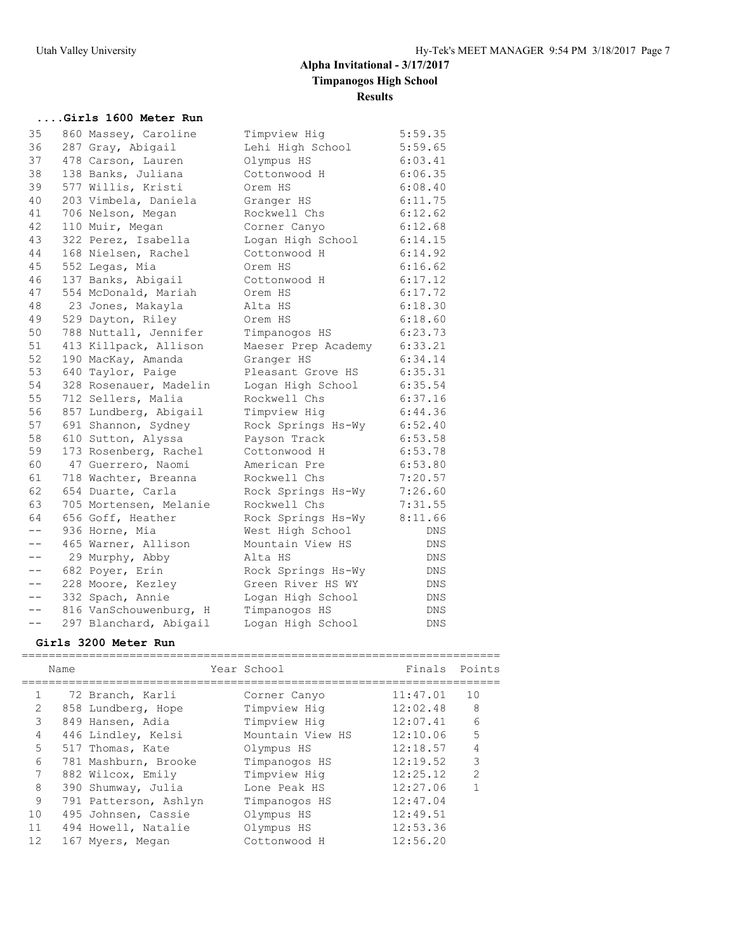### **....Girls 1600 Meter Run**

| 35    | 860 Massey, Caroline   | Timpview Hig        | 5:59.35    |
|-------|------------------------|---------------------|------------|
| 36    | 287 Gray, Abigail      | Lehi High School    | 5:59.65    |
| 37    | 478 Carson, Lauren     | Olympus HS          | 6:03.41    |
| 38    | 138 Banks, Juliana     | Cottonwood H        | 6:06.35    |
| 39    | 577 Willis, Kristi     | Orem HS             | 6:08.40    |
| 40    | 203 Vimbela, Daniela   | Granger HS          | 6:11.75    |
| 41    | 706 Nelson, Megan      | Rockwell Chs        | 6:12.62    |
| 42    | 110 Muir, Megan        | Corner Canyo        | 6:12.68    |
| 43    | 322 Perez, Isabella    | Logan High School   | 6:14.15    |
| 44    | 168 Nielsen, Rachel    | Cottonwood H        | 6:14.92    |
| 45    | 552 Legas, Mia         | Orem HS             | 6:16.62    |
| 46    | 137 Banks, Abigail     | Cottonwood H        | 6:17.12    |
| 47    | 554 McDonald, Mariah   | Orem HS             | 6:17.72    |
| 48    | 23 Jones, Makayla      | Alta HS             | 6:18.30    |
| 49    | 529 Dayton, Riley      | Orem HS             | 6:18.60    |
| 50    | 788 Nuttall, Jennifer  | Timpanogos HS       | 6:23.73    |
| 51    | 413 Killpack, Allison  | Maeser Prep Academy | 6:33.21    |
| 52    | 190 MacKay, Amanda     | Granger HS          | 6:34.14    |
| 53    | 640 Taylor, Paige      | Pleasant Grove HS   | 6:35.31    |
| 54    | 328 Rosenauer, Madelin | Logan High School   | 6:35.54    |
| 55    | 712 Sellers, Malia     | Rockwell Chs        | 6:37.16    |
| 56    | 857 Lundberg, Abigail  | Timpview Hig        | 6:44.36    |
| 57    | 691 Shannon, Sydney    | Rock Springs Hs-Wy  | 6:52.40    |
| 58    | 610 Sutton, Alyssa     | Payson Track        | 6:53.58    |
| 59    | 173 Rosenberg, Rachel  | Cottonwood H        | 6:53.78    |
| 60    | 47 Guerrero, Naomi     | American Pre        | 6:53.80    |
| 61    | 718 Wachter, Breanna   | Rockwell Chs        | 7:20.57    |
| 62    | 654 Duarte, Carla      | Rock Springs Hs-Wy  | 7:26.60    |
| 63    | 705 Mortensen, Melanie | Rockwell Chs        | 7:31.55    |
| 64    | 656 Goff, Heather      | Rock Springs Hs-Wy  | 8:11.66    |
| $- -$ | 936 Horne, Mia         | West High School    | DNS        |
| $- -$ | 465 Warner, Allison    | Mountain View HS    | DNS        |
| $- -$ | 29 Murphy, Abby        | Alta HS             | DNS        |
| $- -$ | 682 Poyer, Erin        | Rock Springs Hs-Wy  | DNS        |
| $- -$ | 228 Moore, Kezley      | Green River HS WY   | <b>DNS</b> |
| $- -$ | 332 Spach, Annie       | Logan High School   | DNS        |
| $- -$ | 816 VanSchouwenburg, H | Timpanogos HS       | DNS        |
| $- -$ | 297 Blanchard, Abigail | Logan High School   | <b>DNS</b> |

## **Girls 3200 Meter Run**

|              | Name |                       | Year School      | Finals   | Points        |
|--------------|------|-----------------------|------------------|----------|---------------|
|              |      |                       |                  |          |               |
|              |      | 72 Branch, Karli      | Corner Canyo     | 11:47.01 | 10            |
| 2            |      | 858 Lundberg, Hope    | Timpview Hig     | 12:02.48 | 8             |
| 3            |      | 849 Hansen, Adia      | Timpview Hig     | 12:07.41 | 6             |
| 4            |      | 446 Lindley, Kelsi    | Mountain View HS | 12:10.06 | 5             |
| 5            |      | 517 Thomas, Kate      | Olympus HS       | 12:18.57 | 4             |
| 6            |      | 781 Mashburn, Brooke  | Timpanogos HS    | 12:19.52 | 3             |
| 7            |      | 882 Wilcox, Emily     | Timpview Hig     | 12:25.12 | $\mathcal{L}$ |
| 8            |      | 390 Shumway, Julia    | Lone Peak HS     | 12:27.06 |               |
| $\mathsf{Q}$ |      | 791 Patterson, Ashlyn | Timpanogos HS    | 12:47.04 |               |
| 10           |      | 495 Johnsen, Cassie   | Olympus HS       | 12:49.51 |               |
| 11           |      | 494 Howell, Natalie   | Olympus HS       | 12:53.36 |               |
| 12           |      | 167 Myers, Megan      | Cottonwood H     | 12:56.20 |               |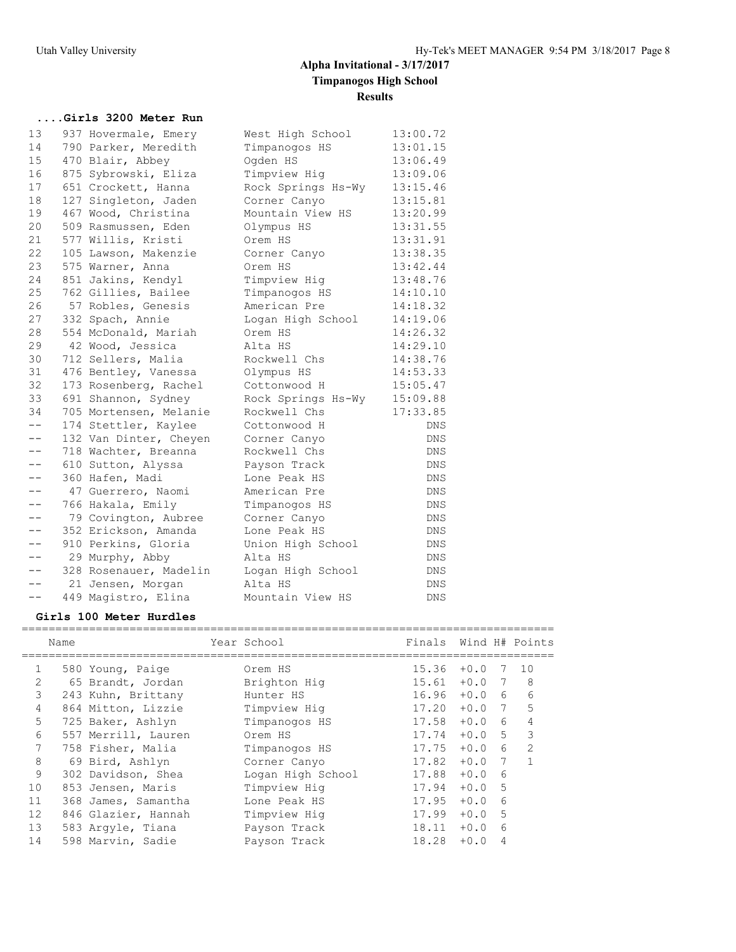### **....Girls 3200 Meter Run**

| 13    | 937 Hovermale, Emery   | West High School   | 13:00.72   |
|-------|------------------------|--------------------|------------|
| 14    | 790 Parker, Meredith   | Timpanogos HS      | 13:01.15   |
| 15    | 470 Blair, Abbey       | Oqden HS           | 13:06.49   |
| 16    | 875 Sybrowski, Eliza   | Timpview Hig       | 13:09.06   |
| 17    | 651 Crockett, Hanna    | Rock Springs Hs-Wy | 13:15.46   |
| 18    | 127 Singleton, Jaden   | Corner Canyo       | 13:15.81   |
| 19    | 467 Wood, Christina    | Mountain View HS   | 13:20.99   |
| 20    | 509 Rasmussen, Eden    | Olympus HS         | 13:31.55   |
| 21    | 577 Willis, Kristi     | Orem HS            | 13:31.91   |
| 22    | 105 Lawson, Makenzie   | Corner Canyo       | 13:38.35   |
| 23    | 575 Warner, Anna       | Orem HS            | 13:42.44   |
| 24    | 851 Jakins, Kendyl     | Timpview Hig       | 13:48.76   |
| 25    | 762 Gillies, Bailee    | Timpanogos HS      | 14:10.10   |
| 26    | 57 Robles, Genesis     | American Pre       | 14:18.32   |
| 27    | 332 Spach, Annie       | Logan High School  | 14:19.06   |
| 28    | 554 McDonald, Mariah   | Orem HS            | 14:26.32   |
| 29    | 42 Wood, Jessica       | Alta HS            | 14:29.10   |
| 30    | 712 Sellers, Malia     | Rockwell Chs       | 14:38.76   |
| 31    | 476 Bentley, Vanessa   | Olympus HS         | 14:53.33   |
| 32    | 173 Rosenberg, Rachel  | Cottonwood H       | 15:05.47   |
| 33    | 691 Shannon, Sydney    | Rock Springs Hs-Wy | 15:09.88   |
| 34    | 705 Mortensen, Melanie | Rockwell Chs       | 17:33.85   |
| $- -$ | 174 Stettler, Kaylee   | Cottonwood H       | <b>DNS</b> |
| $- -$ | 132 Van Dinter, Cheyen | Corner Canyo       | <b>DNS</b> |
| $- -$ | 718 Wachter, Breanna   | Rockwell Chs       | <b>DNS</b> |
| $- -$ | 610 Sutton, Alyssa     | Payson Track       | <b>DNS</b> |
| $- -$ | 360 Hafen, Madi        | Lone Peak HS       | <b>DNS</b> |
| $- -$ | 47 Guerrero, Naomi     | American Pre       | DNS        |
| $- -$ | 766 Hakala, Emily      | Timpanogos HS      | <b>DNS</b> |
| $- -$ | 79 Covington, Aubree   | Corner Canyo       | <b>DNS</b> |
| --    | 352 Erickson, Amanda   | Lone Peak HS       | <b>DNS</b> |
| $- -$ | 910 Perkins, Gloria    | Union High School  | <b>DNS</b> |
| $- -$ | 29 Murphy, Abby        | Alta HS            | DNS        |
| $- -$ | 328 Rosenauer, Madelin | Logan High School  | DNS        |
| $- -$ | 21 Jensen, Morgan      | Alta HS            | <b>DNS</b> |
| $- -$ | 449 Magistro, Elina    | Mountain View HS   | <b>DNS</b> |

### **Girls 100 Meter Hurdles**

| Name |                                                                                                                                                                                                                                                                                                          |                   | Finals      |        |                  |                                                                    |
|------|----------------------------------------------------------------------------------------------------------------------------------------------------------------------------------------------------------------------------------------------------------------------------------------------------------|-------------------|-------------|--------|------------------|--------------------------------------------------------------------|
|      |                                                                                                                                                                                                                                                                                                          | Orem HS           | 15.36       | $+0.0$ | 7                | 10                                                                 |
|      |                                                                                                                                                                                                                                                                                                          | Brighton Hig      | 15.61       |        |                  | 8                                                                  |
|      |                                                                                                                                                                                                                                                                                                          | Hunter HS         |             |        | $6 \overline{6}$ | 6                                                                  |
|      |                                                                                                                                                                                                                                                                                                          | Timpview Hig      | 17.20       | $+0.0$ | 7                | 5                                                                  |
|      |                                                                                                                                                                                                                                                                                                          | Timpanogos HS     | 17.58       | $+0.0$ | 6                | 4                                                                  |
|      |                                                                                                                                                                                                                                                                                                          | Orem HS           | 17.74       | $+0.0$ | 5                | 3                                                                  |
|      |                                                                                                                                                                                                                                                                                                          | Timpanogos HS     |             | $+0.0$ | $6 \overline{6}$ | $\mathcal{P}$                                                      |
|      |                                                                                                                                                                                                                                                                                                          | Corner Canyo      | 17.82       |        | 7                |                                                                    |
|      |                                                                                                                                                                                                                                                                                                          | Logan High School | 17.88       | $+0.0$ | $6\overline{6}$  |                                                                    |
|      |                                                                                                                                                                                                                                                                                                          | Timpview Hig      | 17.94       |        | 5                |                                                                    |
|      |                                                                                                                                                                                                                                                                                                          | Lone Peak HS      | 17.95       | $+0.0$ | $6\overline{6}$  |                                                                    |
|      |                                                                                                                                                                                                                                                                                                          | Timpview Hig      | 17.99       |        | 5                |                                                                    |
|      |                                                                                                                                                                                                                                                                                                          | Payson Track      | 18.11       | $+0.0$ | 6                |                                                                    |
|      |                                                                                                                                                                                                                                                                                                          | Payson Track      | 18.28       | $+0.0$ | 4                |                                                                    |
|      | 580 Young, Paige<br>65 Brandt, Jordan<br>243 Kuhn, Brittany<br>864 Mitton, Lizzie<br>725 Baker, Ashlyn<br>557 Merrill, Lauren<br>758 Fisher, Malia<br>69 Bird, Ashlyn<br>302 Davidson, Shea<br>853 Jensen, Maris<br>368 James, Samantha<br>846 Glazier, Hannah<br>583 Arqyle, Tiana<br>598 Marvin, Sadie |                   | Year School |        | 16.96<br>17.75   | Wind H# Points<br>$+0.0$ 7<br>$+0.0$<br>$+0.0$<br>$+0.0$<br>$+0.0$ |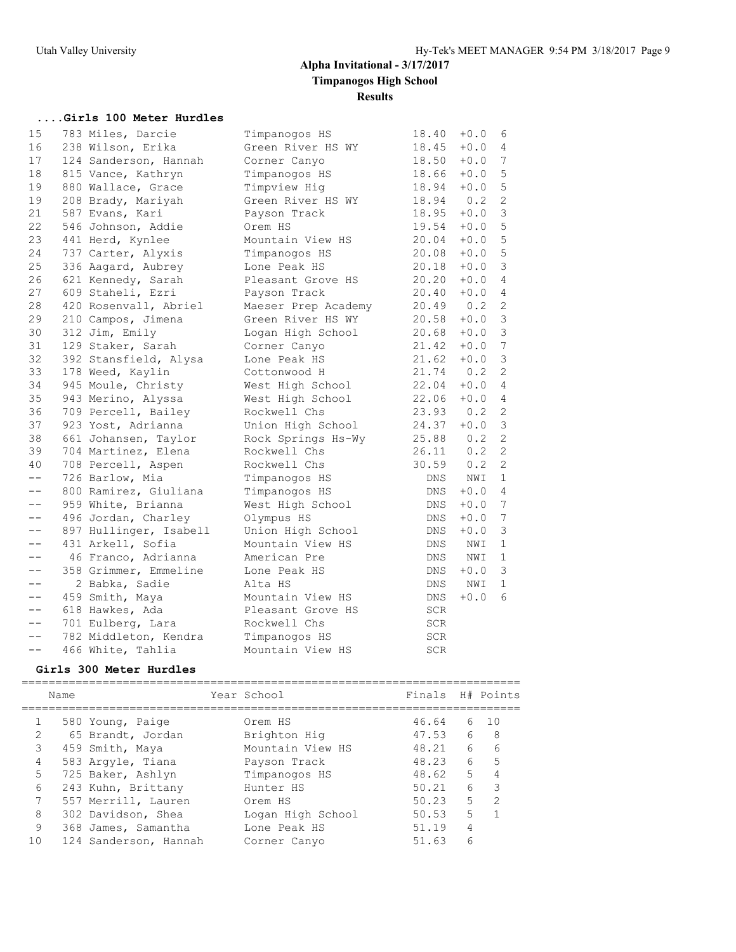## **....Girls 100 Meter Hurdles**

| 15                | 783 Miles, Darcie      | Timpanogos HS       | 18.40      | $+0.0$ | 6               |
|-------------------|------------------------|---------------------|------------|--------|-----------------|
| 16                | 238 Wilson, Erika      | Green River HS WY   | 18.45      | $+0.0$ | 4               |
| 17                | 124 Sanderson, Hannah  | Corner Canyo        | 18.50      | $+0.0$ | 7               |
| 18                | 815 Vance, Kathryn     | Timpanogos HS       | 18.66      | $+0.0$ | 5               |
| 19                | 880 Wallace, Grace     | Timpview Hig        | 18.94      | $+0.0$ | $\mathsf S$     |
| 19                | 208 Brady, Mariyah     | Green River HS WY   | 18.94      | 0.2    | $\overline{c}$  |
| 21                | 587 Evans, Kari        | Payson Track        | 18.95      | $+0.0$ | $\mathfrak{Z}$  |
| 22                | 546 Johnson, Addie     | Orem HS             | 19.54      | $+0.0$ | 5               |
| 23                | 441 Herd, Kynlee       | Mountain View HS    | 20.04      | $+0.0$ | 5               |
| 24                | 737 Carter, Alyxis     | Timpanogos HS       | 20.08      | $+0.0$ | 5               |
| 25                | 336 Aagard, Aubrey     | Lone Peak HS        | 20.18      | $+0.0$ | $\mathfrak{Z}$  |
| 26                | 621 Kennedy, Sarah     | Pleasant Grove HS   | 20.20      | $+0.0$ | $\overline{4}$  |
| 27                | 609 Staheli, Ezri      | Payson Track        | 20.40      | $+0.0$ | 4               |
| 28                | 420 Rosenvall, Abriel  | Maeser Prep Academy | 20.49      | 0.2    | $\mathbf{2}$    |
| 29                | 210 Campos, Jimena     | Green River HS WY   | 20.58      | $+0.0$ | $\mathfrak{Z}$  |
| 30                | 312 Jim, Emily         | Logan High School   | 20.68      | $+0.0$ | $\mathfrak{Z}$  |
| 31                | 129 Staker, Sarah      | Corner Canyo        | 21.42      | $+0.0$ | 7               |
| 32                | 392 Stansfield, Alysa  | Lone Peak HS        | 21.62      | $+0.0$ | $\mathfrak{Z}$  |
| 33                | 178 Weed, Kaylin       | Cottonwood H        | 21.74      | 0.2    | $\mathbf{2}$    |
| 34                | 945 Moule, Christy     | West High School    | 22.04      | $+0.0$ | $\overline{4}$  |
| 35                | 943 Merino, Alyssa     | West High School    | 22.06      | $+0.0$ | $\overline{4}$  |
| 36                | 709 Percell, Bailey    | Rockwell Chs        | 23.93      | 0.2    | 2               |
| 37                | 923 Yost, Adrianna     | Union High School   | 24.37      | $+0.0$ | $\mathfrak{Z}$  |
| 38                | 661 Johansen, Taylor   | Rock Springs Hs-Wy  | 25.88      | 0.2    | 2               |
| 39                | 704 Martinez, Elena    | Rockwell Chs        | 26.11      | 0.2    | $\mathbf{2}$    |
| 40                | 708 Percell, Aspen     | Rockwell Chs        | 30.59      | 0.2    | 2               |
| $- -$             | 726 Barlow, Mia        | Timpanogos HS       | DNS        | NWI    | $\mathbf{1}$    |
| $- -$             | 800 Ramirez, Giuliana  | Timpanogos HS       | DNS        | $+0.0$ | $\overline{4}$  |
| $- -$             | 959 White, Brianna     | West High School    | DNS        | $+0.0$ | $7\phantom{.0}$ |
| $- -$             | 496 Jordan, Charley    | Olympus HS          | DNS        | $+0.0$ | 7               |
|                   | 897 Hullinger, Isabell | Union High School   | DNS        | $+0.0$ | $\mathsf 3$     |
| $-\,-$            | 431 Arkell, Sofia      | Mountain View HS    | <b>DNS</b> | NWI    | $\mathbf 1$     |
| $- -$             | 46 Franco, Adrianna    | American Pre        | DNS        | NWI    | $\mathbf 1$     |
| $\qquad \qquad -$ | 358 Grimmer, Emmeline  | Lone Peak HS        | DNS        | $+0.0$ | 3               |
| $- -$             | 2 Babka, Sadie         | Alta HS             | <b>DNS</b> | NWI    | $\mathbf{1}$    |
| $- -$             | 459 Smith, Maya        | Mountain View HS    | DNS        | $+0.0$ | 6               |
| $\qquad \qquad -$ | 618 Hawkes, Ada        | Pleasant Grove HS   | <b>SCR</b> |        |                 |
| $- -$             | 701 Eulberg, Lara      | Rockwell Chs        | SCR        |        |                 |
| $- -$             | 782 Middleton, Kendra  | Timpanogos HS       | <b>SCR</b> |        |                 |
| $- -$             | 466 White, Tahlia      | Mountain View HS    | <b>SCR</b> |        |                 |

### **Girls 300 Meter Hurdles**

|               | Name |                       | Year School       | Finals H# Points |                |               |
|---------------|------|-----------------------|-------------------|------------------|----------------|---------------|
|               |      | 580 Young, Paige      | Orem HS           | 46.64            |                | 6 10          |
| $\mathcal{L}$ |      | 65 Brandt, Jordan     | Brighton Hig      | 47.53            | 6 <sup>6</sup> | - 8           |
| 3             |      | 459 Smith, Maya       | Mountain View HS  | 48.21            | 6              | 6             |
| 4             |      | 583 Argyle, Tiana     | Payson Track      | 48.23            | 6              | 5             |
| 5             |      | 725 Baker, Ashlyn     | Timpanogos HS     | 48.62            | 5              |               |
| 6             |      | 243 Kuhn, Brittany    | Hunter HS         | 50.21            | 6              | 3             |
| 7             |      | 557 Merrill, Lauren   | Orem HS           | 50.23            | 5              | $\mathcal{D}$ |
| 8             |      | 302 Davidson, Shea    | Logan High School | 50.53            | 5              |               |
| 9             |      | 368 James, Samantha   | Lone Peak HS      | 51.19            | 4              |               |
| 10            |      | 124 Sanderson, Hannah | Corner Canyo      | 51.63            | ีค             |               |
|               |      |                       |                   |                  |                |               |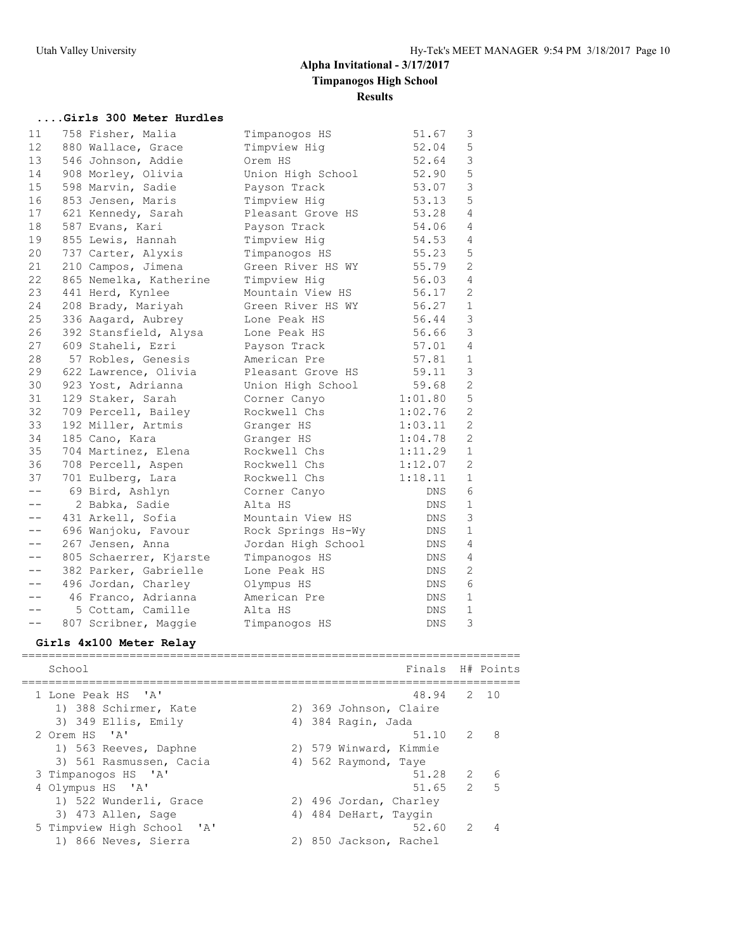### **....Girls 300 Meter Hurdles**

| 11                | 758 Fisher, Malia      | Timpanogos HS      | 51.67      | 3              |
|-------------------|------------------------|--------------------|------------|----------------|
| $12 \overline{ }$ | 880 Wallace, Grace     | Timpview Hig       | 52.04      | 5              |
| 13                | 546 Johnson, Addie     | Orem HS            | 52.64      | 3              |
| 14                | 908 Morley, Olivia     | Union High School  | 52.90      | 5              |
| 15                | 598 Marvin, Sadie      | Payson Track       | 53.07      | 3              |
| 16                | 853 Jensen, Maris      | Timpview Hig       | 53.13      | 5              |
| 17                | 621 Kennedy, Sarah     | Pleasant Grove HS  | 53.28      | $\overline{4}$ |
| 18                | 587 Evans, Kari        | Payson Track       | 54.06      | $\overline{4}$ |
| 19                | 855 Lewis, Hannah      | Timpview Hig       | 54.53      | $\overline{4}$ |
| 20                | 737 Carter, Alyxis     | Timpanogos HS      | 55.23      | 5              |
| 21                | 210 Campos, Jimena     | Green River HS WY  | 55.79      | $\overline{2}$ |
| 22                | 865 Nemelka, Katherine | Timpview Hig       | 56.03      | $\overline{4}$ |
| 23                | 441 Herd, Kynlee       | Mountain View HS   | 56.17      | $\overline{c}$ |
| 24                | 208 Brady, Mariyah     | Green River HS WY  | 56.27      | $\mathbf{1}$   |
| 25                | 336 Aagard, Aubrey     | Lone Peak HS       | 56.44      | 3              |
| 26                | 392 Stansfield, Alysa  | Lone Peak HS       | 56.66      | 3              |
| 27                | 609 Staheli, Ezri      | Payson Track       | 57.01      | $\overline{4}$ |
| 28                | 57 Robles, Genesis     | American Pre       | 57.81      | $\mathbf{1}$   |
| 29                | 622 Lawrence, Olivia   | Pleasant Grove HS  | 59.11      | 3              |
| 30                | 923 Yost, Adrianna     | Union High School  | 59.68      | $\mathbf{2}$   |
| 31                | 129 Staker, Sarah      | Corner Canyo       | 1:01.80    | 5              |
| 32                | 709 Percell, Bailey    | Rockwell Chs       | 1:02.76    | 2              |
| 33                | 192 Miller, Artmis     | Granger HS         | 1:03.11    | $\overline{2}$ |
| 34                | 185 Cano, Kara         | Granger HS         | 1:04.78    | $\overline{2}$ |
| 35                | 704 Martinez, Elena    | Rockwell Chs       | 1:11.29    | $\mathbf{1}$   |
| 36                | 708 Percell, Aspen     | Rockwell Chs       | 1:12.07    | $\overline{c}$ |
| 37                | 701 Eulberg, Lara      | Rockwell Chs       | 1:18.11    | $\mathbf{1}$   |
| $- -$             | 69 Bird, Ashlyn        | Corner Canyo       | DNS        | 6              |
| $- -$             | 2 Babka, Sadie         | Alta HS            | DNS        | $\mathbf{1}$   |
| $- -$             | 431 Arkell, Sofia      | Mountain View HS   | DNS        | 3              |
| $- -$             | 696 Wanjoku, Favour    | Rock Springs Hs-Wy | DNS        | $\mathbf{1}$   |
| $- -$             | 267 Jensen, Anna       | Jordan High School | <b>DNS</b> | $\overline{4}$ |
| $- -$             | 805 Schaerrer, Kjarste | Timpanogos HS      | DNS        | 4              |
| $- -$             | 382 Parker, Gabrielle  | Lone Peak HS       | DNS        | 2              |
| $- -$             | 496 Jordan, Charley    | Olympus HS         | DNS        | $\epsilon$     |
| $- -$             | 46 Franco, Adrianna    | American Pre       | DNS        | $\mathbf{1}$   |
| $- -$             | 5 Cottam, Camille      | Alta HS            | DNS.       | $\mathbf{1}$   |
| $- -$             | 807 Scribner, Maggie   | Timpanogos HS      | DNS        | 3              |

## **Girls 4x100 Meter Relay**

| School                     |  | Finals H# Points       |               |   |
|----------------------------|--|------------------------|---------------|---|
| 1 Lone Peak HS 'A'         |  | 48.94 2 10             |               |   |
| 1) 388 Schirmer, Kate      |  | 2) 369 Johnson, Claire |               |   |
| 3) 349 Ellis, Emily        |  | 4) 384 Raqin, Jada     |               |   |
| 2 Orem HS 'A'              |  | 51.10                  | 2             | 8 |
| 1) 563 Reeves, Daphne      |  | 2) 579 Winward, Kimmie |               |   |
| 3) 561 Rasmussen, Cacia    |  | 4) 562 Raymond, Taye   |               |   |
| 3 Timpanogos HS 'A'        |  | 51.28                  | $\mathcal{L}$ | 6 |
| 4 Olympus HS 'A'           |  | 51.65                  | $\mathcal{L}$ | 5 |
| 1) 522 Wunderli, Grace     |  | 2) 496 Jordan, Charley |               |   |
| 3) 473 Allen, Sage         |  | 4) 484 DeHart, Taygin  |               |   |
| 5 Timpview High School 'A' |  | 52.60                  | $\mathcal{P}$ |   |
| 1) 866 Neves, Sierra       |  | 2) 850 Jackson, Rachel |               |   |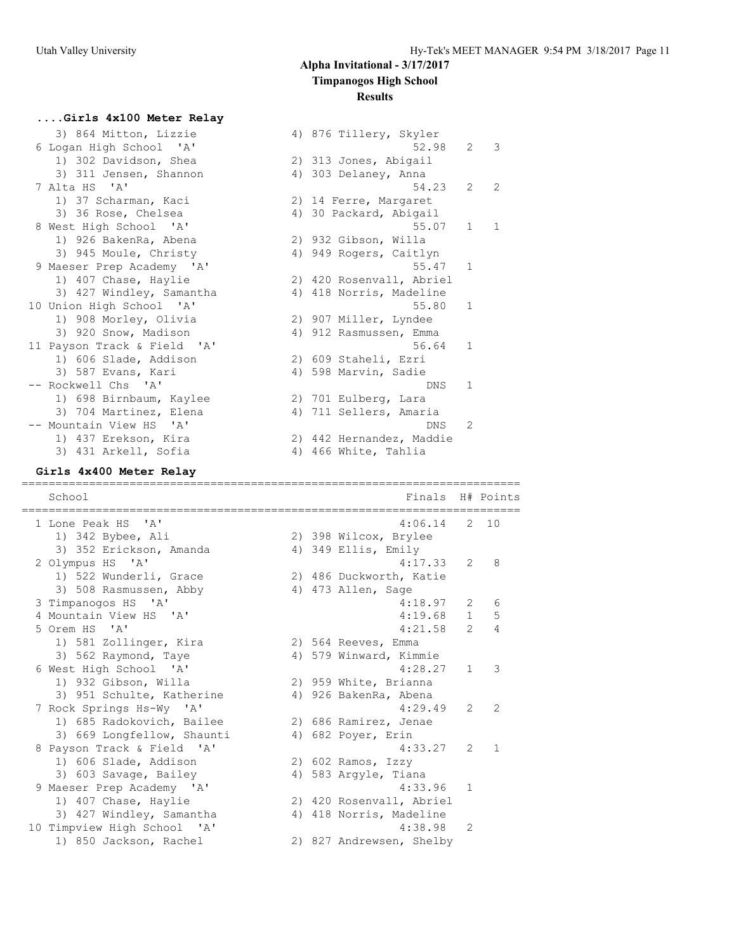4) 876 Tillery, Skyler

2) 14 Ferre, Margaret 4) 30 Packard, Abigail

2) 932 Gibson, Willa 4) 949 Rogers, Caitlyn

2) 420 Rosenvall, Abriel 4) 418 Norris, Madeline

2) 907 Miller, Lyndee 4) 912 Rasmussen, Emma

2) 609 Staheli, Ezri 4) 598 Marvin, Sadie

2) 701 Eulberg, Lara 4) 711 Sellers, Amaria

2) 442 Hernandez, Maddie 4) 466 White, Tahlia

2) 313 Jones, Abigail 4) 303 Delaney, Anna

 $52.98$  2 3

 $54.23$  2 2

 $55.07$  1 1

 $55.47$  1

 $55.80$  1

 $56.64$  1

 $DNS<sub>1</sub>$ 

DNS 2

#### **....Girls 4x100 Meter Relay**

|  |               | 3) 864 Mitton, Lizzie       |
|--|---------------|-----------------------------|
|  |               | 6 Logan High School 'A'     |
|  |               | 1) 302 Davidson, Shea       |
|  |               | 3) 311 Jensen, Shannon      |
|  | 7 Alta HS 'A' |                             |
|  |               | 1) 37 Scharman, Kaci        |
|  |               | 3) 36 Rose, Chelsea         |
|  |               | 8 West High School 'A'      |
|  |               | 1) 926 BakenRa, Abena       |
|  |               | 3) 945 Moule, Christy       |
|  |               | 9 Maeser Prep Academy 'A'   |
|  |               | 1) 407 Chase, Haylie        |
|  |               | 3) 427 Windley, Samantha    |
|  |               | 10 Union High School 'A'    |
|  |               | 1) 908 Morley, Olivia       |
|  |               | 3) 920 Snow, Madison        |
|  |               | 11 Payson Track & Field 'A' |
|  |               | 1) 606 Slade, Addison       |
|  |               | 3) 587 Evans, Kari          |
|  |               | -- Rockwell Chs 'A'         |
|  |               | 1) 698 Birnbaum, Kaylee     |
|  |               | 3) 704 Martinez, Elena      |
|  |               | -- Mountain View HS 'A'     |
|  |               | 1) 437 Erekson, Kira        |
|  |               | 3) 431 Arkell, Sofia        |

#### **Girls 4x400 Meter Relay**

========================================================================== School **Finals** H# Points ========================================================================== 1 Lone Peak HS 'A' 4:06.14 2 10 1) 342 Bybee, Ali 2) 398 Wilcox, Brylee 3) 352 Erickson, Amanda 4) 349 Ellis, Emily 2 Olympus HS 'A' 4:17.33 2 8 1) 522 Wunderli, Grace 2) 486 Duckworth, Katie 3) 508 Rasmussen, Abby 4) 473 Allen, Sage 3 Timpanogos HS 'A' 18.97 2 6<br>4 Mountain View HS 'A' 18.97 2 6 4 Mountain View HS 'A' 4:19.68 1 5 5 Orem HS 'A' 4:21.58 2 4 1) 581 Zollinger, Kira 2) 564 Reeves, Emma 3) 562 Raymond, Taye 4) 579 Winward, Kimmie 6 West High School 'A' 4:28.27 1 3 1) 932 Gibson, Willa 2) 959 White, Brianna 3) 951 Schulte, Katherine 4) 926 BakenRa, Abena 7 Rock Springs Hs-Wy 'A' 4:29.49 2 2 1) 685 Radokovich, Bailee 2) 686 Ramirez, Jenae 3) 669 Longfellow, Shaunti (4) 682 Poyer, Erin 8 Payson Track & Field 'A' 4:33.27 2 1 1) 606 Slade, Addison (2) 602 Ramos, Izzy 3) 603 Savage, Bailey 4) 583 Argyle, Tiana 9 Maeser Prep Academy 'A' 4:33.96 1 1) 407 Chase, Haylie 2) 420 Rosenvall, Abriel 3) 427 Windley, Samantha 4) 418 Norris, Madeline 10 Timpview High School 'A' 4:38.98 2 1) 850 Jackson, Rachel 2) 827 Andrewsen, Shelby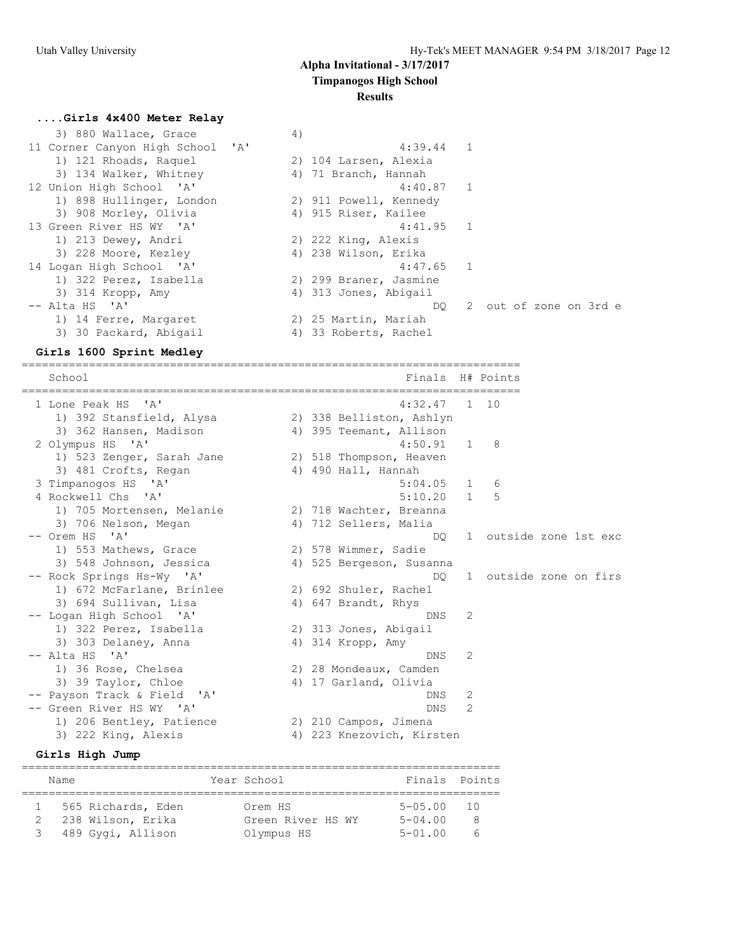### **....Girls 4x400 Meter Relay**

| 3) 880 Wallace, Grace            | 4) |                        |                           |  |  |
|----------------------------------|----|------------------------|---------------------------|--|--|
| 11 Corner Canyon High School 'A' |    | $4:39.44$ 1            |                           |  |  |
| 1) 121 Rhoads, Raquel            |    | 2) 104 Larsen, Alexia  |                           |  |  |
| 3) 134 Walker, Whitney           |    | 4) 71 Branch, Hannah   |                           |  |  |
| 12 Union High School 'A'         |    | $4:40.87$ 1            |                           |  |  |
| 1) 898 Hullinger, London         |    | 2) 911 Powell, Kennedy |                           |  |  |
| 3) 908 Morley, Olivia            |    | 4) 915 Riser, Kailee   |                           |  |  |
| 13 Green River HS WY 'A'         |    | $4:41.95$ 1            |                           |  |  |
| 1) 213 Dewey, Andri              |    | 2) 222 King, Alexis    |                           |  |  |
| 3) 228 Moore, Kezley             |    | 4) 238 Wilson, Erika   |                           |  |  |
| 14 Logan High School 'A'         |    | $4:47.65$ 1            |                           |  |  |
| 1) 322 Perez, Isabella           |    | 2) 299 Braner, Jasmine |                           |  |  |
| 3) 314 Kropp, Amy                |    | 4) 313 Jones, Abigail  |                           |  |  |
| -- Alta HS 'A'                   |    |                        | DO 2 out of zone on 3rd e |  |  |
| 1) 14 Ferre, Margaret            |    | 2) 25 Martin, Mariah   |                           |  |  |
| 3) 30 Packard, Abigail           | 4) | 33 Roberts, Rachel     |                           |  |  |

#### **Girls 1600 Sprint Medley**

==========================================================================

| School                                    | Finals<br>H# Points                                    |  |
|-------------------------------------------|--------------------------------------------------------|--|
| 1 Lone Peak HS 'A'                        | 4:32.47<br>1 10                                        |  |
| 1) 392 Stansfield, Alysa                  | 2) 338 Belliston, Ashlyn                               |  |
| 3) 362 Hansen, Madison                    | 4) 395 Teemant, Allison                                |  |
| 2 Olympus HS 'A'                          | 4:50.91<br>8<br>1                                      |  |
| 1) 523 Zenger, Sarah Jane                 | 2) 518 Thompson, Heaven                                |  |
| 3) 481 Crofts, Regan                      | 4) 490 Hall, Hannah                                    |  |
| 3 Timpanogos HS 'A'<br>4 Rockwell Chs 'A' | 5:04.05<br>1<br>6<br>5<br>5:10.20<br>$\overline{1}$    |  |
| 1) 705 Mortensen, Melanie                 |                                                        |  |
|                                           | 2) 718 Wachter, Breanna                                |  |
| 3) 706 Nelson, Megan<br>-- Orem HS 'A'    | 4) 712 Sellers, Malia<br>1 outside zone 1st exc<br>DO. |  |
| 1) 553 Mathews, Grace                     | 2) 578 Wimmer, Sadie                                   |  |
| 3) 548 Johnson, Jessica                   | 4) 525 Bergeson, Susanna                               |  |
| -- Rock Springs Hs-Wy 'A'                 | 1 outside zone on firs<br>DO.                          |  |
| 1) 672 McFarlane, Brinlee                 | 2) 692 Shuler, Rachel                                  |  |
| 3) 694 Sullivan, Lisa                     | 4) 647 Brandt, Rhys                                    |  |
| -- Logan High School 'A'                  | 2<br><b>DNS</b>                                        |  |
| 1) 322 Perez, Isabella                    | 2) 313 Jones, Abigail                                  |  |
| 3) 303 Delaney, Anna                      | 4) 314 Kropp, Amy                                      |  |
| -- Alta HS 'A'                            | 2<br>DNS.                                              |  |
| 1) 36 Rose, Chelsea                       | 2) 28 Mondeaux, Camden                                 |  |
| 3) 39 Taylor, Chloe                       | 4) 17 Garland, Olivia                                  |  |
| -- Payson Track & Field 'A'               | DNS.<br>2                                              |  |
| -- Green River HS WY 'A'                  | 2<br><b>DNS</b>                                        |  |
| 1) 206 Bentley, Patience                  | 2) 210 Campos, Jimena                                  |  |
| 3) 222 King, Alexis                       | 4) 223 Knezovich, Kirsten                              |  |
|                                           |                                                        |  |

### **Girls High Jump**

======================================================================= Name Year School Finals Points ======================================================================= 1 565 Richards, Eden Orem HS 5-05.00 10 2 238 Wilson, Erika Green River HS WY 5-04.00 8 3 489 Gygi, Allison Olympus HS 5-01.00 6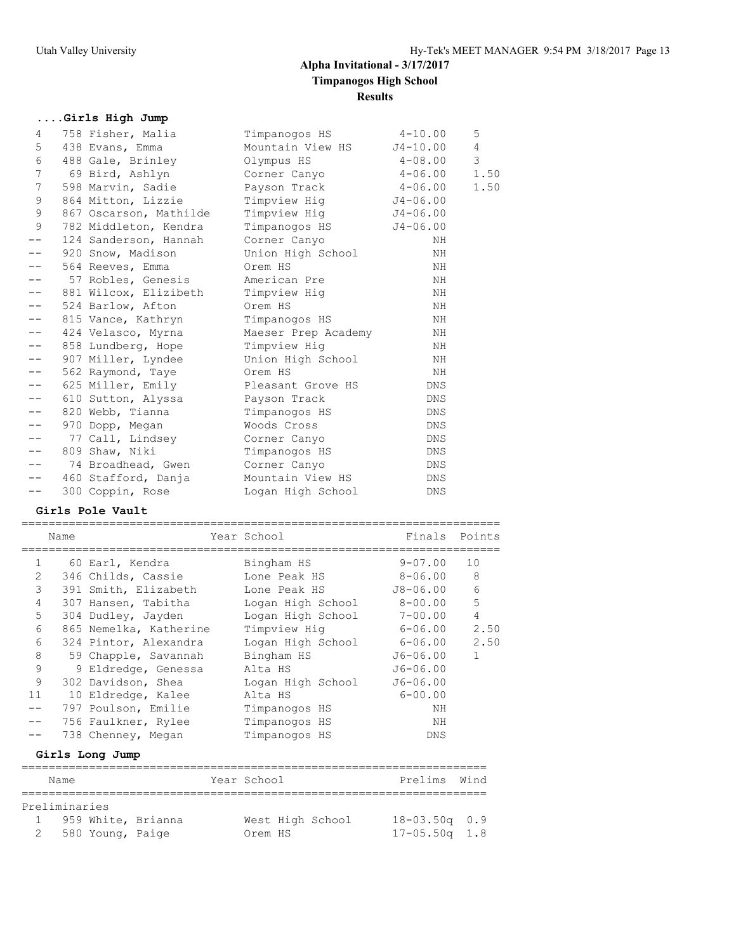## **....Girls High Jump**

| 4               | 758 Fisher, Malia      | Timpanogos HS       | $4 - 10.00$  | 5              |
|-----------------|------------------------|---------------------|--------------|----------------|
| 5               | 438 Evans, Emma        | Mountain View HS    | $J4 - 10.00$ | $\overline{4}$ |
| 6               | 488 Gale, Brinley      | Olympus HS          | $4 - 08.00$  | 3              |
| 7               | 69 Bird, Ashlyn        | Corner Canyo        | $4 - 06.00$  | 1.50           |
| $7\phantom{.0}$ | 598 Marvin, Sadie      | Payson Track        | $4 - 06.00$  | 1.50           |
| 9               | 864 Mitton, Lizzie     | Timpview Hig        | $J4 - 06.00$ |                |
| 9               | 867 Oscarson, Mathilde | Timpview Hiq        | $J4 - 06.00$ |                |
| 9               | 782 Middleton, Kendra  | Timpanogos HS       | $J4 - 06.00$ |                |
|                 | 124 Sanderson, Hannah  | Corner Canyo        | NH           |                |
|                 | 920 Snow, Madison      | Union High School   | NH           |                |
|                 | 564 Reeves, Emma       | Orem HS             | ΝH           |                |
|                 | 57 Robles, Genesis     | American Pre        | NH           |                |
|                 | 881 Wilcox, Elizibeth  | Timpview Hig        | NH           |                |
| $- -$           | 524 Barlow, Afton      | Orem HS             | ΝH           |                |
| $- -$           | 815 Vance, Kathryn     | Timpanogos HS       | NH           |                |
|                 | 424 Velasco, Myrna     | Maeser Prep Academy | NH           |                |
| $- -$           | 858 Lundberg, Hope     | Timpview Hig        | ΝH           |                |
| $- -$           | 907 Miller, Lyndee     | Union High School   | NH           |                |
|                 | 562 Raymond, Taye      | Orem HS             | NH           |                |
| --              | 625 Miller, Emily      | Pleasant Grove HS   | DNS          |                |
| $- -$           | 610 Sutton, Alyssa     | Payson Track        | <b>DNS</b>   |                |
|                 | 820 Webb, Tianna       | Timpanogos HS       | DNS          |                |
| $- -$           | 970 Dopp, Megan        | Woods Cross         | <b>DNS</b>   |                |
| $- -$           | 77 Call, Lindsey       | Corner Canyo        | <b>DNS</b>   |                |
| $- -$           | 809 Shaw, Niki         | Timpanogos HS       | DNS          |                |
| $- -$           | 74 Broadhead, Gwen     | Corner Canyo        | DNS          |                |
| $- -$           | 460 Stafford, Danja    | Mountain View HS    | DNS          |                |
| $- -$           | 300 Coppin, Rose       | Logan High School   | DNS          |                |
|                 |                        |                     |              |                |

### **Girls Pole Vault**

|               | Name |                        | Year School       | Finals Points |              |
|---------------|------|------------------------|-------------------|---------------|--------------|
| $\mathbf{1}$  |      | 60 Earl, Kendra        | Bingham HS        | $9 - 07.00$   | 10           |
| $\mathcal{L}$ |      | 346 Childs, Cassie     | Lone Peak HS      | 8-06.00       | 8            |
| 3             |      | 391 Smith, Elizabeth   | Lone Peak HS      | $J8-06.00$    | 6            |
| 4             |      | 307 Hansen, Tabitha    | Logan High School | 8-00.00       | 5            |
| 5             |      | 304 Dudley, Jayden     | Logan High School | 7-00.00       | 4            |
| 6             |      | 865 Nemelka, Katherine | Timpview Hig      | 6-06.00       | 2.50         |
| 6             |      | 324 Pintor, Alexandra  | Logan High School | 6-06.00       | 2.50         |
| 8             |      | 59 Chapple, Savannah   | Bingham HS        | $J6 - 06.00$  | $\mathbf{1}$ |
| 9             |      | 9 Eldredge, Genessa    | Alta HS           | $J6 - 06.00$  |              |
| 9             |      | 302 Davidson, Shea     | Logan High School | $J6 - 06.00$  |              |
| 11            |      | 10 Eldredge, Kalee     | Alta HS           | $6 - 00.00$   |              |
|               |      | 797 Poulson, Emilie    | Timpanoqos HS     | ΝH            |              |
|               |      | 756 Faulkner, Rylee    | Timpanogos HS     | ΝH            |              |
|               |      | 738 Chenney, Megan     | Timpanogos HS     | DNS           |              |
|               |      | Girls Long Jump        |                   |               |              |
|               | Name |                        | Year School       | Prelims       | Wind         |
|               |      |                        |                   |               |              |

| Preliminaries |                    |                      |         |  |                  |                   |  |  |  |
|---------------|--------------------|----------------------|---------|--|------------------|-------------------|--|--|--|
|               |                    | 1 959 White, Brianna |         |  | West High School | $18 - 03.50q$ 0.9 |  |  |  |
|               | 2 580 Young, Paige |                      | Orem HS |  |                  | $17 - 05.50q$ 1.8 |  |  |  |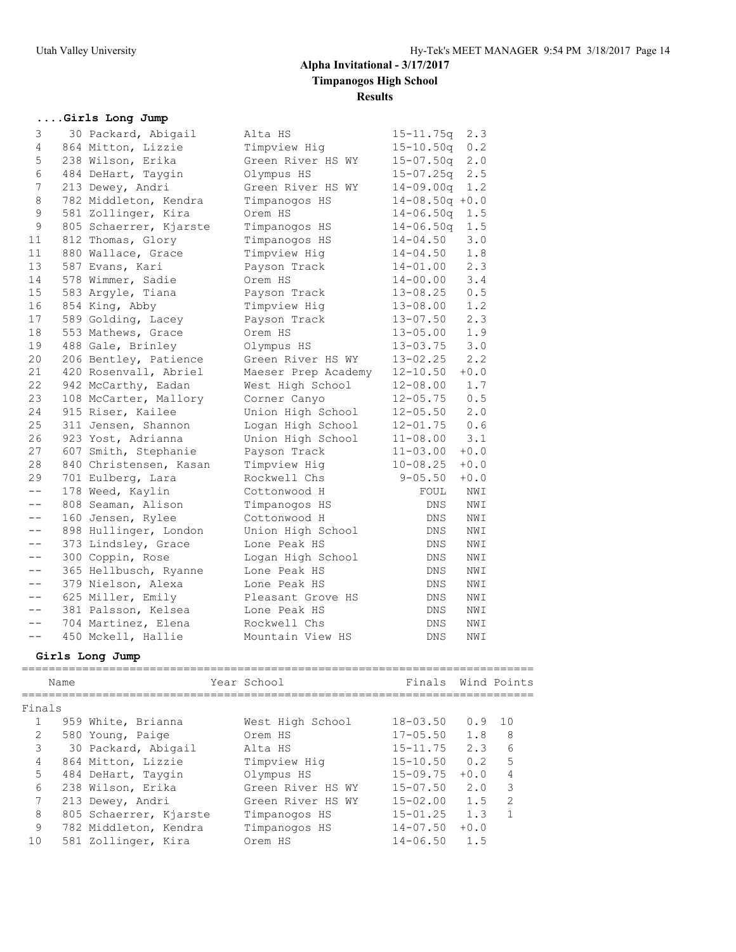## **....Girls Long Jump**

| 3                 | 30 Packard, Abigail    | Alta HS             | $15 - 11.75q$<br>2.3   |
|-------------------|------------------------|---------------------|------------------------|
| 4                 | 864 Mitton, Lizzie     | Timpview Hig        | 0.2<br>$15 - 10.50q$   |
| 5                 | 238 Wilson, Erika      | Green River HS WY   | $15 - 07.50q$<br>2.0   |
| 6                 | 484 DeHart, Taygin     | Olympus HS          | 2.5<br>$15 - 07.25q$   |
| 7                 | 213 Dewey, Andri       | Green River HS WY   | 1.2<br>$14 - 09.00q$   |
| 8                 | 782 Middleton, Kendra  | Timpanogos HS       | $14 - 08.50q + 0.0$    |
| 9                 | 581 Zollinger, Kira    | Orem HS             | $14 - 06.50q$<br>1.5   |
| $\mathsf 9$       | 805 Schaerrer, Kjarste | Timpanogos HS       | $14 - 06.50q$<br>1.5   |
| 11                | 812 Thomas, Glory      | Timpanogos HS       | $14 - 04.50$<br>3.0    |
| 11                | 880 Wallace, Grace     | Timpview Hig        | $14 - 04.50$<br>1.8    |
| 13                | 587 Evans, Kari        | Payson Track        | 2.3<br>$14 - 01.00$    |
| 14                | 578 Wimmer, Sadie      | Orem HS             | $14 - 00.00$<br>3.4    |
| 15                | 583 Arqyle, Tiana      | Payson Track        | 0.5<br>$13 - 08.25$    |
| 16                | 854 King, Abby         | Timpview Hig        | 1.2<br>13-08.00        |
| 17                | 589 Golding, Lacey     | Payson Track        | 2.3<br>$13 - 07.50$    |
| 18                | 553 Mathews, Grace     | Orem HS             | 1.9<br>$13 - 05.00$    |
| 19                | 488 Gale, Brinley      | Olympus HS          | 3.0<br>$13 - 03.75$    |
| 20                | 206 Bentley, Patience  | Green River HS WY   | 2.2<br>$13 - 02.25$    |
| 21                | 420 Rosenvall, Abriel  | Maeser Prep Academy | $+0.0$<br>$12 - 10.50$ |
| 22                | 942 McCarthy, Eadan    | West High School    | 1.7<br>$12 - 08.00$    |
| 23                | 108 McCarter, Mallory  | Corner Canyo        | 0.5<br>$12 - 05.75$    |
| 24                | 915 Riser, Kailee      | Union High School   | $12 - 05.50$<br>2.0    |
| 25                | 311 Jensen, Shannon    | Logan High School   | $12 - 01.75$<br>0.6    |
| 26                | 923 Yost, Adrianna     | Union High School   | 3.1<br>$11 - 08.00$    |
| 27                | 607 Smith, Stephanie   | Payson Track        | $11 - 03.00$<br>$+0.0$ |
| 28                | 840 Christensen, Kasan | Timpview Hig        | $10 - 08.25$<br>$+0.0$ |
| 29                | 701 Eulberg, Lara      | Rockwell Chs        | $9 - 05.50$<br>$+0.0$  |
| $- -$             | 178 Weed, Kaylin       | Cottonwood H        | NWI<br>FOUL            |
| $- -$             | 808 Seaman, Alison     | Timpanogos HS       | <b>DNS</b><br>NWI      |
| $- -$             | 160 Jensen, Rylee      | Cottonwood H        | NWI<br>DNS.            |
| $- -$             | 898 Hullinger, London  | Union High School   | DNS<br>NWI             |
| $- -$             | 373 Lindsley, Grace    | Lone Peak HS        | DNS<br>NWI             |
| $- -$             | 300 Coppin, Rose       | Logan High School   | DNS<br>NWI             |
|                   | 365 Hellbusch, Ryanne  | Lone Peak HS        | DNS<br>NWI             |
| $- -$             | 379 Nielson, Alexa     | Lone Peak HS        | <b>DNS</b><br>NWI      |
| $- -$             | 625 Miller, Emily      | Pleasant Grove HS   | DNS<br>NWI             |
| $\qquad \qquad -$ | 381 Palsson, Kelsea    | Lone Peak HS        | DNS<br>NWI             |
| $- -$             | 704 Martinez, Elena    | Rockwell Chs        | <b>DNS</b><br>NWI      |
| $- -$             | 450 Mckell, Hallie     | Mountain View HS    | NWI<br>DNS             |
|                   |                        |                     |                        |

### **Girls Long Jump**

|               | Name |                        | Year School       | Finals       |        | Wind Points   |
|---------------|------|------------------------|-------------------|--------------|--------|---------------|
| Finals        |      |                        |                   |              |        |               |
|               |      | 959 White, Brianna     | West High School  | $18 - 03.50$ | 0.9    | 1 O           |
| $\mathcal{L}$ |      | 580 Young, Paige       | Orem HS           | $17 - 05.50$ | 1.8    | 8             |
| 3             |      | 30 Packard, Abigail    | Alta HS           | $15 - 11.75$ | 2.3    | 6             |
| 4             |      | 864 Mitton, Lizzie     | Timpview Hig      | $15 - 10.50$ | 0.2    | 5             |
| 5             |      | 484 DeHart, Taygin     | Olympus HS        | $15 - 09.75$ | $+0.0$ | 4             |
| 6             |      | 238 Wilson, Erika      | Green River HS WY | $15 - 07.50$ | 2.0    | 3             |
| 7             |      | 213 Dewey, Andri       | Green River HS WY | $15 - 02.00$ | 1.5    | $\mathcal{L}$ |
| 8             |      | 805 Schaerrer, Kjarste | Timpanogos HS     | $15 - 01.25$ | 1.3    |               |
| 9             |      | 782 Middleton, Kendra  | Timpanogos HS     | $14 - 07.50$ | $+0.0$ |               |
| 10            |      | 581 Zollinger, Kira    | Orem HS           | $14 - 06.50$ | 1.5    |               |
|               |      |                        |                   |              |        |               |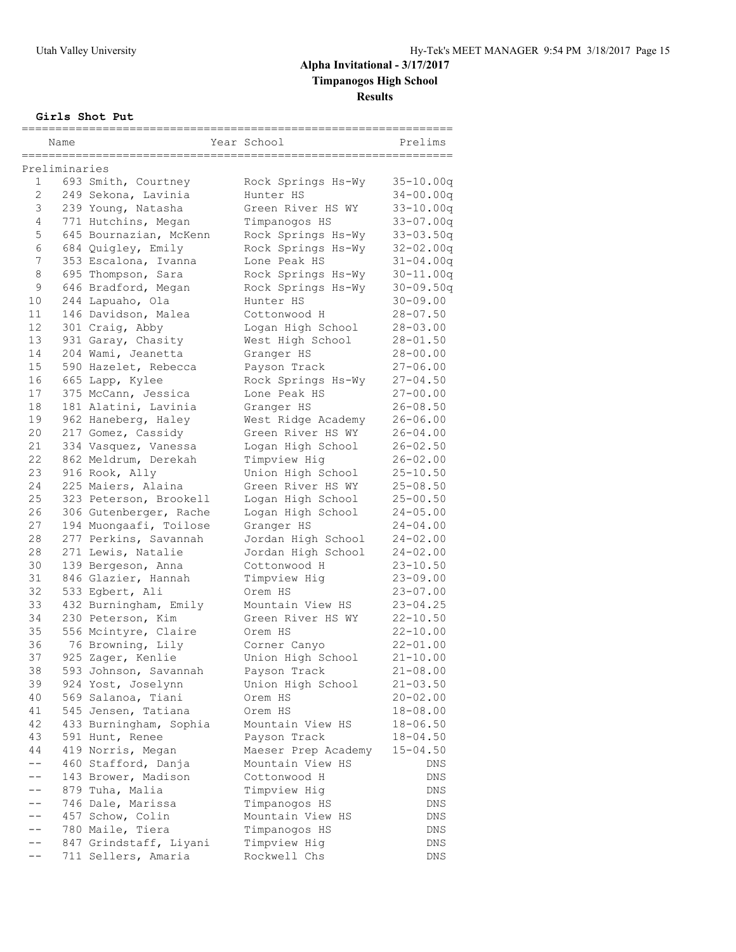### **Girls Shot Put**

|                 | Name          |                                            | Year School                       | Prelims                      |
|-----------------|---------------|--------------------------------------------|-----------------------------------|------------------------------|
|                 |               |                                            |                                   |                              |
| $\mathbf{1}$    | Preliminaries | 693 Smith, Courtney                        | Rock Springs Hs-Wy                | $35 - 10.00q$                |
| $\overline{2}$  |               | 249 Sekona, Lavinia                        | Hunter HS                         | $34 - 00.00q$                |
| 3               |               | 239 Young, Natasha                         | Green River HS WY                 | $33 - 10.00q$                |
| 4               |               | 771 Hutchins, Megan                        | Timpanogos HS                     | $33 - 07.00q$                |
| 5               |               | 645 Bournazian, McKenn                     | Rock Springs Hs-Wy                | $33 - 03.50q$                |
| 6               |               | 684 Quigley, Emily                         | Rock Springs Hs-Wy                | $32 - 02.00q$                |
| 7               |               | 353 Escalona, Ivanna                       | Lone Peak HS                      | $31 - 04.00q$                |
| 8               |               | 695 Thompson, Sara                         | Rock Springs Hs-Wy                | $30 - 11.00q$                |
| 9               |               | 646 Bradford, Megan                        | Rock Springs Hs-Wy                | $30 - 09.50q$                |
| 10              |               | 244 Lapuaho, Ola                           | Hunter HS                         | $30 - 09.00$                 |
| 11              |               | 146 Davidson, Malea                        | Cottonwood H                      | $28 - 07.50$                 |
| 12 <sup>2</sup> |               | 301 Craig, Abby                            | Logan High School                 | $28 - 03.00$                 |
| 13              |               | 931 Garay, Chasity                         | West High School                  | $28 - 01.50$                 |
| 14              |               | 204 Wami, Jeanetta                         | Granger HS                        | $28 - 00.00$                 |
| 15              |               | 590 Hazelet, Rebecca                       | Payson Track                      | $27 - 06.00$                 |
| 16              |               | 665 Lapp, Kylee                            | Rock Springs Hs-Wy                | 27-04.50                     |
| 17              |               | 375 McCann, Jessica                        | Lone Peak HS                      | $27 - 00.00$                 |
| 18              |               |                                            |                                   | $26 - 08.50$                 |
| 19              |               | 181 Alatini, Lavinia                       | Granger HS<br>West Ridge Academy  | $26 - 06.00$                 |
| 20              |               | 962 Haneberg, Haley                        | Green River HS WY                 |                              |
| 21              |               | 217 Gomez, Cassidy<br>334 Vasquez, Vanessa |                                   | 26-04.00                     |
| 22              |               | 862 Meldrum, Derekah                       | Logan High School<br>Timpview Hig | $26 - 02.50$<br>$26 - 02.00$ |
| 23              |               | 916 Rook, Ally                             |                                   | $25 - 10.50$                 |
| 24              |               |                                            | Union High School                 |                              |
| 25              |               | 225 Maiers, Alaina                         | Green River HS WY                 | $25 - 08.50$                 |
|                 |               | 323 Peterson, Brookell                     | Logan High School                 | $25 - 00.50$                 |
| 26<br>27        |               | 306 Gutenberger, Rache                     | Logan High School                 | $24 - 05.00$                 |
| 28              |               | 194 Muongaafi, Toilose                     | Granger HS                        | $24 - 04.00$                 |
|                 |               | 277 Perkins, Savannah                      | Jordan High School                | $24 - 02.00$                 |
| 28<br>30        |               | 271 Lewis, Natalie                         | Jordan High School                | $24 - 02.00$                 |
| 31              |               | 139 Bergeson, Anna                         | Cottonwood H                      | $23 - 10.50$                 |
| 32              |               | 846 Glazier, Hannah                        | Timpview Hig                      | $23 - 09.00$                 |
|                 |               | 533 Egbert, Ali                            | Orem HS                           | $23 - 07.00$                 |
| 33              |               | 432 Burningham, Emily                      | Mountain View HS                  | $23 - 04.25$                 |
| 34              |               | 230 Peterson, Kim                          | Green River HS WY                 | $22 - 10.50$                 |
| 35              |               | 556 Mcintyre, Claire                       | Orem HS                           | $22 - 10.00$                 |
| 36              |               | 76 Browning, Lily                          | Corner Canyo                      | $22 - 01.00$                 |
| 37              |               | 925 Zager, Kenlie                          | Union High School                 | $21 - 10.00$                 |
| 38              |               | 593 Johnson, Savannah                      | Payson Track                      | $21 - 08.00$                 |
| 39              |               | 924 Yost, Joselynn                         | Union High School                 | $21 - 03.50$                 |
| 40              |               | 569 Salanoa, Tiani                         | Orem HS                           | $20 - 02.00$                 |
| 41              |               | 545 Jensen, Tatiana                        | Orem HS                           | $18 - 08.00$                 |
| 42              |               | 433 Burningham, Sophia                     | Mountain View HS                  | $18 - 06.50$                 |
| 43              |               | 591 Hunt, Renee                            | Payson Track                      | $18 - 04.50$                 |
| 44              |               | 419 Norris, Megan                          | Maeser Prep Academy               | $15 - 04.50$                 |
| $--$            |               | 460 Stafford, Danja                        | Mountain View HS                  | DNS                          |
| $- -$           |               | 143 Brower, Madison                        | Cottonwood H                      | DNS                          |
| $- -$           |               | 879 Tuha, Malia                            | Timpview Hig                      | DNS                          |
| $- -$           |               | 746 Dale, Marissa                          | Timpanogos HS                     | DNS                          |
| $- -$           |               | 457 Schow, Colin                           | Mountain View HS                  | DNS                          |
| $- -$           |               | 780 Maile, Tiera                           | Timpanogos HS                     | DNS                          |
| $- -$           |               | 847 Grindstaff, Liyani                     | Timpview Hig                      | DNS                          |
| $- -$           |               | 711 Sellers, Amaria                        | Rockwell Chs                      | DNS                          |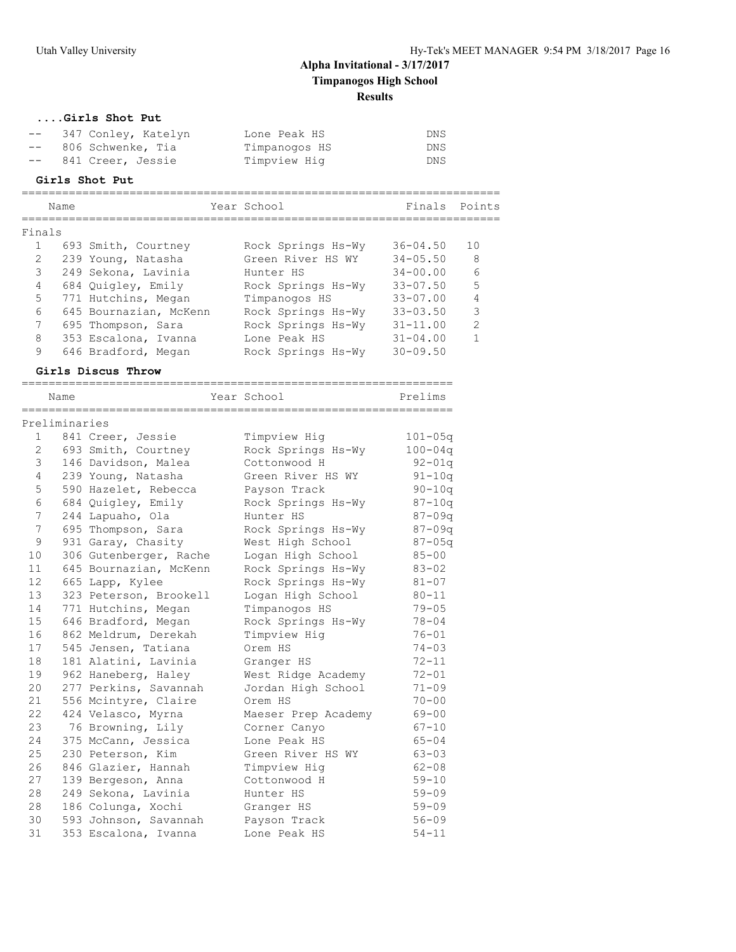### **....Girls Shot Put**

| $- -$ | 347 Conley, Katelyn  | Lone Peak HS  | DNS |
|-------|----------------------|---------------|-----|
|       | -- 806 Schwenke, Tia | Timpanoqos HS | DNS |
| $- -$ | 841 Creer, Jessie    | Timpview Hig  | DNS |

### **Girls Shot Put**

|                 | Name          |                                               | Year School                   | Finals                 | Points         |
|-----------------|---------------|-----------------------------------------------|-------------------------------|------------------------|----------------|
| Finals          |               | =====================                         |                               |                        |                |
| $\mathbf{1}$    |               | 693 Smith, Courtney                           | Rock Springs Hs-Wy            | $36 - 04.50$           | 10             |
| $\mathbf{2}$    |               | 239 Young, Natasha                            | Green River HS WY             | $34 - 05.50$           | 8              |
| 3               |               | 249 Sekona, Lavinia                           | Hunter HS                     | $34 - 00.00$           | 6              |
| 4               |               | 684 Quigley, Emily                            | Rock Springs Hs-Wy            | $33 - 07.50$           | 5              |
| 5               |               | 771 Hutchins, Megan                           | Timpanogos HS                 | $33 - 07.00$           | 4              |
| 6               |               | 645 Bournazian, McKenn                        | Rock Springs Hs-Wy            | $33 - 03.50$           | 3              |
| 7               |               | 695 Thompson, Sara                            | Rock Springs Hs-Wy            | $31 - 11.00$           | $\overline{2}$ |
| 8               |               | 353 Escalona, Ivanna                          | Lone Peak HS                  | $31 - 04.00$           | $\mathbf 1$    |
| 9               |               | 646 Bradford, Megan                           | Rock Springs Hs-Wy            | $30 - 09.50$           |                |
|                 |               | Girls Discus Throw                            |                               |                        |                |
|                 | Name          | -------------------------                     | --------------<br>Year School | Prelims                |                |
|                 | Preliminaries |                                               |                               |                        |                |
| 1               |               | 841 Creer, Jessie                             | Timpview Hig                  | $101 - 05q$            |                |
| 2               |               | 693 Smith, Courtney                           | Rock Springs Hs-Wy            | $100 - 04q$            |                |
| 3               |               | 146 Davidson, Malea                           | Cottonwood H                  | $92 - 01q$             |                |
| 4               |               | 239 Young, Natasha                            | Green River HS WY             | $91 - 10q$             |                |
| 5               |               | 590 Hazelet, Rebecca                          | Payson Track                  | $90 - 10q$             |                |
| 6               |               | 684 Quigley, Emily                            | Rock Springs Hs-Wy            | $87 - 10q$             |                |
| 7               |               | 244 Lapuaho, Ola                              | Hunter HS                     | $87 - 09q$             |                |
| 7               |               | 695 Thompson, Sara                            | Rock Springs Hs-Wy            | $87 - 09q$             |                |
| 9               |               | 931 Garay, Chasity                            | West High School              | $87 - 05q$             |                |
| 10              |               | 306 Gutenberger, Rache                        | Logan High School             | $85 - 00$              |                |
| 11              |               | 645 Bournazian, McKenn                        | Rock Springs Hs-Wy            | $83 - 02$              |                |
| 12 <sup>2</sup> |               | 665 Lapp, Kylee                               | Rock Springs Hs-Wy            | $81 - 07$              |                |
| 13              |               | 323 Peterson, Brookell                        | Logan High School             | $80 - 11$              |                |
| 14              |               | 771 Hutchins, Megan                           | Timpanogos HS                 | $79 - 05$              |                |
| 15              |               | 646 Bradford, Megan                           | Rock Springs Hs-Wy            | $78 - 04$              |                |
| 16              |               | 862 Meldrum, Derekah                          | Timpview Hig                  | $76 - 01$              |                |
| 17              |               | 545 Jensen, Tatiana                           | Orem HS                       | $74 - 03$              |                |
| 18              |               | 181 Alatini, Lavinia                          | Granger HS                    | $72 - 11$              |                |
| 19              |               | 962 Haneberg, Haley                           | West Ridge Academy            | 72-01                  |                |
| 20              |               | 277 Perkins, Savannah                         | Jordan High School            | $71 - 09$              |                |
| 21              |               | 556 Mcintyre, Claire                          | Orem HS                       | $70 - 00$              |                |
| 22              |               | 424 Velasco, Myrna                            | Maeser Prep Academy           | $69 - 00$              |                |
| 23              |               | 76 Browning, Lily                             | Corner Canyo                  | $67 - 10$              |                |
| 24              |               | 375 McCann, Jessica                           | Lone Peak HS                  | $65 - 04$              |                |
| 25              |               | 230 Peterson, Kim                             | Green River HS WY             | $63 - 03$              |                |
| 26              |               | 846 Glazier, Hannah                           | Timpview Hig                  | $62 - 08$              |                |
| 27              |               |                                               | Cottonwood H                  | $59 - 10$              |                |
| 28              |               | 139 Bergeson, Anna<br>249 Sekona, Lavinia     | Hunter HS                     | $59 - 09$              |                |
| 28              |               | 186 Colunga, Xochi                            |                               | $59 - 09$              |                |
|                 |               |                                               | Granger HS                    |                        |                |
| 30<br>31        |               | 593 Johnson, Savannah<br>353 Escalona, Ivanna | Payson Track<br>Lone Peak HS  | $56 - 09$<br>$54 - 11$ |                |
|                 |               |                                               |                               |                        |                |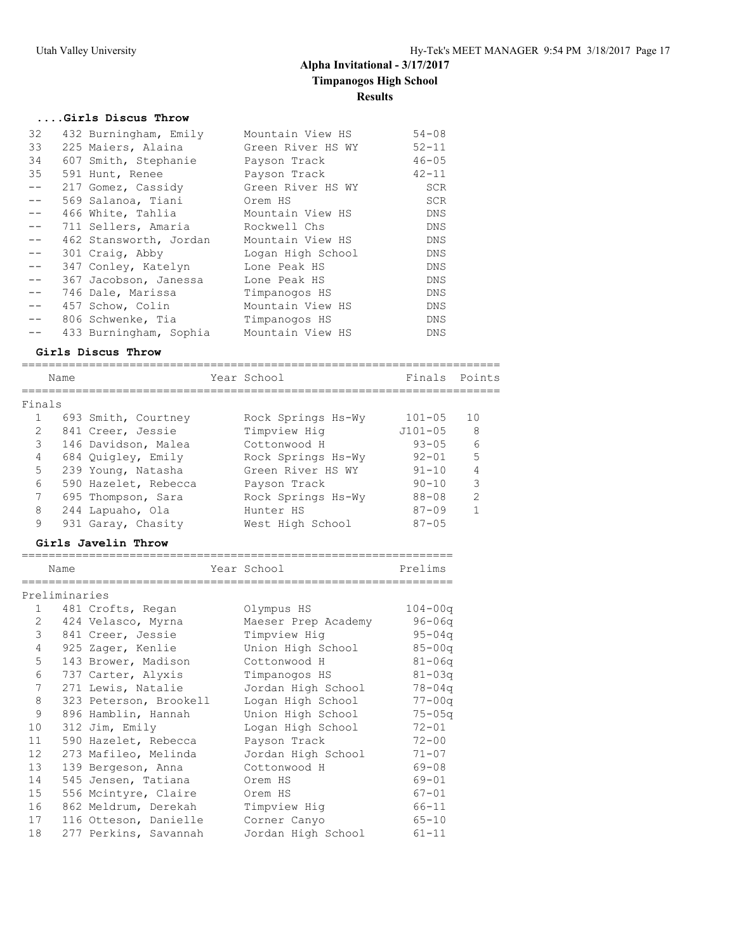## **....Girls Discus Throw**

| 32            | 432 Burningham, Emily  | Mountain View HS  | $54 - 08$  |
|---------------|------------------------|-------------------|------------|
| 33            | 225 Maiers, Alaina     | Green River HS WY | $52 - 11$  |
| 34            | 607 Smith, Stephanie   | Payson Track      | $46 - 05$  |
| 35            | 591 Hunt, Renee        | Payson Track      | $42 - 11$  |
| $- -$         | 217 Gomez, Cassidy     | Green River HS WY | <b>SCR</b> |
| $- -$         | 569 Salanoa, Tiani     | Orem HS           | <b>SCR</b> |
| $- -$         | 466 White, Tahlia      | Mountain View HS  | DNS        |
| $= -$         | 711 Sellers, Amaria    | Rockwell Chs      | DNS        |
| $- -$         | 462 Stansworth, Jordan | Mountain View HS  | DNS        |
| $- -$         | 301 Craig, Abby        | Logan High School | DNS        |
| $- -$         | 347 Conley, Katelyn    | Lone Peak HS      | DNS        |
| $- -$         | 367 Jacobson, Janessa  | Lone Peak HS      | DNS        |
| $- -$         | 746 Dale, Marissa      | Timpanogos HS     | DNS        |
| $\frac{1}{2}$ | 457 Schow, Colin       | Mountain View HS  | DNS        |
| $- -$         | 806 Schwenke, Tia      | Timpanogos HS     | DNS        |
|               | 433 Burningham, Sophia | Mountain View HS  | <b>DNS</b> |

#### **Girls Discus Throw**

|                 | Name |                      | Year School        | Finals Points |               |
|-----------------|------|----------------------|--------------------|---------------|---------------|
| Finals          |      |                      |                    |               |               |
|                 |      | 693 Smith, Courtney  | Rock Springs Hs-Wy | $101 - 05$    | 10            |
| $\overline{2}$  |      | 841 Creer, Jessie    | Timpview Hig       | $J101 - 05$   | 8             |
| 3               |      | 146 Davidson, Malea  | Cottonwood H       | $93 - 05$     | 6             |
| 4               |      | 684 Quigley, Emily   | Rock Springs Hs-Wy | $92 - 01$     | 5             |
| 5               |      | 239 Young, Natasha   | Green River HS WY  | $91 - 10$     |               |
| $6\overline{6}$ |      | 590 Hazelet, Rebecca | Payson Track       | $90 - 10$     | 3             |
| 7               |      | 695 Thompson, Sara   | Rock Springs Hs-Wy | $88 - 08$     | $\mathcal{P}$ |
| 8               |      | 244 Lapuaho, Ola     | Hunter HS          | $87 - 09$     |               |
| 9               |      | 931 Garay, Chasity   | West High School   | $87 - 0.5$    |               |

### **Girls Javelin Throw**

| _<br>___           | ___                                   | ___<br>______ |
|--------------------|---------------------------------------|---------------|
| $\sim$ $-$<br>Name | $ -$<br>$\sim$ $\sim$ $\sim$<br>یہ دے |               |

| Preliminaries |                   |            |             |
|---------------|-------------------|------------|-------------|
|               | 481 Crofts, Regan | Olympus HS | $104 - 00q$ |

| <u>. на с</u> | 101 CLOICD, RCGON      | $\cup$ $\bot$ yiiip up in | 101 UUU    |
|---------------|------------------------|---------------------------|------------|
| 2             | 424 Velasco, Myrna     | Maeser Prep Academy       | 96-06a     |
| 3             | 841 Creer, Jessie      | Timpview Hig              | $95 - 04q$ |
| 4             | 925 Zager, Kenlie      | Union High School         | $85 - 00q$ |
| 5             | 143 Brower, Madison    | Cottonwood H              | $81 - 06q$ |
| 6             | 737 Carter, Alyxis     | Timpanogos HS             | $81 - 03q$ |
| $7^{\circ}$   | 271 Lewis, Natalie     | Jordan High School        | $78 - 04q$ |
| 8             | 323 Peterson, Brookell | Logan High School         | $77 - 00q$ |
| 9             | 896 Hamblin, Hannah    | Union High School         | $75 - 05q$ |
| 10            | 312 Jim, Emily         | Logan High School         | $72 - 01$  |
| 11            | 590 Hazelet, Rebecca   | Payson Track              | $72 - 00$  |
| 12            | 273 Mafileo, Melinda   | Jordan High School        | $71 - 07$  |
| 13            | 139 Bergeson, Anna     | Cottonwood H              | $69 - 08$  |
| 14            | 545 Jensen, Tatiana    | Orem HS                   | $69 - 01$  |
| 15            | 556 Mcintyre, Claire   | Orem HS                   | $67 - 01$  |
| 16            | 862 Meldrum, Derekah   | Timpview Hig              | $66 - 11$  |
| 17            | 116 Otteson, Danielle  | Corner Canyo              | $65 - 10$  |
| 18            | 277 Perkins, Savannah  | Jordan High School        | $61 - 11$  |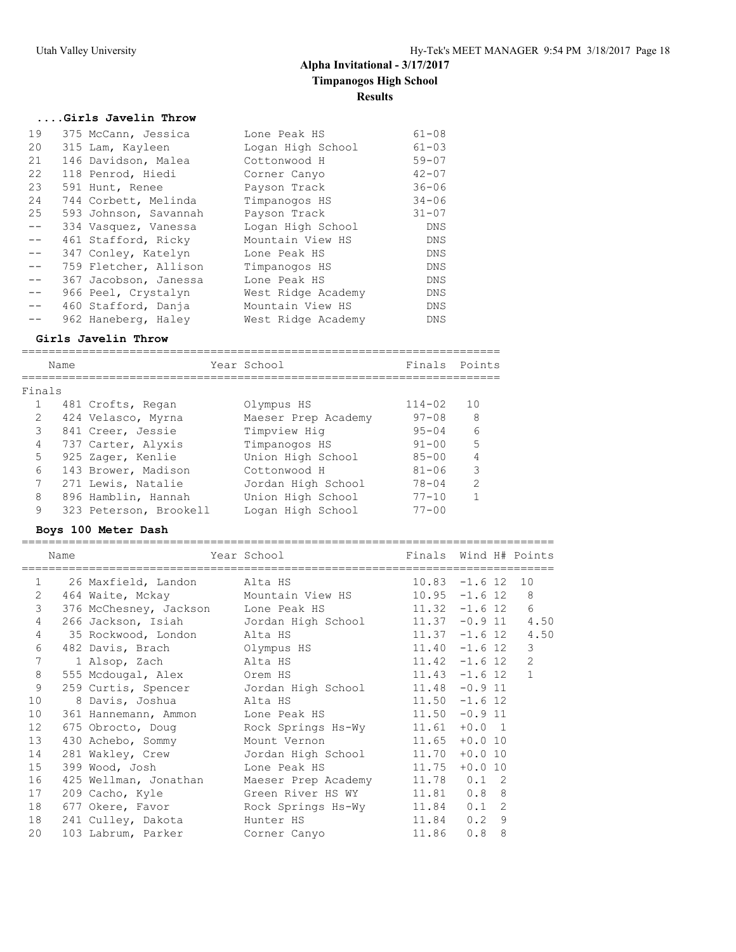### **....Girls Javelin Throw**

| 19    | 375 McCann, Jessica   | Lone Peak HS       | $61 - 08$  |
|-------|-----------------------|--------------------|------------|
| 20    | 315 Lam, Kayleen      | Logan High School  | $61 - 03$  |
| 21    | 146 Davidson, Malea   | Cottonwood H       | $59 - 07$  |
| 22    | 118 Penrod, Hiedi     | Corner Canyo       | $42 - 07$  |
| 23    | 591 Hunt, Renee       | Payson Track       | $36 - 06$  |
| 24    | 744 Corbett, Melinda  | Timpanogos HS      | $34 - 06$  |
| 25    | 593 Johnson, Savannah | Payson Track       | $31 - 07$  |
| $- -$ | 334 Vasquez, Vanessa  | Logan High School  | DNS        |
| $- -$ | 461 Stafford, Ricky   | Mountain View HS   | DNS        |
| $- -$ | 347 Conley, Katelyn   | Lone Peak HS       | DNS        |
| $- -$ | 759 Fletcher, Allison | Timpanogos HS      | DNS        |
| $- -$ | 367 Jacobson, Janessa | Lone Peak HS       | DNS        |
| $- -$ | 966 Peel, Crystalyn   | West Ridge Academy | DNS        |
| $-$   | 460 Stafford, Danja   | Mountain View HS   | DNS        |
|       | 962 Haneberg, Haley   | West Ridge Academy | <b>DNS</b> |

#### **Girls Javelin Throw**

======================================================================= Name Year School Finals Points ======================================================================= Finals 1 481 Crofts, Regan Olympus HS 114-02 10 2 424 Velasco, Myrna Maeser Prep Academy 97-08 8 3 841 Creer, Jessie Timpview Hig 95-04 6 4 737 Carter, Alyxis Timpanogos HS 91-00 5 5 925 Zager, Kenlie Union High School 85-00 4 6 143 Brower, Madison Cottonwood H 81-06 3 7 271 Lewis, Natalie Jordan High School 78-04 2 8 896 Hamblin, Hannah Union High School 77-10 1 9 323 Peterson, Brookell Logan High School 77-00

#### **Boys 100 Meter Dash**

|                | Name |                                       | Finals Wind H# Points<br>Year School                        |                  |     |   |                |
|----------------|------|---------------------------------------|-------------------------------------------------------------|------------------|-----|---|----------------|
| $\mathbf{1}$   |      | 26 Maxfield, Landon Alta HS           | $10.83 - 1.6$ 12                                            |                  |     |   | 10             |
| 2              |      |                                       | 464 Waite, Mckay Mountain View HS 10.95 -1.6 12 8           |                  |     |   |                |
| $\mathcal{S}$  |      |                                       | 376 McChesney, Jackson Lone Peak HS 11.32 -1.6 12 6         |                  |     |   |                |
| $\overline{4}$ |      |                                       | 266 Jackson, Isiah Jordan High School 11.37 -0.9 11 4.50    |                  |     |   |                |
| $\overline{4}$ |      | 35 Rockwood, London Alta HS           | $11.37 - 1.6$ 12 4.50                                       |                  |     |   |                |
| 6              |      | 482 Davis, Brach           Olympus HS |                                                             | $11.40 - 1.6 12$ |     |   | 3              |
| 7              |      | 1 Alsop, Zach alta HS                 | $11.42 - 1.6 12$                                            |                  |     |   | $\overline{2}$ |
| 8              |      | 555 Mcdougal, Alex Orem HS            |                                                             | $11.43 - 1.6$ 12 |     |   | $\mathbf{1}$   |
| 9              |      |                                       | 259 Curtis, Spencer Jordan High School 11.48 -0.9 11        |                  |     |   |                |
| 10             |      | 8 Davis, Joshua (alta HS              | $11.50 - 1.6 12$                                            |                  |     |   |                |
| 10             |      |                                       | 361 Hannemann, Ammon Lone Peak HS 11.50 -0.9 11             |                  |     |   |                |
| 12             |      |                                       | 675 Obrocto, Doug Rock Springs Hs-Wy 11.61 +0.0 1           |                  |     |   |                |
| 13             |      |                                       | 430 Achebo, Sommy Mount Vernon 11.65 +0.0 10                |                  |     |   |                |
| 14             |      |                                       | 281 Wakley, Crew Jordan High School 11.70 +0.0 10           |                  |     |   |                |
| 15             |      |                                       | 399 Wood, Josh         Lone Peak HS           11.75 +0.0 10 |                  |     |   |                |
| 16             |      |                                       | 425 Wellman, Jonathan Maeser Prep Academy 11.78 0.1 2       |                  |     |   |                |
| 17             |      | 209 Cacho, Kyle                       | Green River HS WY 11.81 0.8 8                               |                  |     |   |                |
| 18             |      |                                       | 677 Okere, Favor Rock Springs Hs-Wy 11.84 0.1 2             |                  |     |   |                |
| 18             |      | 241 Culley, Dakota Munter HS          |                                                             | 11.84 0.2 9      |     |   |                |
| 20             |      |                                       | 103 Labrum, Parker Corner Canyo 11.86                       |                  | 0.8 | 8 |                |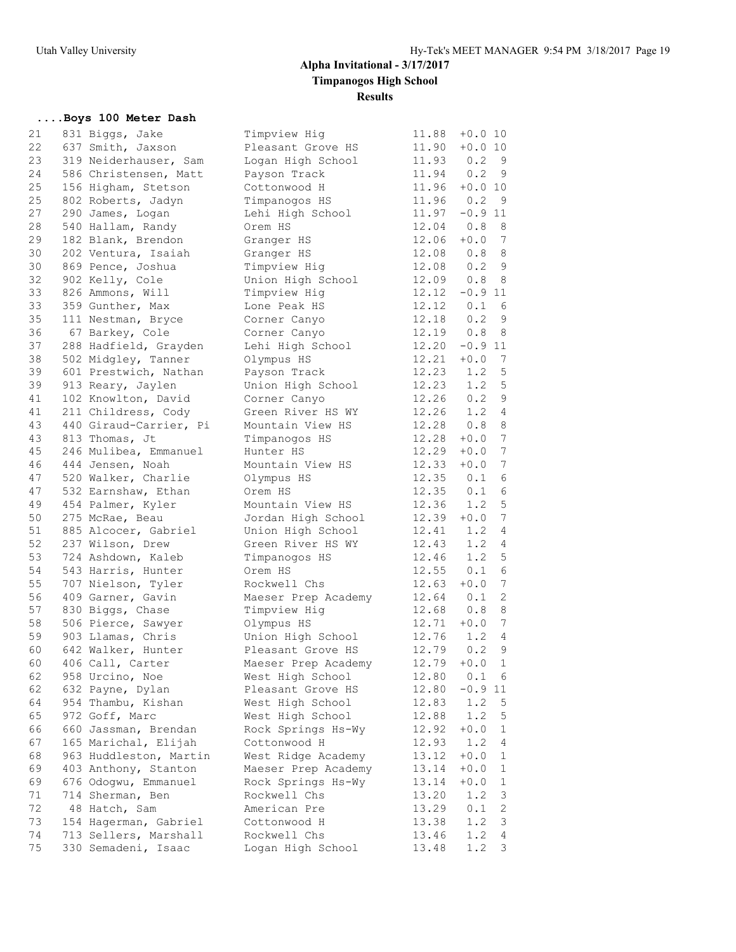## **....Boys 100 Meter Dash**

| 21 | 831 Biggs, Jake        | Timpview Hig        | 11.88         | $+0.0$ 10                        |
|----|------------------------|---------------------|---------------|----------------------------------|
| 22 | 637 Smith, Jaxson      | Pleasant Grove HS   |               | $11.90 + 0.0 10$                 |
| 23 | 319 Neiderhauser, Sam  | Logan High School   | 11.93         | 0.2<br>- 9                       |
| 24 | 586 Christensen, Matt  | Payson Track        | 11.94 0.2     | - 9                              |
| 25 | 156 Higham, Stetson    | Cottonwood H        |               | $11.96 + 0.0 10$                 |
| 25 | 802 Roberts, Jadyn     | Timpanogos HS       | 11.96 0.2     | - 9                              |
| 27 | 290 James, Logan       | Lehi High School    | 11.97         | $-0.9$ 11                        |
| 28 | 540 Hallam, Randy      | Orem HS             | 12.04         | 0.8<br>8                         |
| 29 | 182 Blank, Brendon     | Granger HS          | 12.06         | $+0.0$ 7                         |
| 30 | 202 Ventura, Isaiah    | Granger HS          | 12.08         | 0.88                             |
| 30 | 869 Pence, Joshua      | Timpview Hig        | 12.08         | 0.29                             |
| 32 | 902 Kelly, Cole        | Union High School   | 12.09         | 0.8<br>- 8                       |
| 33 | 826 Ammons, Will       | Timpview Hig        |               | $12.12 -0.911$                   |
| 33 | 359 Gunther, Max       | Lone Peak HS        | 12.12         | 0.1<br>6                         |
| 35 | 111 Nestman, Bryce     | Corner Canyo        | 12.18         | 0.2<br>- 9                       |
| 36 |                        | Corner Canyo        | 12.19         | 8<br>0.8                         |
| 37 | 67 Barkey, Cole        |                     | 12.20         | $-0.9$ 11                        |
| 38 | 288 Hadfield, Grayden  | Lehi High School    |               |                                  |
|    | 502 Midgley, Tanner    | Olympus HS          | $12.21 + 0.0$ | $\overline{7}$                   |
| 39 | 601 Prestwich, Nathan  | Payson Track        |               | $12.23$ $1.2$<br>5               |
| 39 | 913 Reary, Jaylen      | Union High School   | 12.23         | 1.2 <sub>5</sub><br>0.29         |
| 41 | 102 Knowlton, David    | Corner Canyo        | 12.26         |                                  |
| 41 | 211 Childress, Cody    | Green River HS WY   | 12.26         | $1.2$ 4                          |
| 43 | 440 Giraud-Carrier, Pi | Mountain View HS    | 12.28         | $\,8\,$<br>0.8                   |
| 43 | 813 Thomas, Jt         | Timpanogos HS       | 12.28         | $7\phantom{.0}$<br>$+0.0$        |
| 45 | 246 Mulibea, Emmanuel  | Hunter HS           | 12.29         | 7<br>$+0.0$                      |
| 46 | 444 Jensen, Noah       | Mountain View HS    | 12.33         | 7<br>$+0.0$                      |
| 47 | 520 Walker, Charlie    | Olympus HS          | 12.35         | 6<br>0.1                         |
| 47 | 532 Earnshaw, Ethan    | Orem HS             | 12.35         | $\sqrt{6}$<br>0.1                |
| 49 | 454 Palmer, Kyler      | Mountain View HS    | 12.36         | 5<br>1.2                         |
| 50 | 275 McRae, Beau        | Jordan High School  | $12.39 + 0.0$ | $7\phantom{.0}$                  |
| 51 | 885 Alcocer, Gabriel   | Union High School   |               | $12.41$ $1.2$<br>$\overline{4}$  |
| 52 | 237 Wilson, Drew       | Green River HS WY   | 12.43         | 1.2<br>4                         |
| 53 | 724 Ashdown, Kaleb     | Timpanogos HS       | 12.46         | 1.2<br>5                         |
| 54 | 543 Harris, Hunter     | Orem HS             | 12.55         | $\sqrt{6}$<br>0.1                |
| 55 | 707 Nielson, Tyler     | Rockwell Chs        | 12.63         | $7\phantom{.0}$<br>$+0.0$        |
| 56 | 409 Garner, Gavin      | Maeser Prep Academy | $12.64$ 0.1   | 2                                |
| 57 | 830 Biggs, Chase       | Timpview Hig        | 12.68         | 8<br>0.8                         |
| 58 | 506 Pierce, Sawyer     | Olympus HS          |               | $12.71 + 0.0$<br>$7\phantom{.0}$ |
| 59 | 903 Llamas, Chris      | Union High School   | 12.76         | 1.2<br>$\overline{4}$            |
| 60 | 642 Walker, Hunter     | Pleasant Grove HS   | 12.79         | $\mathsf 9$<br>0.2               |
| 60 | 406 Call, Carter       | Maeser Prep Academy | 12.79         | $\mathbf{1}$<br>$+0.0$           |
| 62 | 958 Urcino, Noe        | West High School    | 12.80         | 0.1<br>6                         |
| 62 | 632 Payne, Dylan       | Pleasant Grove HS   | 12.80         | $-0.9$ 11                        |
| 64 | 954 Thambu, Kishan     | West High School    | 12.83         | 1.2<br>5                         |
| 65 | 972 Goff, Marc         | West High School    | 12.88         | 1.2<br>5                         |
| 66 | 660 Jassman, Brendan   | Rock Springs Hs-Wy  | 12.92         | $+0.0$<br>$\mathbf 1$            |
| 67 | 165 Marichal, Elijah   | Cottonwood H        | 12.93         | 1.2<br>4                         |
| 68 | 963 Huddleston, Martin | West Ridge Academy  | 13.12         | $+0.0$<br>$\mathbf 1$            |
| 69 | 403 Anthony, Stanton   | Maeser Prep Academy | 13.14         | $+0.0$<br>1                      |
| 69 | 676 Odogwu, Emmanuel   | Rock Springs Hs-Wy  | 13.14         | $+0.0$<br>1                      |
| 71 | 714 Sherman, Ben       | Rockwell Chs        | 13.20         | 1.2<br>3                         |
| 72 | 48 Hatch, Sam          | American Pre        | 13.29         | $\sqrt{2}$<br>0.1                |
| 73 | 154 Hagerman, Gabriel  | Cottonwood H        | 13.38         | 1.2<br>3                         |
| 74 | 713 Sellers, Marshall  | Rockwell Chs        | 13.46         | 1.2<br>$\overline{4}$            |
| 75 | 330 Semadeni, Isaac    | Logan High School   | 13.48         | 1.2<br>3                         |
|    |                        |                     |               |                                  |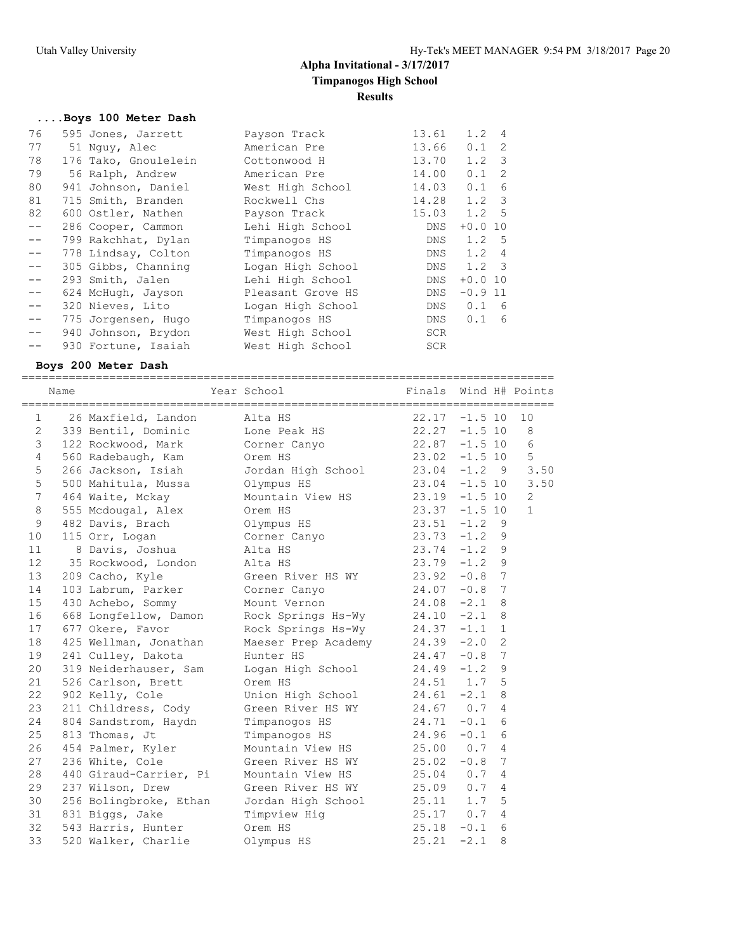## **....Boys 100 Meter Dash**

| 76 | 595 Jones, Jarrett   | Payson Track      | 13.61 | 1.2              | $\overline{4}$ |
|----|----------------------|-------------------|-------|------------------|----------------|
| 77 | 51 Nguy, Alec        | American Pre      | 13.66 | $0.1 \quad 2$    |                |
| 78 | 176 Tako, Gnoulelein | Cottonwood H      | 13.70 | $1.2 \quad 3$    |                |
| 79 | 56 Ralph, Andrew     | American Pre      | 14.00 | 0.1              | -2             |
| 80 | 941 Johnson, Daniel  | West High School  | 14.03 | 0.1              | 6              |
| 81 | 715 Smith, Branden   | Rockwell Chs      | 14.28 | $1.2 \quad 3$    |                |
| 82 | 600 Ostler, Nathen   | Payson Track      | 15.03 | 1.2 <sub>5</sub> |                |
|    | 286 Cooper, Cammon   | Lehi High School  | DNS   | $+0.0$ 10        |                |
|    | 799 Rakchhat, Dylan  | Timpanogos HS     | DNS   | $1.2 \quad 5$    |                |
|    | 778 Lindsay, Colton  | Timpanogos HS     | DNS   | $1.2 \quad 4$    |                |
|    | 305 Gibbs, Channing  | Logan High School | DNS   | $1.2 \quad 3$    |                |
|    | 293 Smith, Jalen     | Lehi High School  | DNS   | $+0.0$ 10        |                |
|    | 624 McHugh, Jayson   | Pleasant Grove HS | DNS   | $-0.9$ 11        |                |
|    | 320 Nieves, Lito     | Logan High School | DNS   | $0.1\quad 6$     |                |
|    | 775 Jorgensen, Hugo  | Timpanogos HS     | DNS   | $0.1\quad 6$     |                |
|    | 940 Johnson, Brydon  | West High School  | SCR   |                  |                |
|    | 930 Fortune, Isaiah  | West High School  | SCR   |                  |                |
|    |                      |                   |       |                  |                |

### **Boys 200 Meter Dash**

|                 | Name | Year School                     |                                                | Finals           |           |                 | Wind H# Points |
|-----------------|------|---------------------------------|------------------------------------------------|------------------|-----------|-----------------|----------------|
|                 |      | 1 26 Maxfield, Landon           | Alta HS                                        | $22.17 - 1.5 10$ |           |                 | 10             |
| $\mathbf{2}$    |      | 339 Bentil, Dominic             | Lone Peak HS                                   | $22.27 - 1.5 10$ |           |                 | 8              |
| $\mathcal{E}$   |      |                                 | 122 Rockwood, Mark Corner Canyo 22.87          |                  | $-1.5$ 10 |                 | 6              |
| $\overline{4}$  |      | 560 Radebaugh, Kam Orem HS      |                                                | 23.02            | $-1.5$ 10 |                 | 5              |
| 5               |      |                                 | 266 Jackson, Isiah Jordan High School 23.04    |                  |           |                 | $-1.2$ 9 3.50  |
| 5               |      | 500 Mahitula, Mussa Olympus HS  |                                                | 23.04            | $-1.5$ 10 |                 | 3.50           |
| $7\phantom{.0}$ |      |                                 | 464 Waite, Mckay Mountain View HS 23.19        |                  | $-1.5$ 10 |                 | 2              |
| 8               |      | 555 Mcdougal, Alex Orem HS      |                                                | 23.37            | $-1.5$ 10 |                 | $\mathbf{1}$   |
| $\mathsf 9$     |      | 482 Davis, Brach Olympus HS     |                                                | 23.51            | $-1.2$ 9  |                 |                |
| 10              |      | 115 Orr, Logan                  | Corner Canyo                                   | $23.73 - 1.2$    |           | 9               |                |
| 11              |      | 8 Davis, Joshua                 | Alta HS                                        | $23.74 - 1.2$    |           | 9               |                |
| 12              |      | 35 Rockwood, London Alta HS     |                                                | 23.79            | $-1.2$    | 9               |                |
| 13              |      | 209 Cacho, Kyle                 | Green River HS WY                              | 23.92            | $-0.8$    | 7               |                |
| 14              |      | 103 Labrum, Parker Corner Canyo |                                                | 24.07            | $-0.8$    | $7\phantom{.0}$ |                |
| 15              |      | 430 Achebo, Sommy               | Mount Vernon                                   | 24.08            | $-2.1$    | 8               |                |
| 16              |      |                                 | 668 Longfellow, Damon Rock Springs Hs-Wy 24.10 |                  | $-2.1$    | 8               |                |
| 17              |      | 677 Okere, Favor                | Rock Springs Hs-Wy 24.37                       |                  | $-1.1$    | $\mathbf{1}$    |                |
| 18              |      | 425 Wellman, Jonathan           | Maeser Prep Academy 24.39                      |                  | $-2.0$    | $\overline{2}$  |                |
| 19              |      | 241 Culley, Dakota              | 24.47<br>Hunter HS                             |                  | $-0.8$    | 7               |                |
| 20              |      | 319 Neiderhauser, Sam           | Logan High School 24.49                        |                  | $-1.2$    | 9               |                |
| 21              |      | 526 Carlson, Brett              | Orem HS                                        | 24.51 1.7        |           | 5               |                |
| 22              |      | 902 Kelly, Cole                 | Union High School 24.61                        |                  | $-2.1$    | 8               |                |
| 23              |      | 211 Childress, Cody             | Green River HS WY                              | 24.67 0.7        |           | 4               |                |
| 24              |      | 804 Sandstrom, Haydn            | Timpanogos HS                                  | 24.71            | $-0.1$    | 6               |                |
| 25              |      | 813 Thomas, Jt                  | Timpanogos HS                                  | 24.96            | $-0.1$    | 6               |                |
| 26              |      | 454 Palmer, Kyler               | Mountain View HS 25.00                         |                  | 0.7       | $\overline{4}$  |                |
| 27              |      | 236 White, Cole                 | Green River HS WY 25.02                        |                  | $-0.8$    | 7               |                |
| 28              |      | 440 Giraud-Carrier, Pi          | Mountain View HS 25.04                         |                  | 0.7       | 4               |                |
| 29              |      | 237 Wilson, Drew                | Green River HS WY 25.09 0.7                    |                  |           | 4               |                |
| 30              |      | 256 Bolingbroke, Ethan          | Jordan High School 25.11 1.7                   |                  |           | 5               |                |
| 31              |      | 831 Biggs, Jake                 | Timpview Hig                                   | 25.17 0.7        |           | 4               |                |
| 32              |      | 543 Harris, Hunter              | Orem HS                                        | 25.18            | $-0.1$    | 6               |                |
| 33              |      | 520 Walker, Charlie             | Olympus HS                                     | 25.21            | $-2.1$    | 8               |                |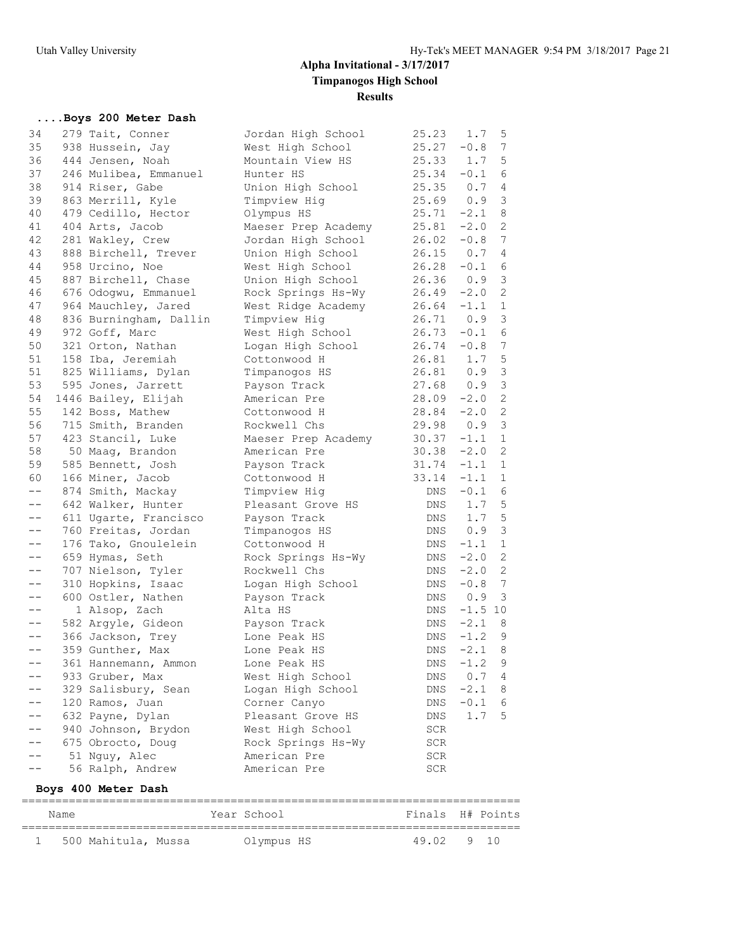## **....Boys 200 Meter Dash**

| 34                | 279 Tait, Conner       | Jordan High School  | 25.23          | 1.7       | 5               |
|-------------------|------------------------|---------------------|----------------|-----------|-----------------|
| 35                | 938 Hussein, Jay       | West High School    | 25.27          | $-0.8$    | $7\phantom{.0}$ |
| 36                | 444 Jensen, Noah       | Mountain View HS    | 25.33          | 1.7       | 5               |
| 37                | 246 Mulibea, Emmanuel  | Hunter HS           | 25.34          | $-0.1$    | 6               |
| 38                | 914 Riser, Gabe        | Union High School   | 25.35          | 0.7       | $\overline{4}$  |
| 39                | 863 Merrill, Kyle      | Timpview Hig        | 25.69          | 0.9       | 3               |
| 40                | 479 Cedillo, Hector    | Olympus HS          | $25.71 -2.1$   |           | $\,8\,$         |
| 41                | 404 Arts, Jacob        | Maeser Prep Academy | 25.81          | $-2.0$    | $\mathbf{2}$    |
| 42                | 281 Wakley, Crew       | Jordan High School  | 26.02          | $-0.8$    | 7               |
| 43                | 888 Birchell, Trever   | Union High School   | 26.15          | 0.7       | 4               |
| 44                | 958 Urcino, Noe        | West High School    | 26.28          | $-0.1$    | $\epsilon$      |
| 45                | 887 Birchell, Chase    | Union High School   | 26.36          | 0.9       | $\mathsf 3$     |
| 46                | 676 Odogwu, Emmanuel   | Rock Springs Hs-Wy  | 26.49          | $-2.0$    | $\overline{c}$  |
| 47                | 964 Mauchley, Jared    | West Ridge Academy  | 26.64          | $-1.1$    | $\mathbf{1}$    |
| 48                | 836 Burningham, Dallin | Timpview Hig        | 26.71          | 0.9       | 3               |
| 49                | 972 Goff, Marc         | West High School    | 26.73          | $-0.1$    | 6               |
| 50                | 321 Orton, Nathan      | Logan High School   | 26.74          | $-0.8$    | 7               |
| 51                | 158 Iba, Jeremiah      | Cottonwood H        | 26.81          | 1.7       | 5               |
| 51                | 825 Williams, Dylan    | Timpanogos HS       |                | 0.9       | $\mathfrak{Z}$  |
| 53                | 595 Jones, Jarrett     | Payson Track        | 26.81<br>27.68 | 0.9       | $\mathfrak{Z}$  |
| 54                | 1446 Bailey, Elijah    | American Pre        | 28.09          | $-2.0$    | 2               |
| 55                | 142 Boss, Mathew       | Cottonwood H        | 28.84          | $-2.0$    | $\mathbf{2}$    |
| 56                | 715 Smith, Branden     | Rockwell Chs        | 29.98          | 0.9       | 3               |
| 57                | 423 Stancil, Luke      | Maeser Prep Academy | $30.37 -1.1$   |           | $\mathbf{1}$    |
| 58                | 50 Maag, Brandon       | American Pre        | 30.38          | $-2.0$    | 2               |
| 59                | 585 Bennett, Josh      | Payson Track        | 31.74          | $-1.1$    | $\mathbf{1}$    |
| 60                | 166 Miner, Jacob       | Cottonwood H        | 33.14          | $-1.1$    | $\mathbf{1}$    |
| $ -$              | 874 Smith, Mackay      | Timpview Hig        | DNS            | $-0.1$    | 6               |
| $- -$             | 642 Walker, Hunter     | Pleasant Grove HS   | DNS            | 1.7       | $\mathsf S$     |
| $- -$             | 611 Ugarte, Francisco  | Payson Track        | DNS            | 1.7       | $\overline{5}$  |
| $ -$              | 760 Freitas, Jordan    | Timpanogos HS       | DNS            | 0.9       | $\mathfrak{Z}$  |
| $ -$              | 176 Tako, Gnoulelein   | Cottonwood H        | DNS            | $-1.1$    | $\mathbf{1}$    |
| $- -$             | 659 Hymas, Seth        | Rock Springs Hs-Wy  | DNS            | $-2.0$    | 2               |
| $\qquad \qquad -$ | 707 Nielson, Tyler     | Rockwell Chs        | DNS            | $-2.0$    | 2               |
| $ -$              | 310 Hopkins, Isaac     | Logan High School   | DNS            | $-0.8$    | 7               |
| $\qquad \qquad -$ | 600 Ostler, Nathen     | Payson Track        | DNS            | 0.9       | 3               |
| $- -$             | 1 Alsop, Zach          | Alta HS             | DNS            | $-1.5$ 10 |                 |
| $- \, -$          | 582 Argyle, Gideon     | Payson Track        | DNS            | $-2.1$    | 8               |
| $- \, -$          | 366 Jackson, Trey      | Lone Peak HS        | DNS            | $-1.2$    | 9               |
| $ -$              | 359 Gunther, Max       | Lone Peak HS        | DNS            | $-2.1$    | 8               |
| $- -$             | 361 Hannemann, Ammon   | Lone Peak HS        | DNS            | $-1.2$ 9  |                 |
|                   | 933 Gruber, Max        | West High School    | DNS            | 0.7       | 4               |
|                   | 329 Salisbury, Sean    | Logan High School   | DNS            | $-2.1$    | 8               |
|                   | 120 Ramos, Juan        | Corner Canyo        | DNS            | $-0.1$    | 6               |
|                   | 632 Payne, Dylan       | Pleasant Grove HS   | DNS            | 1.7       | 5               |
|                   | 940 Johnson, Brydon    | West High School    | SCR            |           |                 |
|                   | 675 Obrocto, Doug      | Rock Springs Hs-Wy  | SCR            |           |                 |
|                   | 51 Nguy, Alec          | American Pre        | SCR            |           |                 |
|                   | 56 Ralph, Andrew       | American Pre        | SCR            |           |                 |
|                   |                        |                     |                |           |                 |

## **Boys 400 Meter Dash**

| Name |                     |  | Year School |  | Finals H# Points |  |
|------|---------------------|--|-------------|--|------------------|--|
|      | 500 Mahitula, Mussa |  | Olympus HS  |  | 49.02 9 10       |  |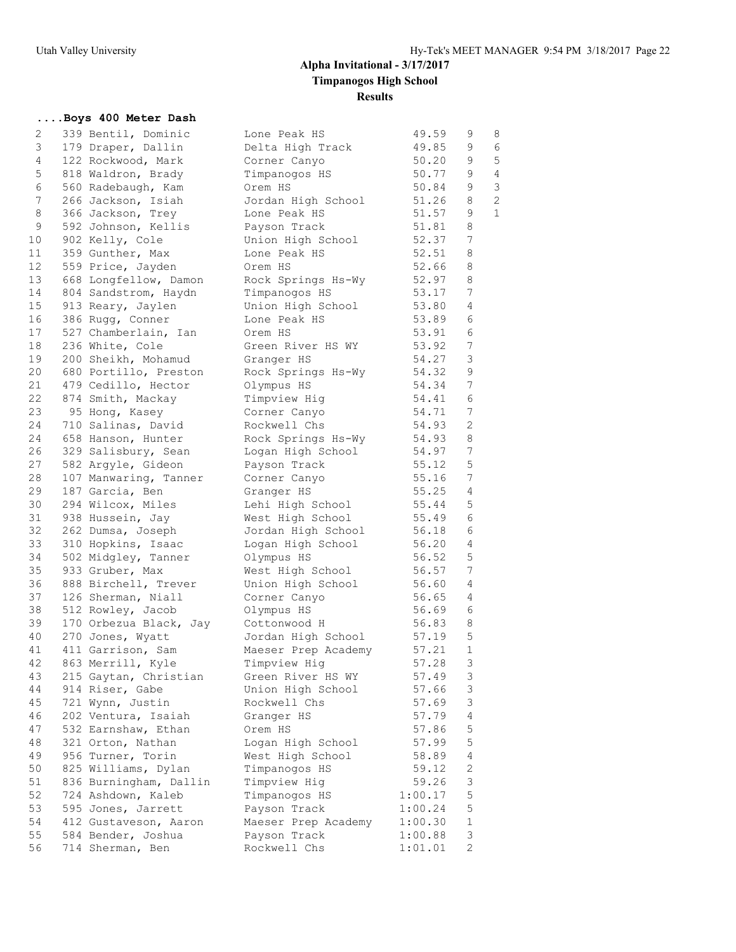## **....Boys 400 Meter Dash**

| 2  | 339 Bentil, Dominic    | Lone Peak HS        | 49.59   | 9                | 8              |
|----|------------------------|---------------------|---------|------------------|----------------|
| 3  | 179 Draper, Dallin     | Delta High Track    | 49.85   | 9                | 6              |
| 4  | 122 Rockwood, Mark     | Corner Canyo        | 50.20   | 9                | $\mathbf 5$    |
| 5  | 818 Waldron, Brady     | Timpanogos HS       | 50.77   | 9                | $\overline{4}$ |
| 6  | 560 Radebaugh, Kam     | Orem HS             | 50.84   | 9                | $\mathfrak{Z}$ |
| 7  | 266 Jackson, Isiah     | Jordan High School  | 51.26   | 8                | $\overline{c}$ |
| 8  | 366 Jackson, Trey      | Lone Peak HS        | 51.57   | 9                | $\mathbf{1}$   |
| 9  | 592 Johnson, Kellis    | Payson Track        | 51.81   | 8                |                |
| 10 | 902 Kelly, Cole        | Union High School   | 52.37   | 7                |                |
| 11 | 359 Gunther, Max       | Lone Peak HS        | 52.51   | 8                |                |
| 12 | 559 Price, Jayden      | Orem HS             | 52.66   | 8                |                |
| 13 | 668 Longfellow, Damon  | Rock Springs Hs-Wy  | 52.97   | 8                |                |
| 14 | 804 Sandstrom, Haydn   | Timpanogos HS       | 53.17   | 7                |                |
| 15 | 913 Reary, Jaylen      | Union High School   | 53.80   | 4                |                |
| 16 | 386 Rugg, Conner       | Lone Peak HS        | 53.89   | 6                |                |
| 17 | 527 Chamberlain, Ian   | Orem HS             | 53.91   | 6                |                |
| 18 | 236 White, Cole        | Green River HS WY   | 53.92   | 7                |                |
| 19 | 200 Sheikh, Mohamud    | Granger HS          | 54.27   | 3                |                |
| 20 | 680 Portillo, Preston  | Rock Springs Hs-Wy  | 54.32   | $\mathsf 9$      |                |
| 21 | 479 Cedillo, Hector    | Olympus HS          | 54.34   | 7                |                |
| 22 | 874 Smith, Mackay      | Timpview Hig        | 54.41   | 6                |                |
| 23 | 95 Hong, Kasey         | Corner Canyo        | 54.71   | 7                |                |
| 24 | 710 Salinas, David     | Rockwell Chs        | 54.93   | $\mathbf{2}$     |                |
| 24 | 658 Hanson, Hunter     | Rock Springs Hs-Wy  | 54.93   | 8                |                |
| 26 | 329 Salisbury, Sean    | Logan High School   | 54.97   | $\boldsymbol{7}$ |                |
| 27 | 582 Argyle, Gideon     | Payson Track        | 55.12   | 5                |                |
| 28 | 107 Manwaring, Tanner  | Corner Canyo        | 55.16   | 7                |                |
| 29 | 187 Garcia, Ben        | Granger HS          | 55.25   | 4                |                |
| 30 | 294 Wilcox, Miles      | Lehi High School    | 55.44   | 5                |                |
| 31 | 938 Hussein, Jay       | West High School    | 55.49   | 6                |                |
| 32 | 262 Dumsa, Joseph      | Jordan High School  | 56.18   | 6                |                |
| 33 | 310 Hopkins, Isaac     | Logan High School   | 56.20   | 4                |                |
| 34 | 502 Midgley, Tanner    | Olympus HS          | 56.52   | 5                |                |
| 35 | 933 Gruber, Max        | West High School    | 56.57   | 7                |                |
| 36 | 888 Birchell, Trever   | Union High School   | 56.60   | 4                |                |
| 37 | 126 Sherman, Niall     | Corner Canyo        | 56.65   | 4                |                |
| 38 | 512 Rowley, Jacob      | Olympus HS          | 56.69   | 6                |                |
| 39 | 170 Orbezua Black, Jay | Cottonwood H        | 56.83   | 8                |                |
| 40 | 270 Jones, Wyatt       | Jordan High School  | 57.19   | 5                |                |
| 41 | 411 Garrison, Sam      | Maeser Prep Academy | 57.21   | $\mathbf{1}$     |                |
| 42 | 863 Merrill, Kyle      | Timpview Hiq        | 57.28   | 3                |                |
| 43 | 215 Gaytan, Christian  | Green River HS WY   | 57.49   | 3                |                |
| 44 | 914 Riser, Gabe        | Union High School   | 57.66   | 3                |                |
| 45 | 721 Wynn, Justin       | Rockwell Chs        | 57.69   | $\mathsf 3$      |                |
| 46 | 202 Ventura, Isaiah    | Granger HS          | 57.79   | 4                |                |
| 47 | 532 Earnshaw, Ethan    | Orem HS             | 57.86   | 5                |                |
| 48 |                        |                     |         | 5                |                |
|    | 321 Orton, Nathan      | Logan High School   | 57.99   |                  |                |
| 49 | 956 Turner, Torin      | West High School    | 58.89   | 4                |                |
| 50 | 825 Williams, Dylan    | Timpanogos HS       | 59.12   | $\sqrt{2}$       |                |
| 51 | 836 Burningham, Dallin | Timpview Hig        | 59.26   | $\mathsf 3$      |                |
| 52 | 724 Ashdown, Kaleb     | Timpanogos HS       | 1:00.17 | 5                |                |
| 53 | 595 Jones, Jarrett     | Payson Track        | 1:00.24 | 5                |                |
| 54 | 412 Gustaveson, Aaron  | Maeser Prep Academy | 1:00.30 | $\mathbf 1$      |                |
| 55 | 584 Bender, Joshua     | Payson Track        | 1:00.88 | 3                |                |
| 56 | 714 Sherman, Ben       | Rockwell Chs        | 1:01.01 | $\mathbf{2}$     |                |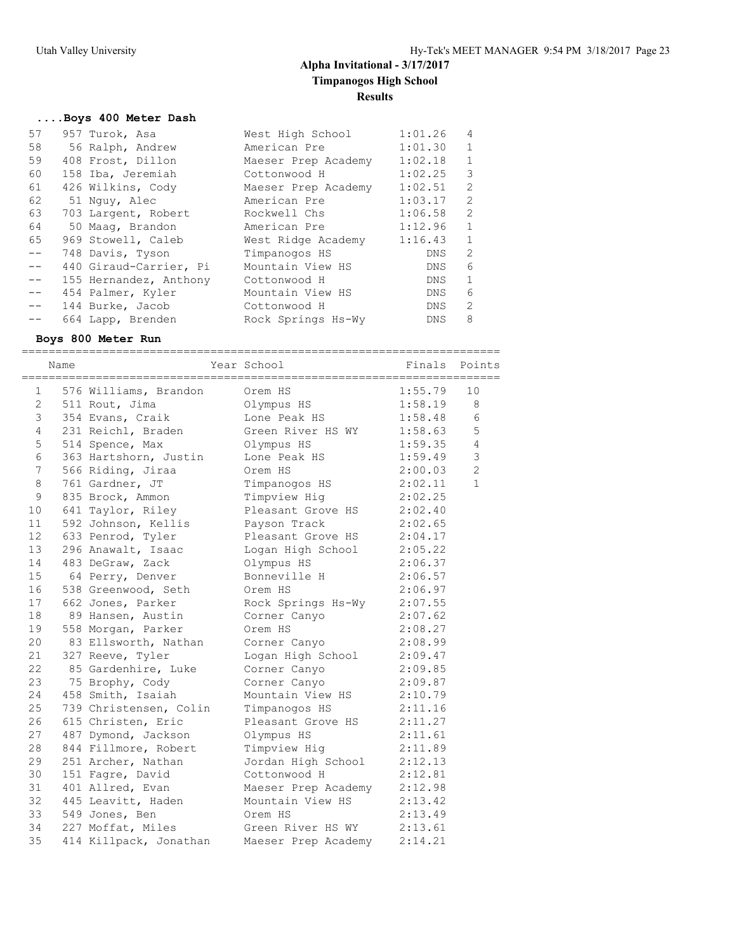#### **....Boys 400 Meter Dash**

| 57    | 957 Turok, Asa         | West High School    | 1:01.26 | 4              |
|-------|------------------------|---------------------|---------|----------------|
| 58    | 56 Ralph, Andrew       | American Pre        | 1:01.30 | 1              |
| 59    | 408 Frost, Dillon      | Maeser Prep Academy | 1:02.18 | $\mathbf{1}$   |
| 60    | 158 Iba, Jeremiah      | Cottonwood H        | 1:02.25 | 3              |
| 61    | 426 Wilkins, Cody      | Maeser Prep Academy | 1:02.51 | 2              |
| 62    | 51 Nguy, Alec          | American Pre        | 1:03.17 | 2              |
| 63    | 703 Largent, Robert    | Rockwell Chs        | 1:06.58 | 2              |
| 64    | 50 Maag, Brandon       | American Pre        | 1:12.96 | 1              |
| 65    | 969 Stowell, Caleb     | West Ridge Academy  | 1:16.43 | $\overline{1}$ |
| $- -$ | 748 Davis, Tyson       | Timpanogos HS       | DNS     | 2              |
| $- -$ | 440 Giraud-Carrier, Pi | Mountain View HS    | DNS     | 6              |
| $- -$ | 155 Hernandez, Anthony | Cottonwood H        | DNS     | $\mathbf{1}$   |
| $- -$ | 454 Palmer, Kyler      | Mountain View HS    | DNS     | 6              |
| $ -$  | 144 Burke, Jacob       | Cottonwood H        | DNS     | 2              |
| $- -$ | 664 Lapp, Brenden      | Rock Springs Hs-Wy  | DNS.    | 8              |

#### **Boys 800 Meter Run**

======================================================================= Name **Year School** Finals Points ======================================================================= 1 576 Williams, Brandon Orem HS 1:55.79 10 2 511 Rout, Jima Olympus HS 1:58.19 8 3 354 Evans, Craik Lone Peak HS 1:58.48 6 4 231 Reichl, Braden Green River HS WY 1:58.63 5 5 514 Spence, Max 61ympus HS 1:59.35 4 6 363 Hartshorn, Justin Lone Peak HS 1:59.49 3 7 566 Riding, Jiraa Orem HS 2:00.03 2 8 761 Gardner, JT Timpanogos HS 2:02.11 1 9 835 Brock, Ammon Timpview Hig 2:02.25 10 641 Taylor, Riley Pleasant Grove HS 2:02.40 11 592 Johnson, Kellis Payson Track 2:02.65 12 633 Penrod, Tyler Pleasant Grove HS 2:04.17 13 296 Anawalt, Isaac Logan High School 2:05.22 14 483 DeGraw, Zack Olympus HS 2:06.37 15 64 Perry, Denver Bonneville H 2:06.57 16 538 Greenwood, Seth Orem HS 2:06.97 17 662 Jones, Parker Rock Springs Hs-Wy 2:07.55 18 89 Hansen, Austin Corner Canyo 2:07.62 19 558 Morgan, Parker Orem HS 2:08.27 20 83 Ellsworth, Nathan Corner Canyo 2:08.99 21 327 Reeve, Tyler Logan High School 2:09.47 22 85 Gardenhire, Luke Corner Canyo 2:09.85 23 75 Brophy, Cody Corner Canyo 2:09.87 24 458 Smith, Isaiah Mountain View HS 2:10.79 25 739 Christensen, Colin Timpanogos HS 2:11.16 26 615 Christen, Eric Pleasant Grove HS 2:11.27 27 487 Dymond, Jackson Olympus HS 2:11.61 28 844 Fillmore, Robert Timpview Hig 2:11.89 29 251 Archer, Nathan Jordan High School 2:12.13 30 151 Fagre, David Cottonwood H 2:12.81 31 401 Allred, Evan Maeser Prep Academy 2:12.98 32 445 Leavitt, Haden Mountain View HS 2:13.42 33 549 Jones, Ben Orem HS 2:13.49 34 227 Moffat, Miles Green River HS WY 2:13.61 35 414 Killpack, Jonathan Maeser Prep Academy 2:14.21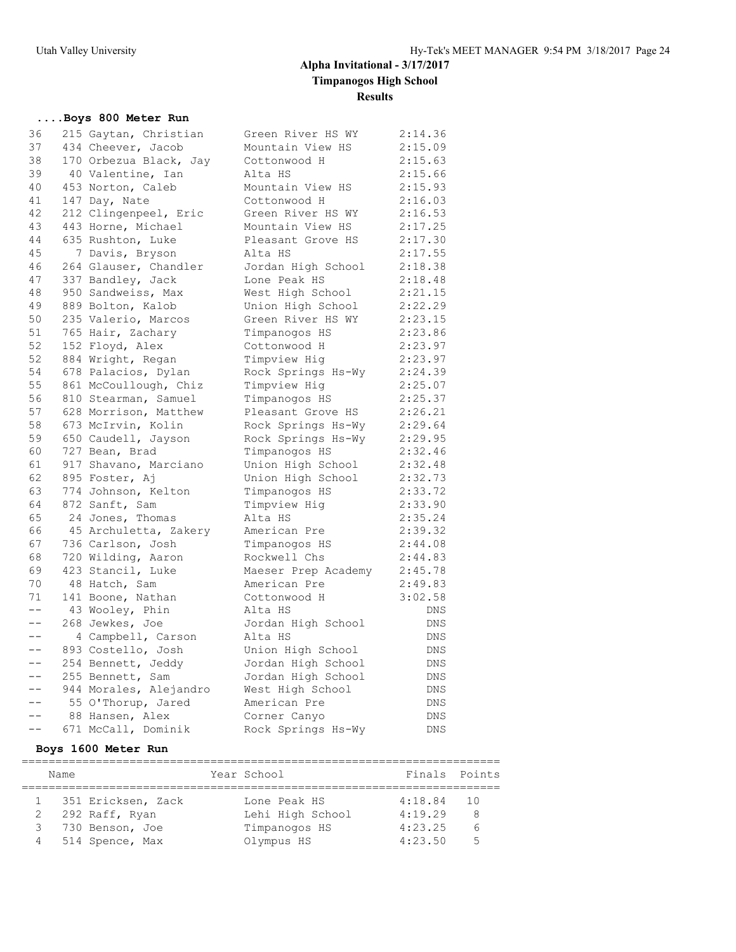## **....Boys 800 Meter Run**

| 36    | 215 Gaytan, Christian  | Green River HS WY   | 2:14.36    |
|-------|------------------------|---------------------|------------|
| 37    | 434 Cheever, Jacob     | Mountain View HS    | 2:15.09    |
| 38    | 170 Orbezua Black, Jay | Cottonwood H        | 2:15.63    |
| 39    | 40 Valentine, Ian      | Alta HS             | 2:15.66    |
| 40    | 453 Norton, Caleb      | Mountain View HS    | 2:15.93    |
| 41    | 147 Day, Nate          | Cottonwood H        | 2:16.03    |
| 42    | 212 Clingenpeel, Eric  | Green River HS WY   | 2:16.53    |
| 43    | 443 Horne, Michael     | Mountain View HS    | 2:17.25    |
| 44    | 635 Rushton, Luke      | Pleasant Grove HS   | 2:17.30    |
| 45    | 7 Davis, Bryson        | Alta HS             | 2:17.55    |
| 46    | 264 Glauser, Chandler  | Jordan High School  | 2:18.38    |
| 47    | 337 Bandley, Jack      | Lone Peak HS        | 2:18.48    |
| 48    | 950 Sandweiss, Max     | West High School    | 2:21.15    |
| 49    | 889 Bolton, Kalob      | Union High School   | 2:22.29    |
| 50    | 235 Valerio, Marcos    | Green River HS WY   | 2:23.15    |
| 51    | 765 Hair, Zachary      | Timpanogos HS       | 2:23.86    |
| 52    | 152 Floyd, Alex        | Cottonwood H        | 2:23.97    |
| 52    | 884 Wright, Regan      | Timpview Hig        | 2:23.97    |
| 54    | 678 Palacios, Dylan    | Rock Springs Hs-Wy  | 2:24.39    |
| 55    | 861 McCoullough, Chiz  | Timpview Hig        | 2:25.07    |
| 56    | 810 Stearman, Samuel   | Timpanogos HS       | 2:25.37    |
| 57    | 628 Morrison, Matthew  | Pleasant Grove HS   | 2:26.21    |
| 58    | 673 McIrvin, Kolin     | Rock Springs Hs-Wy  | 2:29.64    |
| 59    | 650 Caudell, Jayson    | Rock Springs Hs-Wy  | 2:29.95    |
| 60    | 727 Bean, Brad         | Timpanogos HS       | 2:32.46    |
| 61    | 917 Shavano, Marciano  | Union High School   | 2:32.48    |
| 62    | 895 Foster, Aj         | Union High School   | 2:32.73    |
| 63    | 774 Johnson, Kelton    | Timpanogos HS       | 2:33.72    |
| 64    | 872 Sanft, Sam         | Timpview Hig        | 2:33.90    |
| 65    | 24 Jones, Thomas       | Alta HS             | 2:35.24    |
| 66    | 45 Archuletta, Zakery  | American Pre        | 2:39.32    |
| 67    | 736 Carlson, Josh      | Timpanogos HS       | 2:44.08    |
| 68    | 720 Wilding, Aaron     | Rockwell Chs        | 2:44.83    |
| 69    | 423 Stancil, Luke      | Maeser Prep Academy | 2:45.78    |
| 70    | 48 Hatch, Sam          | American Pre        | 2:49.83    |
| 71    | 141 Boone, Nathan      | Cottonwood H        | 3:02.58    |
| $- -$ | 43 Wooley, Phin        | Alta HS             | <b>DNS</b> |
| $- -$ | 268 Jewkes, Joe        | Jordan High School  | DNS        |
| $- -$ | 4 Campbell, Carson     | Alta HS             | DNS        |
| $--$  | 893 Costello, Josh     | Union High School   | DNS        |
| $- -$ | 254 Bennett, Jeddy     | Jordan High School  | DNS.       |
| $- -$ | 255 Bennett, Sam       | Jordan High School  | DNS        |
| $--$  | 944 Morales, Alejandro | West High School    | DNS        |
| $- -$ | 55 O'Thorup, Jared     | American Pre        | DNS        |
| $-$   | 88 Hansen, Alex        | Corner Canyo        | DNS.       |
|       | 671 McCall, Dominik    | Rock Springs Hs-Wy  | <b>DNS</b> |

## **Boys 1600 Meter Run**

|   | Name                 | Year School      | Finals Points |      |
|---|----------------------|------------------|---------------|------|
|   |                      |                  |               |      |
|   | 1 351 Ericksen, Zack | Lone Peak HS     | 4:18.84       | - 10 |
|   | 292 Raff, Ryan       | Lehi High School | 4:19.29       | 8    |
|   | 3 730 Benson, Joe    | Timpanogos HS    | 4:23.25       |      |
| 4 | 514 Spence, Max      | Olympus HS       | 4:23.50       | Б    |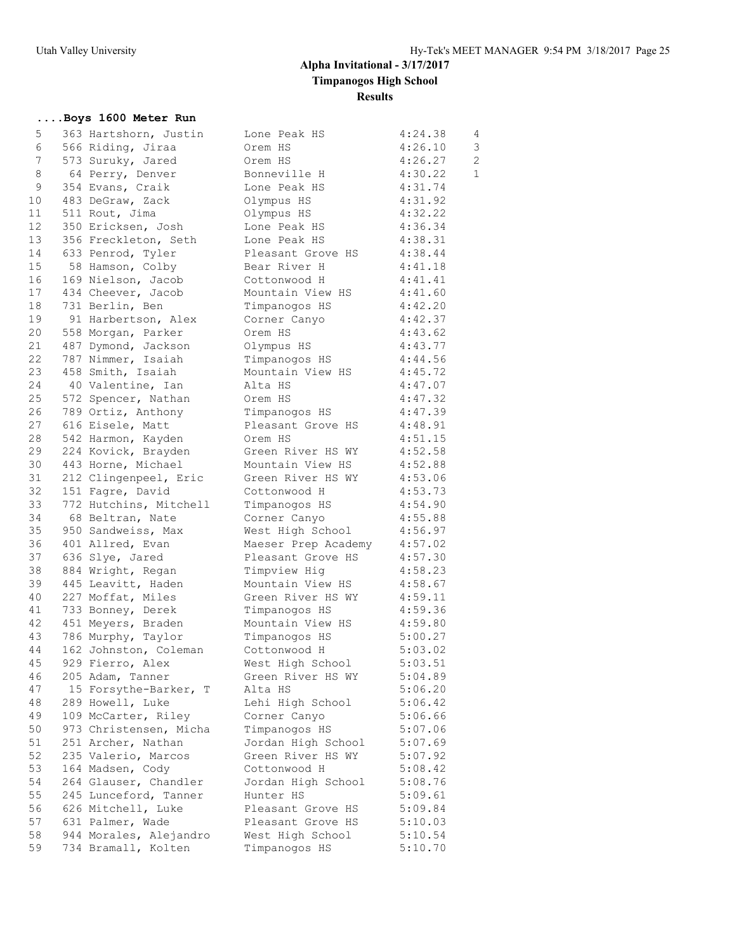## **....Boys 1600 Meter Run**

| 5               | 363 Hartshorn, Justin  | Lone Peak HS        | 4:24.38 | 4              |
|-----------------|------------------------|---------------------|---------|----------------|
| 6               | 566 Riding, Jiraa      | Orem HS             | 4:26.10 | 3              |
| $7\phantom{.}$  | 573 Suruky, Jared      | Orem HS             | 4:26.27 | $\overline{2}$ |
| 8               | 64 Perry, Denver       | Bonneville H        | 4:30.22 | $\mathbf{1}$   |
| 9               | 354 Evans, Craik       | Lone Peak HS        | 4:31.74 |                |
| 10              | 483 DeGraw, Zack       | Olympus HS          | 4:31.92 |                |
| 11              | 511 Rout, Jima         | Olympus HS          | 4:32.22 |                |
| 12 <sup>°</sup> | 350 Ericksen, Josh     | Lone Peak HS        | 4:36.34 |                |
| 13              |                        |                     |         |                |
|                 | 356 Freckleton, Seth   | Lone Peak HS        | 4:38.31 |                |
| 14              | 633 Penrod, Tyler      | Pleasant Grove HS   | 4:38.44 |                |
| 15              | 58 Hamson, Colby       | Bear River H        | 4:41.18 |                |
| 16              | 169 Nielson, Jacob     | Cottonwood H        | 4:41.41 |                |
| 17              | 434 Cheever, Jacob     | Mountain View HS    | 4:41.60 |                |
| 18              | 731 Berlin, Ben        | Timpanogos HS       | 4:42.20 |                |
| 19              | 91 Harbertson, Alex    | Corner Canyo        | 4:42.37 |                |
| 20              | 558 Morgan, Parker     | Orem HS             | 4:43.62 |                |
| 21              | 487 Dymond, Jackson    | Olympus HS          | 4:43.77 |                |
| 22              | 787 Nimmer, Isaiah     | Timpanogos HS       | 4:44.56 |                |
| 23              | 458 Smith, Isaiah      | Mountain View HS    | 4:45.72 |                |
| 24              | 40 Valentine, Ian      | Alta HS             | 4:47.07 |                |
| 25              | 572 Spencer, Nathan    | Orem HS             | 4:47.32 |                |
| 26              | 789 Ortiz, Anthony     | Timpanogos HS       | 4:47.39 |                |
| 27              | 616 Eisele, Matt       | Pleasant Grove HS   | 4:48.91 |                |
| 28              | 542 Harmon, Kayden     | Orem HS             | 4:51.15 |                |
| 29              |                        |                     |         |                |
|                 | 224 Kovick, Brayden    | Green River HS WY   | 4:52.58 |                |
| 30              | 443 Horne, Michael     | Mountain View HS    | 4:52.88 |                |
| 31              | 212 Clingenpeel, Eric  | Green River HS WY   | 4:53.06 |                |
| 32              | 151 Fagre, David       | Cottonwood H        | 4:53.73 |                |
| 33              | 772 Hutchins, Mitchell | Timpanogos HS       | 4:54.90 |                |
| 34              | 68 Beltran, Nate       | Corner Canyo        | 4:55.88 |                |
| 35              | 950 Sandweiss, Max     | West High School    | 4:56.97 |                |
| 36              | 401 Allred, Evan       | Maeser Prep Academy | 4:57.02 |                |
| 37              | 636 Slye, Jared        | Pleasant Grove HS   | 4:57.30 |                |
| 38              | 884 Wright, Regan      | Timpview Hig        | 4:58.23 |                |
| 39              | 445 Leavitt, Haden     | Mountain View HS    | 4:58.67 |                |
| 40              | 227 Moffat, Miles      | Green River HS WY   | 4:59.11 |                |
| 41              | 733 Bonney, Derek      | Timpanogos HS       | 4:59.36 |                |
| 42              | 451 Meyers, Braden     | Mountain View HS    | 4:59.80 |                |
| 43              | 786 Murphy, Taylor     | Timpanogos HS       | 5:00.27 |                |
| 44              | 162 Johnston, Coleman  | Cottonwood H        | 5:03.02 |                |
| 45              | 929 Fierro, Alex       | West High School    | 5:03.51 |                |
| 46              | 205 Adam, Tanner       | Green River HS WY   | 5:04.89 |                |
| 47              |                        |                     | 5:06.20 |                |
|                 | 15 Forsythe-Barker, T  | Alta HS             |         |                |
| 48              | 289 Howell, Luke       | Lehi High School    | 5:06.42 |                |
| 49              | 109 McCarter, Riley    | Corner Canyo        | 5:06.66 |                |
| 50              | 973 Christensen, Micha | Timpanogos HS       | 5:07.06 |                |
| 51              | 251 Archer, Nathan     | Jordan High School  | 5:07.69 |                |
| 52              | 235 Valerio, Marcos    | Green River HS WY   | 5:07.92 |                |
| 53              | 164 Madsen, Cody       | Cottonwood H        | 5:08.42 |                |
| 54              | 264 Glauser, Chandler  | Jordan High School  | 5:08.76 |                |
| 55              | 245 Lunceford, Tanner  | Hunter HS           | 5:09.61 |                |
| 56              | 626 Mitchell, Luke     | Pleasant Grove HS   | 5:09.84 |                |
| 57              | 631 Palmer, Wade       | Pleasant Grove HS   | 5:10.03 |                |
| 58              | 944 Morales, Alejandro | West High School    | 5:10.54 |                |
| 59              | 734 Bramall, Kolten    | Timpanogos HS       | 5:10.70 |                |
|                 |                        |                     |         |                |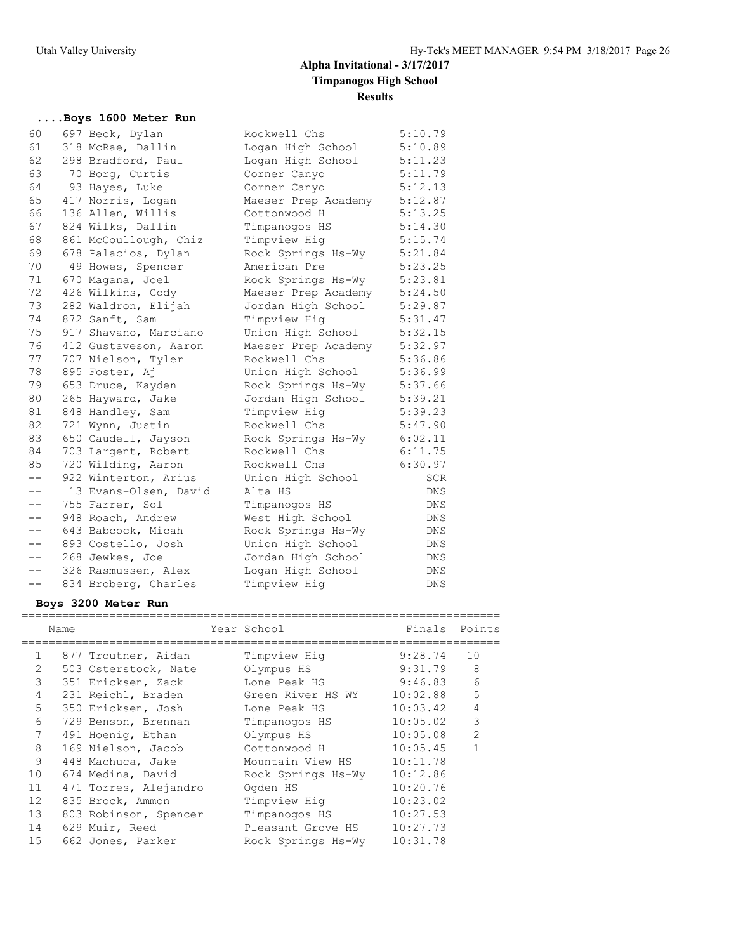### **....Boys 1600 Meter Run** 60 697 Beck, Dylan Rockwell Chs 5:10.79 61 318 McRae, Dallin Logan High School 5:10.89 62 298 Bradford, Paul Logan High School 5:11.23 63 70 Borg, Curtis Corner Canyo 5:11.79 64 93 Hayes, Luke Corner Canyo 5:12.13 65 417 Norris, Logan Maeser Prep Academy 5:12.87 66 136 Allen, Willis Cottonwood H 5:13.25 67 824 Wilks, Dallin Timpanogos HS 5:14.30 68 861 McCoullough, Chiz Timpview Hig 5:15.74 69 678 Palacios, Dylan Rock Springs Hs-Wy 5:21.84 70 49 Howes, Spencer American Pre 5:23.25 71 670 Magana, Joel Rock Springs Hs-Wy 5:23.81 72 426 Wilkins, Cody Maeser Prep Academy 5:24.50 73 282 Waldron, Elijah Jordan High School 5:29.87 74 872 Sanft, Sam Timpview Hig 5:31.47 75 917 Shavano, Marciano Union High School 5:32.15 76 412 Gustaveson, Aaron Maeser Prep Academy 5:32.97 77 707 Nielson, Tyler Rockwell Chs 5:36.86 78 895 Foster, Aj Union High School 5:36.99 79 653 Druce, Kayden Rock Springs Hs-Wy 5:37.66 80 265 Hayward, Jake Jordan High School 5:39.21 81 848 Handley, Sam Timpview Hig 5:39.23 82 721 Wynn, Justin Rockwell Chs 5:47.90 83 650 Caudell, Jayson Rock Springs Hs-Wy 6:02.11 84 703 Largent, Robert Rockwell Chs 6:11.75 85 720 Wilding, Aaron Rockwell Chs 6:30.97 -- 922 Winterton, Arius Union High School SCR -- 13 Evans-Olsen, David Alta HS DNS -- 755 Farrer, Sol Timpanogos HS DNS -- 948 Roach, Andrew West High School DNS -- 643 Babcock, Micah Rock Springs Hs-Wy DNS -- 893 Costello, Josh Union High School DNS -- 268 Jewkes, Joe Jordan High School DNS -- 326 Rasmussen, Alex Logan High School DNS -- 834 Broberg, Charles Timpview Hig CDNS

#### **Boys 3200 Meter Run**

|              |      |                       | Year School        |          | Finals Points  |
|--------------|------|-----------------------|--------------------|----------|----------------|
|              | Name |                       |                    |          |                |
| $\mathbf{1}$ |      | 877 Troutner, Aidan   | Timpview Hig       | 9:28.74  | 10             |
| 2            |      | 503 Osterstock, Nate  | Olympus HS         | 9:31.79  | - 8            |
| 3            |      | 351 Ericksen, Zack    | Lone Peak HS       | 9:46.83  | 6              |
| 4            |      | 231 Reichl, Braden    | Green River HS WY  | 10:02.88 | 5              |
| 5            |      | 350 Ericksen, Josh    | Lone Peak HS       | 10:03.42 | $\overline{4}$ |
| 6            |      | 729 Benson, Brennan   | Timpanogos HS      | 10:05.02 | 3              |
| 7            |      | 491 Hoenig, Ethan     | Olympus HS         | 10:05.08 | $\overline{2}$ |
| 8            |      | 169 Nielson, Jacob    | Cottonwood H       | 10:05.45 |                |
| 9            |      | 448 Machuca, Jake     | Mountain View HS   | 10:11.78 |                |
| 10           |      | 674 Medina, David     | Rock Springs Hs-Wy | 10:12.86 |                |
| 11           |      | 471 Torres, Alejandro | Ogden HS           | 10:20.76 |                |
| 12           |      | 835 Brock, Ammon      | Timpview Hig       | 10:23.02 |                |
| 13           |      | 803 Robinson, Spencer | Timpanogos HS      | 10:27.53 |                |
| 14           |      | 629 Muir, Reed        | Pleasant Grove HS  | 10:27.73 |                |
| 15           |      | 662 Jones, Parker     | Rock Springs Hs-Wy | 10:31.78 |                |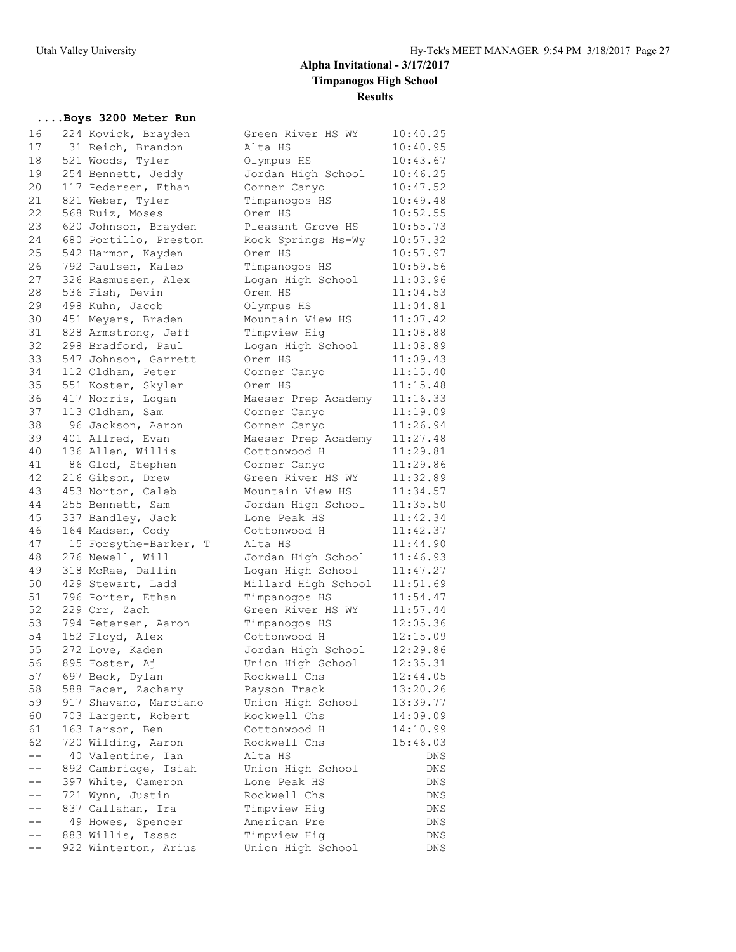## **....Boys 3200 Meter Run**

| 16 | 224 Kovick, Brayden                   | Green River HS WY   | 10:40.25   |
|----|---------------------------------------|---------------------|------------|
| 17 | 31 Reich, Brandon                     | Alta HS             | 10:40.95   |
| 18 | 521 Woods, Tyler                      | Olympus HS          | 10:43.67   |
| 19 | 254 Bennett, Jeddy                    | Jordan High School  | 10:46.25   |
| 20 | 117 Pedersen, Ethan                   | Corner Canyo        | 10:47.52   |
| 21 | 821 Weber, Tyler                      | Timpanogos HS       | 10:49.48   |
| 22 | 568 Ruiz, Moses                       | Orem HS             | 10:52.55   |
| 23 | 620 Johnson, Brayden                  | Pleasant Grove HS   | 10:55.73   |
| 24 | 680 Portillo, Preston                 | Rock Springs Hs-Wy  | 10:57.32   |
| 25 | 542 Harmon, Kayden                    | Orem HS             | 10:57.97   |
| 26 | 792 Paulsen, Kaleb                    | Timpanogos HS       | 10:59.56   |
| 27 | 326 Rasmussen, Alex                   | Logan High School   | 11:03.96   |
| 28 | 536 Fish, Devin                       | Orem HS             | 11:04.53   |
| 29 | 498 Kuhn, Jacob                       | Olympus HS          | 11:04.81   |
| 30 | 451 Meyers, Braden                    | Mountain View HS    | 11:07.42   |
| 31 | 828 Armstrong, Jeff                   | Timpview Hig        | 11:08.88   |
| 32 | 298 Bradford, Paul                    | Logan High School   | 11:08.89   |
| 33 | 547 Johnson, Garrett                  | Orem HS             | 11:09.43   |
| 34 | 112 Oldham, Peter                     | Corner Canyo        | 11:15.40   |
| 35 | 551 Koster, Skyler                    | Orem HS             | 11:15.48   |
| 36 | 417 Norris, Logan                     | Maeser Prep Academy | 11:16.33   |
| 37 | 113 Oldham, Sam                       | Corner Canyo        | 11:19.09   |
| 38 | 96 Jackson, Aaron                     | Corner Canyo        | 11:26.94   |
| 39 | 401 Allred, Evan                      | Maeser Prep Academy | 11:27.48   |
| 40 | 136 Allen, Willis                     | Cottonwood H        | 11:29.81   |
| 41 | 86 Glod, Stephen                      | Corner Canyo        | 11:29.86   |
| 42 | 216 Gibson, Drew                      | Green River HS WY   | 11:32.89   |
| 43 | 453 Norton, Caleb                     | Mountain View HS    | 11:34.57   |
| 44 | 255 Bennett, Sam                      | Jordan High School  | 11:35.50   |
| 45 | 337 Bandley, Jack                     | Lone Peak HS        | 11:42.34   |
| 46 | 164 Madsen, Cody                      | Cottonwood H        | 11:42.37   |
| 47 | 15 Forsythe-Barker, T                 | Alta HS             | 11:44.90   |
| 48 | 276 Newell, Will                      | Jordan High School  | 11:46.93   |
| 49 | 318 McRae, Dallin                     | Logan High School   | 11:47.27   |
| 50 | 429 Stewart, Ladd                     | Millard High School | 11:51.69   |
| 51 | 796 Porter, Ethan                     | Timpanogos HS       | 11:54.47   |
| 52 | 229 Orr, Zach                         | Green River HS WY   | 11:57.44   |
| 53 | 794 Petersen, Aaron                   | Timpanogos HS       | 12:05.36   |
| 54 | 152 Floyd, Alex                       | Cottonwood H        | 12:15.09   |
| 55 | 272 Love, Kaden                       | Jordan High School  | 12:29.86   |
| 56 | 895 Foster, Aj                        | Union High School   | 12:35.31   |
| 57 | 697 Beck, Dylan                       | Rockwell Chs        | 12:44.05   |
| 58 | 588 Facer, Zachary                    | Payson Track        | 13:20.26   |
| 59 | 917 Shavano, Marciano                 | Union High School   | 13:39.77   |
| 60 | 703 Largent, Robert                   | Rockwell Chs        | 14:09.09   |
| 61 | 163 Larson, Ben                       | Cottonwood H        | 14:10.99   |
| 62 | 720 Wilding, Aaron                    | Rockwell Chs        | 15:46.03   |
|    | 40 Valentine, Ian                     | Alta HS             | DNS        |
| -- | 892 Cambridge, Isiah                  | Union High School   | DNS        |
| -- | 397 White, Cameron                    | Lone Peak HS        |            |
|    |                                       | Rockwell Chs        | DNS        |
|    | 721 Wynn, Justin<br>837 Callahan, Ira | Timpview Hig        | DNS<br>DNS |
|    |                                       | American Pre        | <b>DNS</b> |
|    | 49 Howes, Spencer                     |                     |            |
|    | 883 Willis, Issac                     | Timpview Hig        | DNS        |
|    | 922 Winterton, Arius                  | Union High School   | DNS        |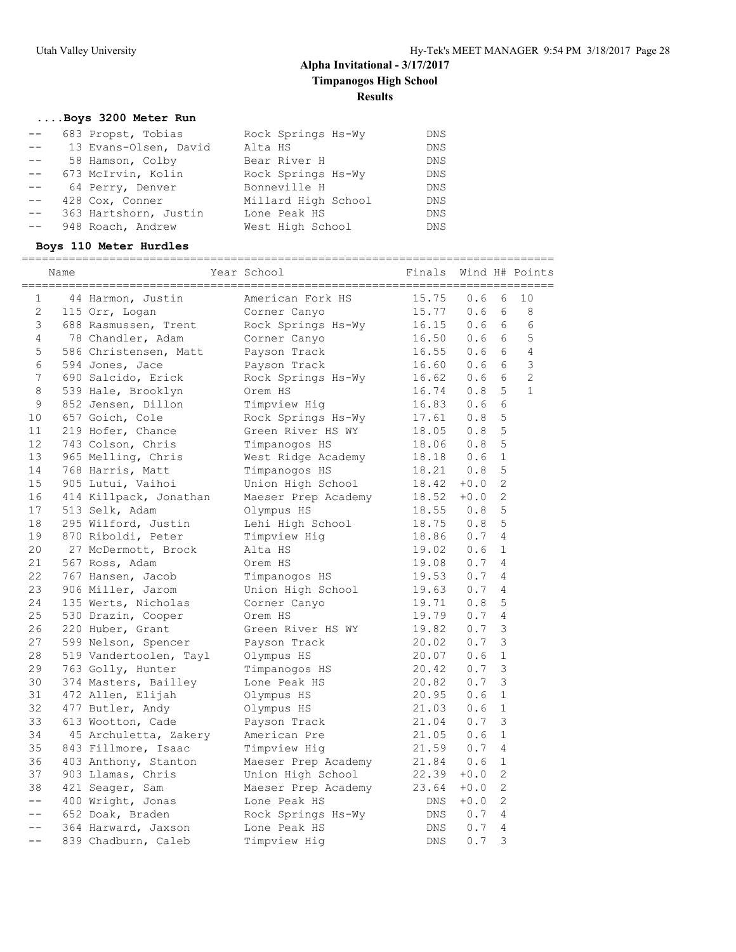## **....Boys 3200 Meter Run**

|       | 683 Propst, Tobias    | Rock Springs Hs-Wy  | DNS        |
|-------|-----------------------|---------------------|------------|
| $- -$ | 13 Evans-Olsen, David | Alta HS             | <b>DNS</b> |
| $- -$ | 58 Hamson, Colby      | Bear River H        | <b>DNS</b> |
| $- -$ | 673 McIrvin, Kolin    | Rock Springs Hs-Wy  | <b>DNS</b> |
|       | 64 Perry, Denver      | Bonneville H        | <b>DNS</b> |
| $- -$ | 428 Cox, Conner       | Millard High School | <b>DNS</b> |
| $- -$ | 363 Hartshorn, Justin | Lone Peak HS        | <b>DNS</b> |
|       | 948 Roach, Andrew     | West High School    |            |

### **Boys 110 Meter Hurdles**

|                      | Name |                                    | Year School                  | Finals      |        |                | Wind H# Points |
|----------------------|------|------------------------------------|------------------------------|-------------|--------|----------------|----------------|
| 1                    |      | 44 Harmon, Justin                  | American Fork HS             | 15.75       | 0.6    | 6              | 10             |
| $\mathbf{2}^{\circ}$ |      | 115 Orr, Logan                     | Corner Canyo                 | 15.77       | 0.6    | 6              | 8              |
| 3                    |      | 688 Rasmussen, Trent               | Rock Springs Hs-Wy           | 16.15 0.6   |        | 6              | 6              |
| 4                    |      | 78 Chandler, Adam                  | Corner Canyo                 | 16.50 0.6   |        | 6              | 5              |
| 5                    |      | 586 Christensen, Matt Payson Track |                              | 16.55       | 0.6    | 6              | $\overline{4}$ |
| 6                    |      | 594 Jones, Jace                    | Payson Track                 | 16.60 0.6   |        | 6              | 3              |
| 7                    |      | 690 Salcido, Erick                 | Rock Springs Hs-Wy 16.62 0.6 |             |        | 6              | $\overline{2}$ |
| 8                    |      | 539 Hale, Brooklyn                 | Orem HS                      | $16.74$ 0.8 |        | 5              | $\mathbf{1}$   |
| 9                    |      | 852 Jensen, Dillon                 | Timpview Hig                 | 16.83 0.6   |        | 6              |                |
| 10                   |      | 657 Goich, Cole                    | Rock Springs Hs-Wy 17.61 0.8 |             |        | 5              |                |
| 11                   |      | 219 Hofer, Chance                  | Green River HS WY            | 18.05 0.8   |        | 5              |                |
| 12                   |      | 743 Colson, Chris                  | Timpanogos HS                | 18.06 0.8   |        | 5              |                |
| 13                   |      | 965 Melling, Chris                 | West Ridge Academy           | 18.18 0.6   |        | $\mathbf 1$    |                |
| 14                   |      | 768 Harris, Matt                   | Timpanogos HS                | 18.21 0.8   |        | 5              |                |
| 15                   |      | 905 Lutui, Vaihoi                  | Union High School            | 18.42       | $+0.0$ | $\overline{2}$ |                |
| 16                   |      | 414 Killpack, Jonathan             | Maeser Prep Academy 18.52    |             | $+0.0$ | $\overline{2}$ |                |
| 17                   |      | 513 Selk, Adam                     | Olympus HS                   | 18.55       | 0.8    | 5              |                |
| 18                   |      | 295 Wilford, Justin                | Lehi High School             | $18.75$ 0.8 |        | 5              |                |
| 19                   |      | 870 Riboldi, Peter                 | Timpview Hig                 | 18.86       | 0.7    | 4              |                |
| 20                   |      | 27 McDermott, Brock                | Alta HS                      | 19.02       | 0.6    | $\mathbf{1}$   |                |
| 21                   |      | 567 Ross, Adam                     | Orem HS                      | 19.08 0.7   |        | 4              |                |
| 22                   |      | 767 Hansen, Jacob                  | Timpanogos HS                | 19.53 0.7   |        | 4              |                |
| 23                   |      | 906 Miller, Jarom                  | Union High School            | 19.63       | 0.7    | 4              |                |
| 24                   |      | 135 Werts, Nicholas                | Corner Canyo                 | 19.71       | 0.8    | 5              |                |
| 25                   |      | 530 Drazin, Cooper                 | Orem HS                      | 19.79       | 0.7    | 4              |                |
| 26                   |      | 220 Huber, Grant                   | Green River HS WY            | 19.82       | 0.7    | 3              |                |
| 27                   |      | 599 Nelson, Spencer                | Payson Track                 | 20.02 0.7   |        | 3              |                |
| 28                   |      | 519 Vandertoolen, Tayl             | Olympus HS                   | $20.07$ 0.6 |        | $\mathbf 1$    |                |
| 29                   |      | 763 Golly, Hunter                  | Timpanogos HS                | 20.42       | 0.7    | 3              |                |
| 30                   |      | 374 Masters, Bailley               | Lone Peak HS                 | 20.82       | 0.7    | 3              |                |
| 31                   |      | 472 Allen, Elijah                  | Olympus HS                   | 20.95 0.6   |        | $\mathbf{1}$   |                |
| 32                   |      | 477 Butler, Andy                   | Olympus HS                   | 21.03       | 0.6    | 1              |                |
| 33                   |      | 613 Wootton, Cade                  | Payson Track                 | $21.04$ 0.7 |        | 3              |                |
| 34                   |      | 45 Archuletta, Zakery              | American Pre                 | 21.05       | 0.6    | $\mathbf 1$    |                |
| 35                   |      | 843 Fillmore, Isaac                | Timpview Hig                 | $21.59$ 0.7 |        | 4              |                |
| 36                   |      | 403 Anthony, Stanton               | Maeser Prep Academy          | 21.84       | 0.6    | $\mathbf 1$    |                |
| 37                   |      | 903 Llamas, Chris                  | Union High School            | 22.39       | $+0.0$ | 2              |                |
| 38                   |      | 421 Seager, Sam                    | Maeser Prep Academy          | 23.64       | $+0.0$ | $\overline{2}$ |                |
| $-$                  |      | 400 Wright, Jonas                  | Lone Peak HS                 | DNS         | $+0.0$ | $\overline{2}$ |                |
| $- -$                |      | 652 Doak, Braden                   | Rock Springs Hs-Wy           | DNS         | 0.7    | 4              |                |
| $- -$                |      | 364 Harward, Jaxson                | Lone Peak HS                 | DNS         | 0.7    | 4              |                |
| $ -$                 |      | 839 Chadburn, Caleb                | Timpview Hig                 | <b>DNS</b>  | 0.7    | 3              |                |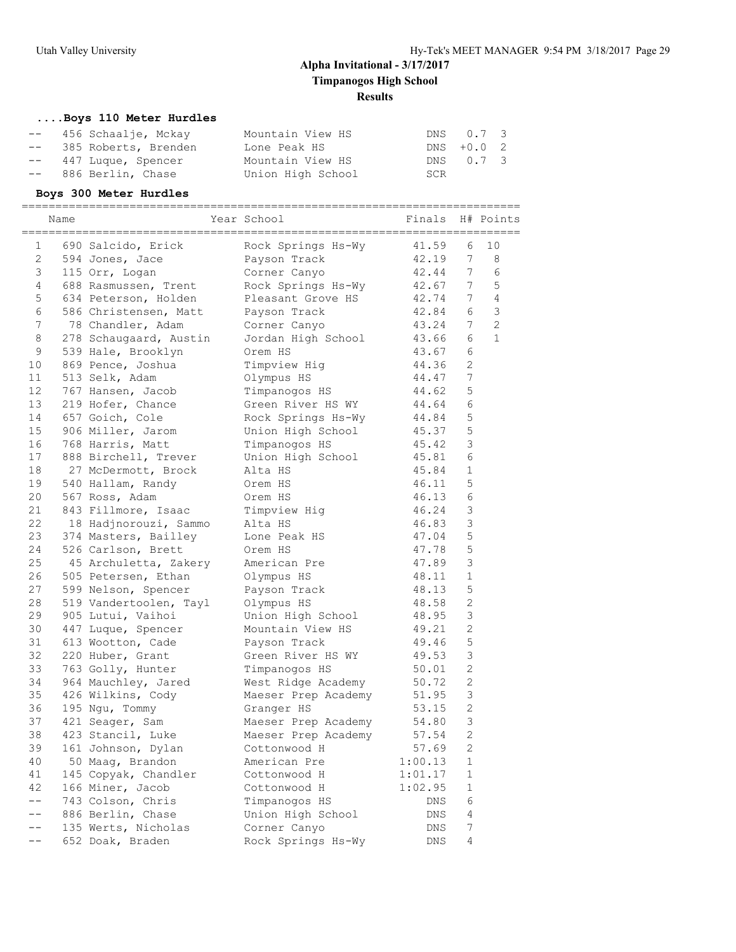### **....Boys 110 Meter Hurdles**

| -- 456 Schaalje, Mckay  | Mountain View HS  |     | DNS 0.7 3  |  |
|-------------------------|-------------------|-----|------------|--|
| -- 385 Roberts, Brenden | Lone Peak HS      |     | DNS +0.0 2 |  |
| -- 447 Luque, Spencer   | Mountain View HS  |     | DNS 0.7 3  |  |
| -- 886 Berlin, Chase    | Union High School | SCR |            |  |

**Boys 300 Meter Hurdles** ========================================================================== Name The Year School Finals H# Points ========================================================================== 1 690 Salcido, Erick Rock Springs Hs-Wy 41.59 6 10 2 594 Jones, Jace Payson Track 42.19 7 8 3 115 Orr, Logan Corner Canyo 42.44 7 6 4 688 Rasmussen, Trent Rock Springs Hs-Wy 42.67 7 5 5 634 Peterson, Holden Bleasant Grove HS 42.74 7 4 6 586 Christensen, Matt Payson Track 42.84 6 3 7 78 Chandler, Adam Corner Canyo 43.24 7 2 8 278 Schaugaard, Austin Jordan High School 43.66 6 1 9 539 Hale, Brooklyn Orem HS 43.67 6 10 869 Pence, Joshua Timpview Hig 44.36 2 11 513 Selk, Adam Olympus HS 44.47 7 12 767 Hansen, Jacob Timpanogos HS 44.62 5 13 219 Hofer, Chance Green River HS WY 44.64 6 14 657 Goich, Cole Rock Springs Hs-Wy 44.84 5 15 906 Miller, Jarom Union High School 45.37 5 16 768 Harris, Matt Timpanogos HS 45.42 3 17 888 Birchell, Trever Union High School 45.81 6 18 27 McDermott, Brock Alta HS 45.84 1 19 540 Hallam, Randy Orem HS 46.11 5 20 567 Ross, Adam Orem HS 46.13 6 21 843 Fillmore, Isaac Timpview Hig 46.24 3 22 18 Hadjnorouzi, Sammo Alta HS 46.83 3 23 374 Masters, Bailley Lone Peak HS 47.04 5 24 526 Carlson, Brett Orem HS 47.78 5 25 45 Archuletta, Zakery American Pre 47.89 3 26 505 Petersen, Ethan Olympus HS 48.11 1 27 599 Nelson, Spencer Payson Track 48.13 5 28 519 Vandertoolen, Tayl Olympus HS 48.58 2 29 905 Lutui, Vaihoi Union High School 48.95 3 30 447 Luque, Spencer Mountain View HS 49.21 2 31 613 Wootton, Cade Payson Track 49.46 5 32 220 Huber, Grant Green River HS WY 49.53 3 33 763 Golly, Hunter Timpanogos HS 50.01 2 34 964 Mauchley, Jared West Ridge Academy 50.72 2 35 426 Wilkins, Cody Maeser Prep Academy 51.95 3 36 195 Ngu, Tommy Granger HS 53.15 2 37 421 Seager, Sam Maeser Prep Academy 54.80 3 38 423 Stancil, Luke Maeser Prep Academy 57.54 2 39 161 Johnson, Dylan Cottonwood H 57.69 2 40 50 Maag, Brandon American Pre 1:00.13 1 41 145 Copyak, Chandler Cottonwood H 1:01.17 1 42 166 Miner, Jacob Cottonwood H 1:02.95 1 -- 743 Colson, Chris Timpanogos HS DNS 6 -- 886 Berlin, Chase Union High School DNS 4 -- 135 Werts, Nicholas Corner Canyo DNS 7 -- 652 Doak, Braden Rock Springs Hs-Wy DNS 4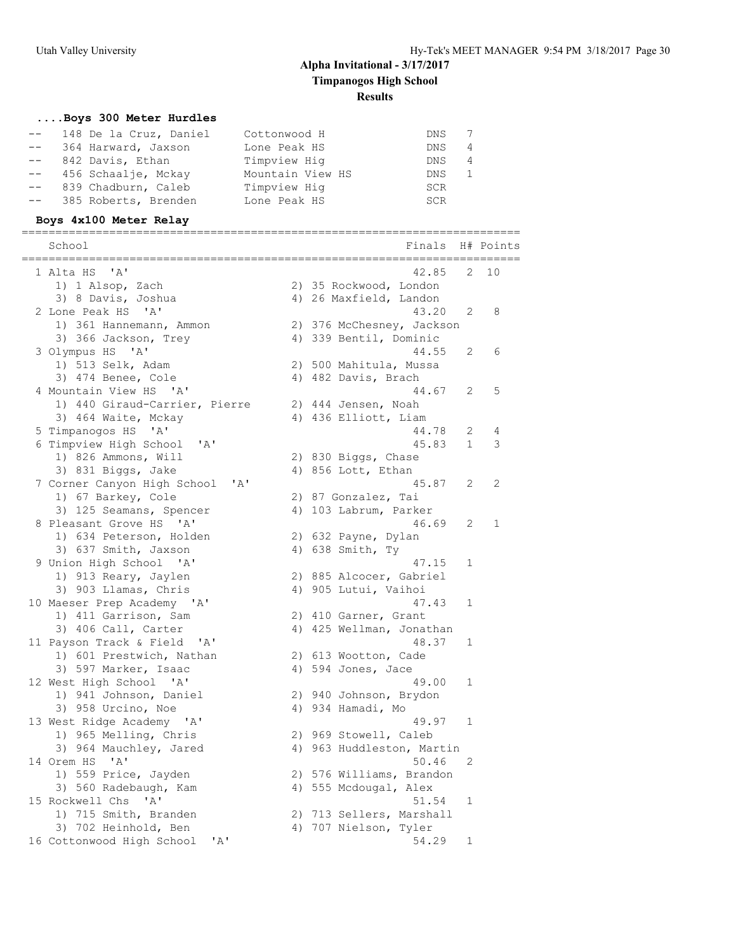## **....Boys 300 Meter Hurdles**

| 148 De la Cruz, Daniel  | Cottonwood H     | DNS        |   |
|-------------------------|------------------|------------|---|
| -- 364 Harward, Jaxson  | Lone Peak HS     | DNS.       | 4 |
| -- 842 Davis, Ethan     | Timpview Hig     | DNS.       | 4 |
| -- 456 Schaalje, Mckay  | Mountain View HS | DNS        |   |
| -- 839 Chadburn, Caleb  | Timpview Hig     | <b>SCR</b> |   |
| -- 385 Roberts, Brenden | Lone Peak HS     | SCR        |   |

### **Boys 4x100 Meter Relay**

| School<br>=============                                                             | Finals                                                      |              | H# Points |
|-------------------------------------------------------------------------------------|-------------------------------------------------------------|--------------|-----------|
| 1 Alta HS 'A'<br>1) 1 Alsop, Zach                                                   | 42.85<br>2) 35 Rockwood, London                             | 2            | 10        |
| 3) 8 Davis, Joshua<br>2 Lone Peak HS 'A'                                            | 4) 26 Maxfield, Landon<br>43.20                             | 2            | 8         |
| 1) 361 Hannemann, Ammon<br>3) 366 Jackson, Trey                                     | 2) 376 McChesney, Jackson<br>4) 339 Bentil, Dominic         |              |           |
| 3 Olympus HS 'A'<br>1) 513 Selk, Adam                                               | 44.55<br>2) 500 Mahitula, Mussa                             | 2            | 6         |
| 3) 474 Benee, Cole                                                                  | 4) 482 Davis, Brach                                         |              |           |
| 4 Mountain View HS 'A'<br>1) 440 Giraud-Carrier, Pierre                             | 44.67<br>2) 444 Jensen, Noah                                | 2            | 5         |
| 3) 464 Waite, Mckay<br>5 Timpanogos HS 'A'                                          | 4) 436 Elliott, Liam<br>44.78                               | 2            | 4         |
| 6 Timpview High School<br>' A '<br>1) 826 Ammons, Will<br>3) 831 Biggs, Jake        | 45.83<br>2) 830 Biggs, Chase<br>4) 856 Lott, Ethan          | $\mathbf{1}$ | 3         |
| 7 Corner Canyon High School<br>'A'<br>1) 67 Barkey, Cole<br>3) 125 Seamans, Spencer | 45.87<br>2) 87 Gonzalez, Tai<br>4) 103 Labrum, Parker       | 2            | 2         |
| 8 Pleasant Grove HS 'A'<br>1) 634 Peterson, Holden<br>3) 637 Smith, Jaxson          | 46.69<br>2) 632 Payne, Dylan<br>4) 638 Smith, Ty            | 2            | 1         |
| 9 Union High School 'A'<br>1) 913 Reary, Jaylen                                     | 47.15<br>2) 885 Alcocer, Gabriel                            | 1            |           |
| 3) 903 Llamas, Chris<br>10 Maeser Prep Academy 'A'<br>1) 411 Garrison, Sam          | 4) 905 Lutui, Vaihoi<br>47.43<br>2) 410 Garner, Grant       | 1            |           |
| 3) 406 Call, Carter<br>11 Payson Track & Field<br>$\mathsf{A}$                      | 4) 425 Wellman, Jonathan<br>48.37                           | 1            |           |
| 1) 601 Prestwich, Nathan<br>3) 597 Marker, Isaac                                    | 2) 613 Wootton, Cade<br>4) 594 Jones, Jace                  |              |           |
| 12 West High School 'A'<br>1) 941 Johnson, Daniel<br>3) 958 Urcino, Noe             | 49.00<br>2) 940 Johnson, Brydon<br>4) 934 Hamadi, Mo        | $\mathbf{1}$ |           |
| 13 West Ridge Academy 'A'<br>1) 965 Melling, Chris<br>3) 964 Mauchley, Jared        | 49.97<br>2) 969 Stowell, Caleb<br>4) 963 Huddleston, Martin | $\mathbf{1}$ |           |
| 14 Orem HS 'A'<br>1) 559 Price, Jayden                                              | 50.46<br>2) 576 Williams, Brandon                           | 2            |           |
| 3) 560 Radebaugh, Kam<br>15 Rockwell Chs 'A'<br>1) 715 Smith, Branden               | 4) 555 Mcdougal, Alex<br>51.54<br>2) 713 Sellers, Marshall  | $\mathbf 1$  |           |
| 3) 702 Heinhold, Ben<br>16 Cottonwood High School<br>'A'                            | 4) 707 Nielson, Tyler<br>54.29                              | $\mathbf 1$  |           |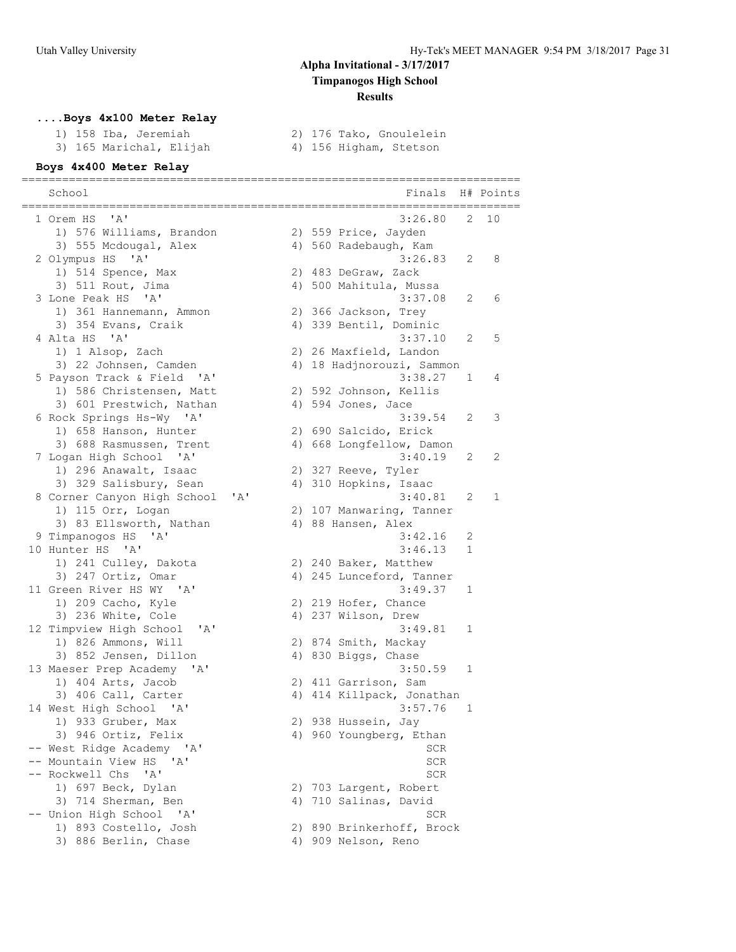## **....Boys 4x100 Meter Relay**

|  | 1) 158 Iba, Jeremiah    |
|--|-------------------------|
|  | 3) 165 Marichal, Elijah |

2) 176 Tako, Gnoulelein<br>4) 156 Higham, Stetson

## **Boys 4x400 Meter Relay**

| School                                                                     | Finals                              |   | H# Points |
|----------------------------------------------------------------------------|-------------------------------------|---|-----------|
| ' A '<br>1 Orem HS                                                         | 3:26.80                             | 2 | 10        |
| 1) 576 Williams, Brandon                                                   | 2) 559 Price, Jayden                |   |           |
| 3) 555 Mcdougal, Alex                                                      | 4) 560 Radebaugh, Kam               |   |           |
| 2 Olympus HS 'A'                                                           | 3:26.83                             | 2 | 8         |
| 1) 514 Spence, Max                                                         | 2) 483 DeGraw, Zack                 |   |           |
| 3) 511 Rout, Jima                                                          | 4) 500 Mahitula, Mussa              |   |           |
| 3 Lone Peak HS 'A'                                                         | 3:37.08                             | 2 | 6         |
| 1) 361 Hannemann, Ammon                                                    | 2) 366 Jackson, Trey                |   |           |
| 3) 354 Evans, Craik                                                        | 4) 339 Bentil, Dominic              |   |           |
| 4 Alta HS<br>$^{\prime}$ A $^{\prime}$                                     | 3:37.10                             | 2 | 5         |
| 1) 1 Alsop, Zach                                                           | 2) 26 Maxfield, Landon              |   |           |
| 3) 22 Johnsen, Camden                                                      | 4) 18 Hadjnorouzi, Sammon           |   |           |
| 5 Payson Track & Field 'A'                                                 | 3:38.27                             | 1 | 4         |
| 1) 586 Christensen, Matt                                                   | 2) 592 Johnson, Kellis              |   |           |
| 3) 601 Prestwich, Nathan                                                   | 4) 594 Jones, Jace                  |   |           |
| 6 Rock Springs Hs-Wy 'A'                                                   | 3:39.54                             | 2 | 3         |
| 1) 658 Hanson, Hunter                                                      | 2) 690 Salcido, Erick               |   |           |
| 3) 688 Rasmussen, Trent                                                    | 4) 668 Longfellow, Damon            |   |           |
| 7 Logan High School 'A'                                                    | 3:40.19                             | 2 | 2         |
| 1) 296 Anawalt, Isaac                                                      | 2) 327 Reeve, Tyler                 |   |           |
| 3) 329 Salisbury, Sean                                                     | 4) 310 Hopkins, Isaac               |   |           |
| 8 Corner Canyon High School<br>'A'<br>1) 115 Orr, Logan                    | 3:40.81<br>2) 107 Manwaring, Tanner | 2 | 1         |
| 3) 83 Ellsworth, Nathan                                                    | 4) 88 Hansen, Alex                  |   |           |
| 9 Timpanogos HS<br>' A'                                                    | 3:42.16                             | 2 |           |
| 10 Hunter HS 'A'                                                           | 3:46.13                             | 1 |           |
| 1) 241 Culley, Dakota                                                      | 2) 240 Baker, Matthew               |   |           |
| 3) 247 Ortiz, Omar                                                         | 4) 245 Lunceford, Tanner            |   |           |
| 11 Green River HS WY<br>$\mathsf{A}$                                       | 3:49.37                             | 1 |           |
| 1) 209 Cacho, Kyle                                                         | 2) 219 Hofer, Chance                |   |           |
| 3) 236 White, Cole                                                         | 4) 237 Wilson, Drew                 |   |           |
| 12 Timpview High School<br>$^{\prime}$ A $^{\prime}$                       | 3:49.81                             | 1 |           |
| 1) 826 Ammons, Will                                                        | 2) 874 Smith, Mackay                |   |           |
| 3) 852 Jensen, Dillon                                                      | 4) 830 Biggs, Chase                 |   |           |
| 13 Maeser Prep Academy 'A'                                                 | 3:50.59                             | 1 |           |
| 1) 404 Arts, Jacob                                                         | 2) 411 Garrison, Sam                |   |           |
| 3) 406 Call, Carter                                                        | 4) 414 Killpack, Jonathan           |   |           |
| 14 West High School 'A'                                                    | 3:57.76                             | 1 |           |
| 1) 933 Gruber, Max                                                         | 2) 938 Hussein, Jay                 |   |           |
| 3) 946 Ortiz, Felix                                                        | 4) 960 Youngberg, Ethan             |   |           |
| -- West Ridge Academy 'A'                                                  | SCR                                 |   |           |
| -- Mountain View HS<br>A'                                                  | SCR                                 |   |           |
| -- Rockwell Chs<br>' A'                                                    | SCR                                 |   |           |
| 1) 697 Beck, Dylan                                                         | 2) 703 Largent, Robert              |   |           |
| 3) 714 Sherman, Ben                                                        | 4) 710 Salinas, David               |   |           |
| -- Union High School<br>$^{\prime}$ A $^{\prime}$<br>1) 893 Costello, Josh | SCR<br>2) 890 Brinkerhoff, Brock    |   |           |
| 3) 886 Berlin, Chase                                                       | 4) 909 Nelson, Reno                 |   |           |
|                                                                            |                                     |   |           |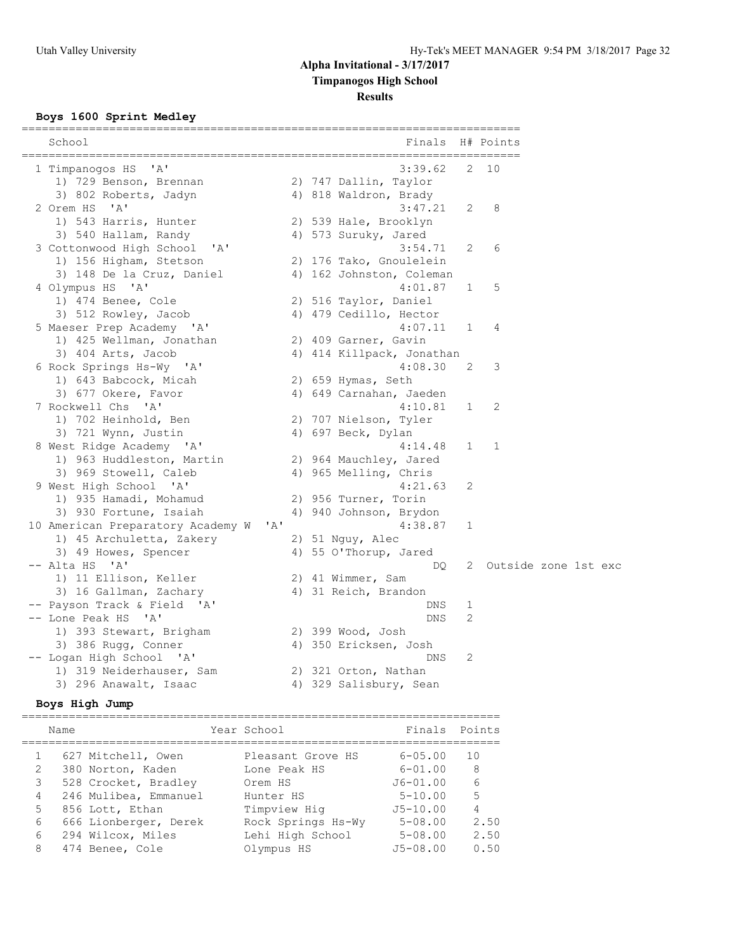#### **Results**

#### **Boys 1600 Sprint Medley**

| School                            |              | Finals                            |              | H# Points            |
|-----------------------------------|--------------|-----------------------------------|--------------|----------------------|
| 1 Timpanogos HS 'A'               |              | ======================<br>3:39.62 |              | 2 10                 |
| 1) 729 Benson, Brennan            |              | 2) 747 Dallin, Taylor             |              |                      |
| 3) 802 Roberts, Jadyn             |              | 4) 818 Waldron, Brady             |              |                      |
| 2 Orem HS 'A'                     |              | 3:47.21                           | 2            | 8                    |
| 1) 543 Harris, Hunter             |              | 2) 539 Hale, Brooklyn             |              |                      |
| 3) 540 Hallam, Randy              |              | 4) 573 Suruky, Jared              |              |                      |
| 3 Cottonwood High School 'A'      |              | 3:54.71                           | 2            | 6                    |
| 1) 156 Higham, Stetson            |              | 2) 176 Tako, Gnoulelein           |              |                      |
| 3) 148 De la Cruz, Daniel         |              | 4) 162 Johnston, Coleman          |              |                      |
| 4 Olympus HS 'A'                  |              | 4:01.87                           | $\mathbf{1}$ | 5                    |
| 1) 474 Benee, Cole                |              | 2) 516 Taylor, Daniel             |              |                      |
| 3) 512 Rowley, Jacob              |              | 4) 479 Cedillo, Hector            |              |                      |
| 5 Maeser Prep Academy 'A'         |              | 4:07.11                           | $\mathbf{1}$ | 4                    |
| 1) 425 Wellman, Jonathan          |              | 2) 409 Garner, Gavin              |              |                      |
| 3) 404 Arts, Jacob                |              | 4) 414 Killpack, Jonathan         |              |                      |
| 6 Rock Springs Hs-Wy 'A'          |              | 4:08.30                           | 2            | 3                    |
| 1) 643 Babcock, Micah             |              | 2) 659 Hymas, Seth                |              |                      |
| 3) 677 Okere, Favor               |              | 4) 649 Carnahan, Jaeden           |              |                      |
| 7 Rockwell Chs 'A'                |              | 4:10.81                           | $\mathbf 1$  | 2                    |
| 1) 702 Heinhold, Ben              |              | 2) 707 Nielson, Tyler             |              |                      |
| 3) 721 Wynn, Justin               |              | 4) 697 Beck, Dylan                |              |                      |
| 8 West Ridge Academy 'A'          |              | 4:14.48                           | 1            | 1                    |
| 1) 963 Huddleston, Martin         |              | 2) 964 Mauchley, Jared            |              |                      |
| 3) 969 Stowell, Caleb             |              | 4) 965 Melling, Chris             |              |                      |
| 9 West High School 'A'            |              | 4:21.63                           | 2            |                      |
| 1) 935 Hamadi, Mohamud            |              | 2) 956 Turner, Torin              |              |                      |
| 3) 930 Fortune, Isaiah            |              | 4) 940 Johnson, Brydon            |              |                      |
| 10 American Preparatory Academy W | $\mathsf{A}$ | 4:38.87                           | 1            |                      |
| 1) 45 Archuletta, Zakery          |              | 2) 51 Nguy, Alec                  |              |                      |
| 3) 49 Howes, Spencer              |              | 4) 55 O'Thorup, Jared             |              |                      |
| -- Alta HS 'A'                    |              | DQ.                               | 2            | Outside zone 1st exc |
| 1) 11 Ellison, Keller             |              | 2) 41 Wimmer, Sam                 |              |                      |
| 3) 16 Gallman, Zachary            |              | 4) 31 Reich, Brandon              |              |                      |
| -- Payson Track & Field 'A'       |              | DNS                               | 1            |                      |
| -- Lone Peak HS 'A'               |              | <b>DNS</b>                        | 2            |                      |
| 1) 393 Stewart, Brigham           |              | 2) 399 Wood, Josh                 |              |                      |
| 3) 386 Rugg, Conner               |              | 4) 350 Ericksen, Josh             |              |                      |
| -- Logan High School 'A'          |              | DNS                               | 2            |                      |
| 1) 319 Neiderhauser, Sam          |              | 2) 321 Orton, Nathan              |              |                      |
| 3) 296 Anawalt, Isaac             |              | 4) 329 Salisbury, Sean            |              |                      |

#### **Boys High Jump**

======================================================================= Name Year School Finals Points ======================================================================= 1 627 Mitchell, Owen Pleasant Grove HS 6-05.00 10 2 380 Norton, Kaden Lone Peak HS 6-01.00 8 3 528 Crocket, Bradley Orem HS J6-01.00 6 4 246 Mulibea, Emmanuel Hunter HS 5-10.00 5 5 856 Lott, Ethan Timpview Hig J5-10.00 4 6 666 Lionberger, Derek Rock Springs Hs-Wy 5-08.00 2.50 6 294 Wilcox, Miles Lehi High School 5-08.00 2.50 8 474 Benee, Cole Olympus HS J5-08.00 0.50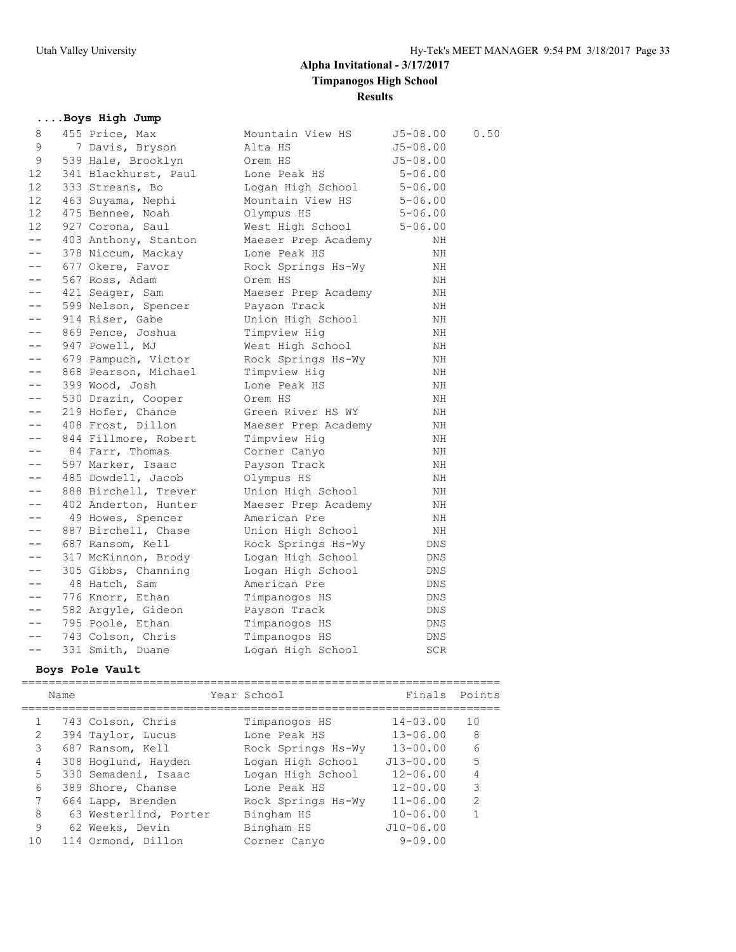## **....Boys High Jump**

| 8     | 455 Price, Max       | Mountain View HS    | $J5 - 08.00$ | 0.50 |
|-------|----------------------|---------------------|--------------|------|
| 9     | 7 Davis, Bryson      | Alta HS             | $J5 - 08.00$ |      |
| 9     | 539 Hale, Brooklyn   | Orem HS             | $J5 - 08.00$ |      |
| 12    | 341 Blackhurst, Paul | Lone Peak HS        | $5 - 06.00$  |      |
| 12    | 333 Streans, Bo      | Logan High School   | $5 - 06.00$  |      |
| 12    | 463 Suyama, Nephi    | Mountain View HS    | $5 - 06.00$  |      |
| 12    | 475 Bennee, Noah     | Olympus HS          | $5 - 06.00$  |      |
| 12    | 927 Corona, Saul     | West High School    | $5 - 06.00$  |      |
| $- -$ | 403 Anthony, Stanton | Maeser Prep Academy | ΝH           |      |
| $- -$ | 378 Niccum, Mackay   | Lone Peak HS        | ΝH           |      |
|       | 677 Okere, Favor     | Rock Springs Hs-Wy  | ΝH           |      |
| $- -$ | 567 Ross, Adam       | Orem HS             | NH           |      |
| $- -$ | 421 Seager, Sam      | Maeser Prep Academy | ΝH           |      |
| $- -$ | 599 Nelson, Spencer  | Payson Track        | ΝH           |      |
|       | 914 Riser, Gabe      | Union High School   | ΝH           |      |
| $- -$ | 869 Pence, Joshua    | Timpview Hig        | NH           |      |
| $- -$ | 947 Powell, MJ       | West High School    | ΝH           |      |
| $- -$ | 679 Pampuch, Victor  | Rock Springs Hs-Wy  | ΝH           |      |
| $- -$ | 868 Pearson, Michael | Timpview Hig        | ΝH           |      |
| $- -$ | 399 Wood, Josh       | Lone Peak HS        | NH           |      |
| $- -$ | 530 Drazin, Cooper   | Orem HS             | NH           |      |
| $- -$ | 219 Hofer, Chance    | Green River HS WY   | ΝH           |      |
| $- -$ | 408 Frost, Dillon    | Maeser Prep Academy | ΝH           |      |
|       | 844 Fillmore, Robert | Timpview Hig        | ΝH           |      |
| $- -$ | 84 Farr, Thomas      | Corner Canyo        | NH           |      |
| $- -$ | 597 Marker, Isaac    | Payson Track        | ΝH           |      |
| $- -$ | 485 Dowdell, Jacob   | Olympus HS          | ΝH           |      |
|       | 888 Birchell, Trever | Union High School   | ΝH           |      |
| $- -$ | 402 Anderton, Hunter | Maeser Prep Academy | NH           |      |
| $- -$ | 49 Howes, Spencer    | American Pre        | NH           |      |
| $- -$ | 887 Birchell, Chase  | Union High School   | ΝH           |      |
| $- -$ | 687 Ransom, Kell     | Rock Springs Hs-Wy  | DNS          |      |
| $ -$  | 317 McKinnon, Brody  | Logan High School   | DNS          |      |
| $- -$ | 305 Gibbs, Channing  | Logan High School   | DNS          |      |
| $- -$ | 48 Hatch, Sam        | American Pre        | DNS          |      |
| $- -$ | 776 Knorr, Ethan     | Timpanogos HS       | DNS          |      |
| $- -$ | 582 Argyle, Gideon   | Payson Track        | DNS          |      |
| $- -$ | 795 Poole, Ethan     | Timpanogos HS       | DNS          |      |
| $- -$ | 743 Colson, Chris    | Timpanogos HS       | <b>DNS</b>   |      |
|       | 331 Smith, Duane     | Logan High School   | SCR          |      |

## **Boys Pole Vault**

|   | Name |                       | Year School        | Finals Points |               |
|---|------|-----------------------|--------------------|---------------|---------------|
|   |      | 743 Colson, Chris     | Timpanogos HS      | $14 - 03.00$  | 10            |
| 2 |      | 394 Taylor, Lucus     | Lone Peak HS       | $13 - 06.00$  | - 8           |
| 3 |      | 687 Ransom, Kell      | Rock Springs Hs-Wy | $13 - 00.00$  | $\epsilon$    |
| 4 |      | 308 Hoglund, Hayden   | Logan High School  | $J13 - 00.00$ | 5             |
| 5 |      | 330 Semadeni, Isaac   | Logan High School  | $12 - 06.00$  | 4             |
| 6 |      | 389 Shore, Chanse     | Lone Peak HS       | $12 - 00.00$  | 3             |
| 7 |      | 664 Lapp, Brenden     | Rock Springs Hs-Wy | $11 - 06.00$  | $\mathcal{L}$ |
| 8 |      | 63 Westerlind, Porter | Bingham HS         | $10 - 06.00$  |               |
| 9 |      | 62 Weeks, Devin       | Bingham HS         | $J10 - 06.00$ |               |
|   |      | 114 Ormond, Dillon    | Corner Canyo       | $9 - 09.00$   |               |
|   |      |                       |                    |               |               |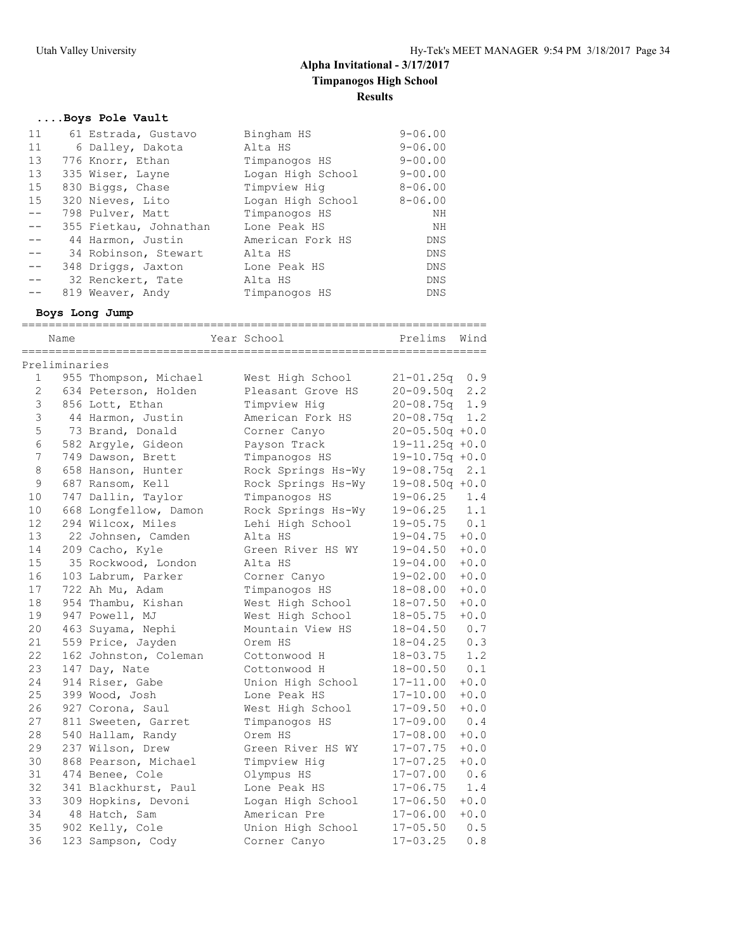## **....Boys Pole Vault**

| 11    | 61 Estrada, Gustavo    | Bingham HS        | $9 - 06.00$ |
|-------|------------------------|-------------------|-------------|
| 11    | 6 Dalley, Dakota       | Alta HS           | $9 - 06.00$ |
| 13    | 776 Knorr, Ethan       | Timpanogos HS     | $9 - 00.00$ |
| 13    | 335 Wiser, Layne       | Logan High School | $9 - 00.00$ |
| 15    | 830 Biggs, Chase       | Timpview Hig      | $8 - 06.00$ |
| 15    | 320 Nieves, Lito       | Logan High School | $8 - 06.00$ |
| $- -$ | 798 Pulver, Matt       | Timpanogos HS     | ΝH          |
| $- -$ | 355 Fietkau, Johnathan | Lone Peak HS      | NH          |
| $- -$ | 44 Harmon, Justin      | American Fork HS  | DNS         |
|       | 34 Robinson, Stewart   | Alta HS           | <b>DNS</b>  |
| $- -$ | 348 Driggs, Jaxton     | Lone Peak HS      | <b>DNS</b>  |
|       | 32 Renckert, Tate      | Alta HS           | <b>DNS</b>  |
|       | 819 Weaver, Andy       | Timpanogos HS     | <b>DNS</b>  |

### **Boys Long Jump**

|              | Name          |                       | Year School        | -------------<br>Prelims | Wind   |
|--------------|---------------|-----------------------|--------------------|--------------------------|--------|
|              | Preliminaries |                       |                    |                          |        |
| 1            |               | 955 Thompson, Michael | West High School   | $21 - 01.25q$            | 0.9    |
| $\mathbf{2}$ |               | 634 Peterson, Holden  | Pleasant Grove HS  | $20 - 09.50q$ 2.2        |        |
| $\mathsf 3$  |               | 856 Lott, Ethan       | Timpview Hig       | $20 - 08.75q$            | 1.9    |
| 3            |               | 44 Harmon, Justin     | American Fork HS   | $20 - 08.75q$ 1.2        |        |
| 5            |               | 73 Brand, Donald      | Corner Canyo       | $20 - 05.50q + 0.0$      |        |
| 6            |               | 582 Argyle, Gideon    | Payson Track       | $19 - 11.25q + 0.0$      |        |
| 7            |               | 749 Dawson, Brett     | Timpanogos HS      | $19 - 10.75q + 0.0$      |        |
| 8            |               | 658 Hanson, Hunter    | Rock Springs Hs-Wy | $19 - 08.75q$ 2.1        |        |
| $\mathsf 9$  |               | 687 Ransom, Kell      | Rock Springs Hs-Wy | $19 - 08.50q + 0.0$      |        |
| 10           |               | 747 Dallin, Taylor    | Timpanogos HS      | 19-06.25                 | 1.4    |
| 10           |               | 668 Longfellow, Damon | Rock Springs Hs-Wy | $19 - 06.25$             | 1.1    |
| 12           |               | 294 Wilcox, Miles     | Lehi High School   | $19 - 05.75$             | 0.1    |
| 13           |               | 22 Johnsen, Camden    | Alta HS            | 19-04.75                 | $+0.0$ |
| 14           |               | 209 Cacho, Kyle       | Green River HS WY  | 19-04.50                 | $+0.0$ |
| 15           |               | 35 Rockwood, London   | Alta HS            | 19-04.00                 | $+0.0$ |
| 16           |               | 103 Labrum, Parker    | Corner Canyo       | 19-02.00                 | $+0.0$ |
| 17           |               | 722 Ah Mu, Adam       | Timpanogos HS      | 18-08.00                 | $+0.0$ |
| 18           |               | 954 Thambu, Kishan    | West High School   | $18 - 07.50$             | $+0.0$ |
| 19           |               | 947 Powell, MJ        | West High School   | $18 - 05.75$             | $+0.0$ |
| 20           |               | 463 Suyama, Nephi     | Mountain View HS   | $18 - 04.50$             | 0.7    |
| 21           |               | 559 Price, Jayden     | Orem HS            | 18-04.25                 | 0.3    |
| 22           |               | 162 Johnston, Coleman | Cottonwood H       | 18-03.75                 | 1.2    |
| 23           |               | 147 Day, Nate         | Cottonwood H       | 18-00.50                 | 0.1    |
| 24           |               | 914 Riser, Gabe       | Union High School  | 17-11.00                 | $+0.0$ |
| 25           |               | 399 Wood, Josh        | Lone Peak HS       | 17-10.00                 | $+0.0$ |
| 26           |               | 927 Corona, Saul      | West High School   | $17 - 09.50$             | $+0.0$ |
| 27           |               | 811 Sweeten, Garret   | Timpanogos HS      | 17-09.00                 | 0.4    |
| 28           |               | 540 Hallam, Randy     | Orem HS            | $17 - 08.00$             | $+0.0$ |
| 29           |               | 237 Wilson, Drew      | Green River HS WY  | $17 - 07.75$             | $+0.0$ |
| 30           |               | 868 Pearson, Michael  | Timpview Hig       | $17 - 07.25$             | $+0.0$ |
| 31           |               | 474 Benee, Cole       | Olympus HS         | $17 - 07.00$             | 0.6    |
| 32           |               | 341 Blackhurst, Paul  | Lone Peak HS       | $17 - 06.75$             | 1.4    |
| 33           |               | 309 Hopkins, Devoni   | Logan High School  | $17 - 06.50$             | $+0.0$ |
| 34           |               | 48 Hatch, Sam         | American Pre       | $17 - 06.00$             | $+0.0$ |
| 35           |               | 902 Kelly, Cole       | Union High School  | 17-05.50                 | 0.5    |
| 36           |               | 123 Sampson, Cody     | Corner Canyo       | $17 - 03.25$             | 0.8    |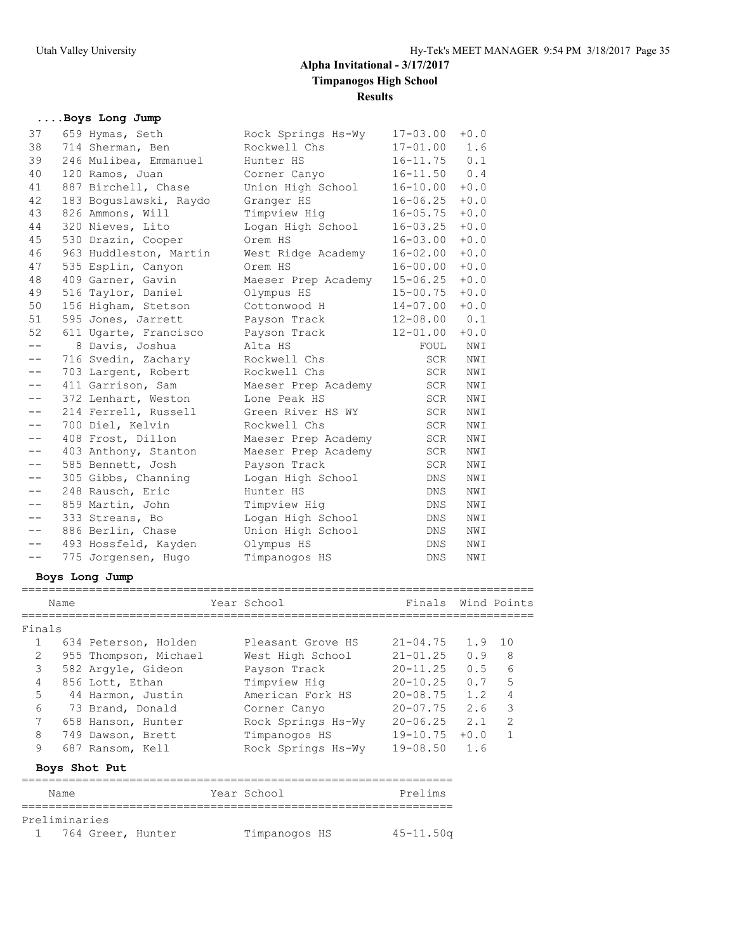## **....Boys Long Jump**

| 37    | 659 Hymas, Seth        | Rock Springs Hs-Wy  | $17 - 03.00$ | $+0.0$ |
|-------|------------------------|---------------------|--------------|--------|
| 38    | 714 Sherman, Ben       | Rockwell Chs        | $17 - 01.00$ | 1.6    |
| 39    | 246 Mulibea, Emmanuel  | Hunter HS           | $16 - 11.75$ | 0.1    |
| 40    | 120 Ramos, Juan        | Corner Canyo        | $16 - 11.50$ | 0.4    |
| 41    | 887 Birchell, Chase    | Union High School   | $16 - 10.00$ | $+0.0$ |
| 42    | 183 Boquslawski, Raydo | Granger HS          | $16 - 06.25$ | $+0.0$ |
| 43    | 826 Ammons, Will       | Timpview Hiq        | $16 - 05.75$ | $+0.0$ |
| 44    | 320 Nieves, Lito       | Logan High School   | $16 - 03.25$ | $+0.0$ |
| 45    | 530 Drazin, Cooper     | Orem HS             | $16 - 03.00$ | $+0.0$ |
| 46    | 963 Huddleston, Martin | West Ridge Academy  | $16 - 02.00$ | $+0.0$ |
| 47    | 535 Esplin, Canyon     | Orem HS             | $16 - 00.00$ | $+0.0$ |
| 48    | 409 Garner, Gavin      | Maeser Prep Academy | $15 - 06.25$ | $+0.0$ |
| 49    | 516 Taylor, Daniel     | Olympus HS          | $15 - 00.75$ | $+0.0$ |
| 50    | 156 Higham, Stetson    | Cottonwood H        | $14 - 07.00$ | $+0.0$ |
| 51    | 595 Jones, Jarrett     | Payson Track        | $12 - 08.00$ | 0.1    |
| 52    | 611 Ugarte, Francisco  | Payson Track        | $12 - 01.00$ | $+0.0$ |
| $- -$ | 8 Davis, Joshua        | Alta HS             | FOUL         | NWI    |
| $- -$ | 716 Svedin, Zachary    | Rockwell Chs        | SCR          | NWI    |
| $- -$ | 703 Largent, Robert    | Rockwell Chs        | SCR          | NWI    |
| $- -$ | 411 Garrison, Sam      | Maeser Prep Academy | <b>SCR</b>   | NWI    |
| $- -$ | 372 Lenhart, Weston    | Lone Peak HS        | SCR          | NWI    |
| $- -$ | 214 Ferrell, Russell   | Green River HS WY   | SCR          | NWI    |
| $- -$ | 700 Diel, Kelvin       | Rockwell Chs        | <b>SCR</b>   | NWI    |
| $- -$ | 408 Frost, Dillon      | Maeser Prep Academy | <b>SCR</b>   | NWI    |
| $- -$ | 403 Anthony, Stanton   | Maeser Prep Academy | SCR          | NWI    |
| $- -$ | 585 Bennett, Josh      | Payson Track        | <b>SCR</b>   | NWI    |
| $- -$ | 305 Gibbs, Channing    | Logan High School   | DNS          | NWI    |
| $- -$ | 248 Rausch, Eric       | Hunter HS           | DNS          | NWI    |
| $- -$ | 859 Martin, John       | Timpview Hig        | <b>DNS</b>   | NWI    |
|       | 333 Streans, Bo        | Logan High School   | DNS.         | NWI    |
| $- -$ | 886 Berlin, Chase      | Union High School   | <b>DNS</b>   | NWI    |
| $- -$ | 493 Hossfeld, Kayden   | Olympus HS          | <b>DNS</b>   | NWI    |
| $- -$ | 775 Jorgensen, Hugo    | Timpanogos HS       | <b>DNS</b>   | NWI    |

#### **Boys Long Jump**

| Name   |                       |  | Year School        | Finals Wind Points |         |               |  |  |  |  |
|--------|-----------------------|--|--------------------|--------------------|---------|---------------|--|--|--|--|
| Finals |                       |  |                    |                    |         |               |  |  |  |  |
|        | 634 Peterson, Holden  |  | Pleasant Grove HS  | $21 - 04.75$       | 1.9     | 10            |  |  |  |  |
| 2      | 955 Thompson, Michael |  | West High School   | $21 - 01.25$       | 0.9     | 8             |  |  |  |  |
| 3      | 582 Arqyle, Gideon    |  | Payson Track       | $20 - 11.25$       | $0.5 -$ | 6             |  |  |  |  |
| 4      | 856 Lott, Ethan       |  | Timpview Hig       | $20 - 10.25$       | 0.7     | 5             |  |  |  |  |
| 5.     | 44 Harmon, Justin     |  | American Fork HS   | $20 - 08.75$       | 1.2     | 4             |  |  |  |  |
| 6      | 73 Brand, Donald      |  | Corner Canyo       | $20 - 07.75$       | 2.6     | 3             |  |  |  |  |
| 7      | 658 Hanson, Hunter    |  | Rock Springs Hs-Wy | $20 - 06.25$       | 2.1     | $\mathcal{L}$ |  |  |  |  |
| 8      | 749 Dawson, Brett     |  | Timpanogos HS      | $19 - 10.75$       | $+0.0$  |               |  |  |  |  |
| 9      | 687 Ransom, Kell      |  | Rock Springs Hs-Wy | $19 - 08.50$       | 1.6     |               |  |  |  |  |
|        | Boys Shot Put         |  |                    |                    |         |               |  |  |  |  |

============================================================================

### ================================================================ Name Year School Prelims ================================================================ Preliminaries 1 764 Greer, Hunter Timpanogos HS 45-11.50q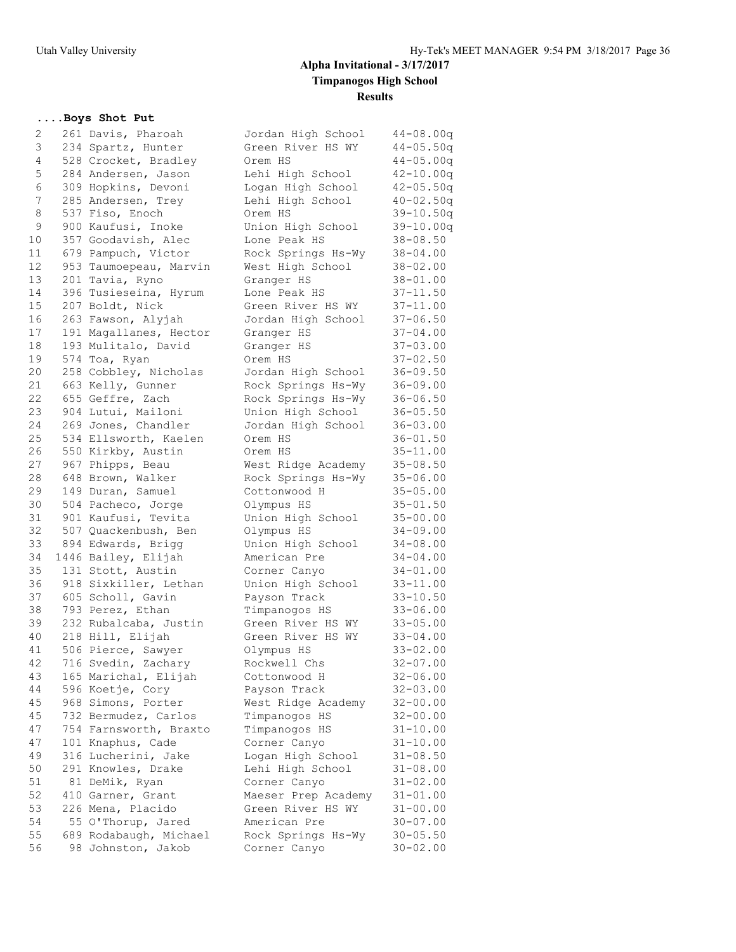### **....Boys Shot Put**

| 2  | 261 Davis, Pharoah     | Jordan High School  | $44 - 08.00q$ |
|----|------------------------|---------------------|---------------|
| 3  | 234 Spartz, Hunter     | Green River HS WY   | $44 - 05.50q$ |
| 4  | 528 Crocket, Bradley   | Orem HS             | $44 - 05.00q$ |
| 5  | 284 Andersen, Jason    | Lehi High School    | $42 - 10.00q$ |
| 6  | 309 Hopkins, Devoni    | Logan High School   | $42 - 05.50q$ |
| 7  | 285 Andersen, Trey     | Lehi High School    | $40 - 02.50q$ |
| 8  | 537 Fiso, Enoch        | Orem HS             | $39 - 10.50q$ |
| 9  | 900 Kaufusi, Inoke     | Union High School   | $39 - 10.00q$ |
| 10 | 357 Goodavish, Alec    | Lone Peak HS        | 38-08.50      |
| 11 | 679 Pampuch, Victor    | Rock Springs Hs-Wy  | $38 - 04.00$  |
| 12 | 953 Taumoepeau, Marvin | West High School    | $38 - 02.00$  |
| 13 | 201 Tavia, Ryno        | Granger HS          | $38 - 01.00$  |
| 14 | 396 Tusieseina, Hyrum  | Lone Peak HS        | $37 - 11.50$  |
| 15 | 207 Boldt, Nick        | Green River HS WY   | 37-11.00      |
| 16 | 263 Fawson, Alyjah     | Jordan High School  | $37 - 06.50$  |
| 17 | 191 Magallanes, Hector | Granger HS          | $37 - 04.00$  |
| 18 | 193 Mulitalo, David    | Granger HS          | $37 - 03.00$  |
| 19 | 574 Toa, Ryan          | Orem HS             | $37 - 02.50$  |
| 20 | 258 Cobbley, Nicholas  | Jordan High School  | $36 - 09.50$  |
| 21 | 663 Kelly, Gunner      | Rock Springs Hs-Wy  | $36 - 09.00$  |
| 22 | 655 Geffre, Zach       | Rock Springs Hs-Wy  | $36 - 06.50$  |
| 23 | 904 Lutui, Mailoni     | Union High School   | $36 - 05.50$  |
| 24 | 269 Jones, Chandler    | Jordan High School  | $36 - 03.00$  |
| 25 | 534 Ellsworth, Kaelen  | Orem HS             | $36 - 01.50$  |
| 26 | 550 Kirkby, Austin     | Orem HS             | $35 - 11.00$  |
| 27 | 967 Phipps, Beau       | West Ridge Academy  | $35 - 08.50$  |
| 28 | 648 Brown, Walker      | Rock Springs Hs-Wy  | $35 - 06.00$  |
| 29 | 149 Duran, Samuel      | Cottonwood H        | $35 - 05.00$  |
| 30 | 504 Pacheco, Jorge     | Olympus HS          | $35 - 01.50$  |
| 31 | 901 Kaufusi, Tevita    | Union High School   | $35 - 00.00$  |
| 32 | 507 Quackenbush, Ben   | Olympus HS          | $34 - 09.00$  |
| 33 | 894 Edwards, Brigg     | Union High School   | $34 - 08.00$  |
| 34 | 1446 Bailey, Elijah    | American Pre        | $34 - 04.00$  |
| 35 | 131 Stott, Austin      | Corner Canyo        | 34-01.00      |
| 36 | 918 Sixkiller, Lethan  | Union High School   | $33 - 11.00$  |
| 37 | 605 Scholl, Gavin      | Payson Track        | $33 - 10.50$  |
| 38 | 793 Perez, Ethan       | Timpanogos HS       | $33 - 06.00$  |
| 39 | 232 Rubalcaba, Justin  | Green River HS WY   | $33 - 05.00$  |
| 40 | 218 Hill, Elijah       | Green River HS WY   | $33 - 04.00$  |
| 41 | 506 Pierce, Sawyer     | Olympus HS          | $33 - 02.00$  |
| 42 | 716 Svedin, Zachary    | Rockwell Chs        | $32 - 07.00$  |
| 43 | 165 Marichal, Elijah   | Cottonwood H        | $32 - 06.00$  |
| 44 | 596 Koetje, Cory       | Payson Track        | $32 - 03.00$  |
| 45 | 968 Simons, Porter     | West Ridge Academy  | $32 - 00.00$  |
| 45 | 732 Bermudez, Carlos   | Timpanogos HS       | $32 - 00.00$  |
| 47 | 754 Farnsworth, Braxto | Timpanogos HS       | $31 - 10.00$  |
| 47 | 101 Knaphus, Cade      | Corner Canyo        | $31 - 10.00$  |
| 49 | 316 Lucherini, Jake    | Logan High School   | $31 - 08.50$  |
| 50 | 291 Knowles, Drake     | Lehi High School    | $31 - 08.00$  |
| 51 | 81 DeMik, Ryan         | Corner Canyo        | $31 - 02.00$  |
| 52 | 410 Garner, Grant      | Maeser Prep Academy | $31 - 01.00$  |
| 53 | 226 Mena, Placido      | Green River HS WY   | $31 - 00.00$  |
| 54 | 55 O'Thorup, Jared     | American Pre        | $30 - 07.00$  |
| 55 | 689 Rodabaugh, Michael | Rock Springs Hs-Wy  | $30 - 05.50$  |
| 56 | 98 Johnston, Jakob     | Corner Canyo        | $30 - 02.00$  |
|    |                        |                     |               |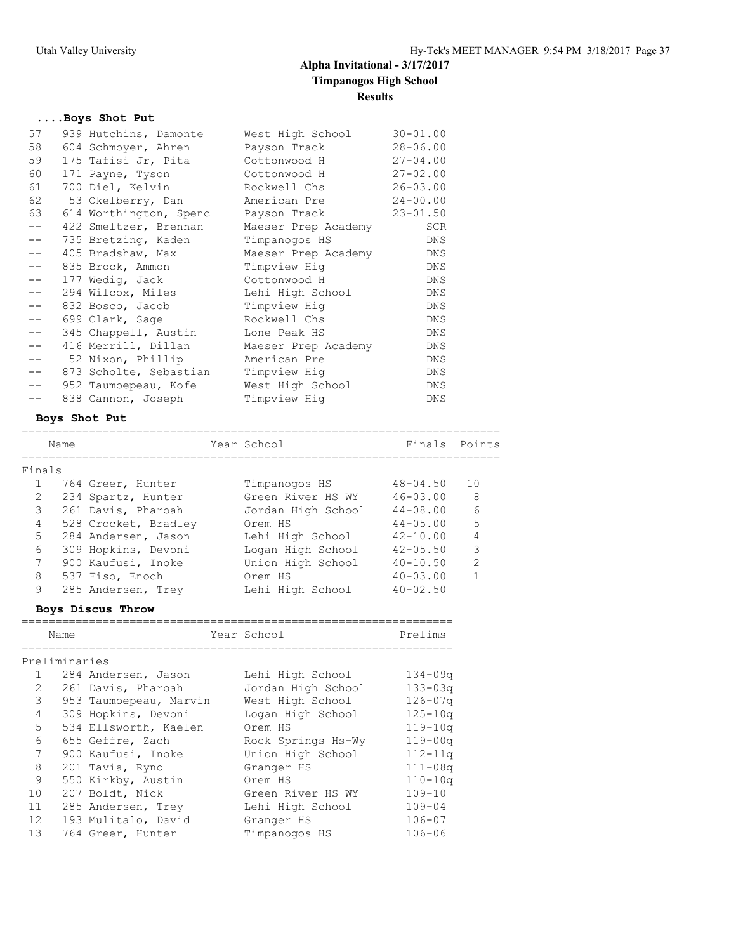## **....Boys Shot Put**

| 57    | 939 Hutchins, Damonte  | West High School    | $30 - 01.00$ |
|-------|------------------------|---------------------|--------------|
| 58    | 604 Schmoyer, Ahren    | Payson Track        | $28 - 06.00$ |
| 59    | 175 Tafisi Jr, Pita    | Cottonwood H        | $27 - 04.00$ |
| 60    | 171 Payne, Tyson       | Cottonwood H        | $27 - 02.00$ |
| 61    | 700 Diel, Kelvin       | Rockwell Chs        | $26 - 03.00$ |
| 62    | 53 Okelberry, Dan      | American Pre        | $24 - 00.00$ |
| 63    | 614 Worthington, Spenc | Payson Track        | $23 - 01.50$ |
| $- -$ | 422 Smeltzer, Brennan  | Maeser Prep Academy | SCR          |
| $- -$ | 735 Bretzing, Kaden    | Timpanogos HS       | DNS          |
| $- -$ | 405 Bradshaw, Max      | Maeser Prep Academy | DNS          |
| $- -$ | 835 Brock, Ammon       | Timpview Hig        | DNS          |
| $- -$ | 177 Wedig, Jack        | Cottonwood H        | DNS          |
| $- -$ | 294 Wilcox, Miles      | Lehi High School    | DNS          |
| $- -$ | 832 Bosco, Jacob       | Timpview Hig        | <b>DNS</b>   |
| $- -$ | 699 Clark, Sage        | Rockwell Chs        | DNS          |
| $- -$ | 345 Chappell, Austin   | Lone Peak HS        | DNS          |
| $- -$ | 416 Merrill, Dillan    | Maeser Prep Academy | DNS          |
| --    | 52 Nixon, Phillip      | American Pre        | DNS          |
| $- -$ | 873 Scholte, Sebastian | Timpview Hig        | DNS          |
| $- -$ | 952 Taumoepeau, Kofe   | West High School    | DNS          |
|       | 838 Cannon, Joseph     | Timpview Hig        | DNS          |

## **Boys Shot Put**

|                | Name |                      | Year School        | Finals       | Points        |
|----------------|------|----------------------|--------------------|--------------|---------------|
|                |      |                      |                    |              |               |
| Finals         |      |                      |                    |              |               |
|                |      | 764 Greer, Hunter    | Timpanogos HS      | $48 - 04.50$ | 10            |
| $\mathcal{L}$  |      | 234 Spartz, Hunter   | Green River HS WY  | $46 - 03.00$ | 8             |
| 3              |      | 261 Davis, Pharoah   | Jordan High School | $44 - 08.00$ | 6             |
| 4              |      | 528 Crocket, Bradley | Orem HS            | $44 - 05.00$ | 5             |
| 5.             |      | 284 Andersen, Jason  | Lehi High School   | $42 - 10.00$ |               |
| 6              |      | 309 Hopkins, Devoni  | Logan High School  | $42 - 05.50$ | 3             |
| $\overline{7}$ |      | 900 Kaufusi, Inoke   | Union High School  | $40 - 10.50$ | $\mathcal{P}$ |
| 8              |      | 537 Fiso, Enoch      | Orem HS            | $40 - 03.00$ |               |
| 9              |      | 285 Andersen, Trey   | Lehi High School   | $40 - 02.50$ |               |

### **Boys Discus Throw**

|              | Name          |                        | Year School        | Prelims     |
|--------------|---------------|------------------------|--------------------|-------------|
|              | Preliminaries |                        |                    |             |
|              | $1 \quad$     | 284 Andersen, Jason    | Lehi High School   | $134 - 09q$ |
| 2            |               | 261 Davis, Pharoah     | Jordan High School | $133 - 03q$ |
| 3            |               | 953 Taumoepeau, Marvin | West High School   | $126 - 07q$ |
| 4            |               | 309 Hopkins, Devoni    | Logan High School  | $125 - 10q$ |
| 5            |               | 534 Ellsworth, Kaelen  | Orem HS            | $119 - 10q$ |
| 6            |               | 655 Geffre, Zach       | Rock Springs Hs-Wy | $119 - 00q$ |
| 7            |               | 900 Kaufusi, Inoke     | Union High School  | $112 - 11q$ |
| 8            |               | 201 Tavia, Ryno        | Granger HS         | $111 - 08q$ |
| $\mathsf{Q}$ |               | 550 Kirkby, Austin     | Orem HS            | $110 - 10q$ |
| 10           |               | 207 Boldt, Nick        | Green River HS WY  | $109 - 10$  |
| 11           |               | 285 Andersen, Trey     | Lehi High School   | $109 - 04$  |
| 12           |               | 193 Mulitalo, David    | Granger HS         | $106 - 07$  |
| 13           |               | 764 Greer, Hunter      | Timpanogos HS      | $106 - 06$  |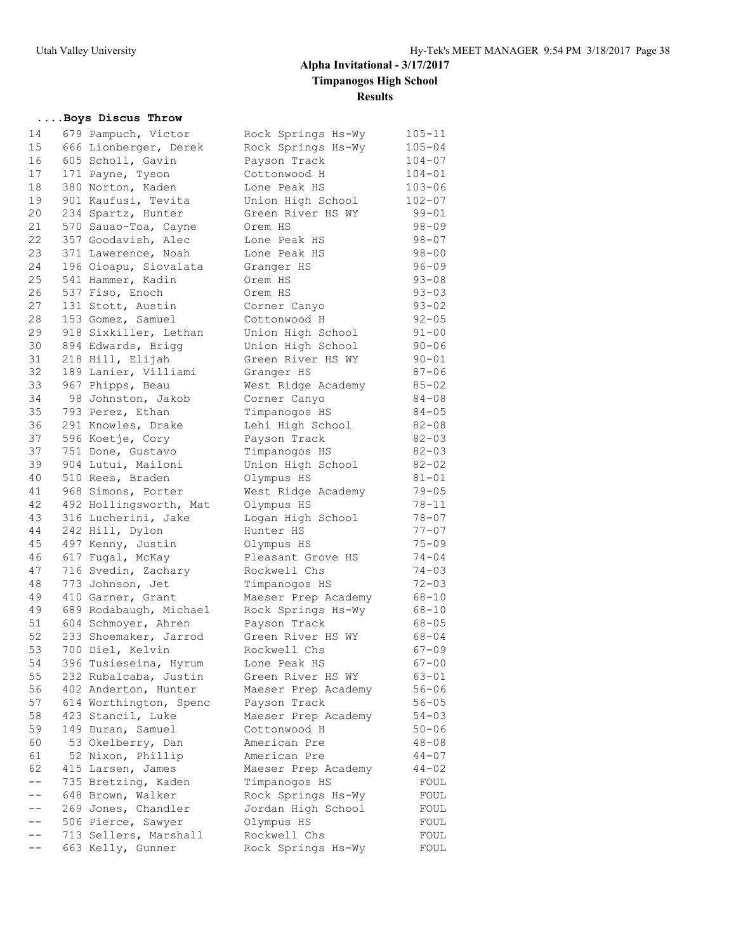## **....Boys Discus Throw**

| 14 | 679 Pampuch, Victor    | Rock Springs Hs-Wy  | $105 - 11$ |
|----|------------------------|---------------------|------------|
| 15 | 666 Lionberger, Derek  | Rock Springs Hs-Wy  | $105 - 04$ |
| 16 | 605 Scholl, Gavin      | Payson Track        | $104 - 07$ |
| 17 | 171 Payne, Tyson       | Cottonwood H        | $104 - 01$ |
| 18 | 380 Norton, Kaden      | Lone Peak HS        | $103 - 06$ |
| 19 | 901 Kaufusi, Tevita    | Union High School   | $102 - 07$ |
| 20 | 234 Spartz, Hunter     | Green River HS WY   | $99 - 01$  |
| 21 | 570 Sauao-Toa, Cayne   | Orem HS             | $98 - 09$  |
| 22 | 357 Goodavish, Alec    | Lone Peak HS        | 98-07      |
| 23 | 371 Lawerence, Noah    | Lone Peak HS        | $98 - 00$  |
| 24 | 196 Oioapu, Siovalata  | Granger HS          | $96 - 09$  |
| 25 | 541 Hammer, Kadin      | Orem HS             | $93 - 08$  |
| 26 | 537 Fiso, Enoch        | Orem HS             | $93 - 03$  |
| 27 | 131 Stott, Austin      | Corner Canyo        | $93 - 02$  |
| 28 | 153 Gomez, Samuel      | Cottonwood H        | $92 - 05$  |
| 29 | 918 Sixkiller, Lethan  | Union High School   | $91 - 00$  |
| 30 | 894 Edwards, Brigg     | Union High School   | $90 - 06$  |
| 31 | 218 Hill, Elijah       | Green River HS WY   | $90 - 01$  |
| 32 | 189 Lanier, Villiami   | Granger HS          | $87 - 06$  |
| 33 | 967 Phipps, Beau       | West Ridge Academy  | $85 - 02$  |
| 34 | 98 Johnston, Jakob     | Corner Canyo        | 84-08      |
| 35 | 793 Perez, Ethan       | Timpanogos HS       | $84 - 05$  |
| 36 | 291 Knowles, Drake     | Lehi High School    | $82 - 08$  |
| 37 | 596 Koetje, Cory       | Payson Track        | $82 - 03$  |
| 37 | 751 Done, Gustavo      | Timpanogos HS       | $82 - 03$  |
| 39 | 904 Lutui, Mailoni     | Union High School   | $82 - 02$  |
| 40 | 510 Rees, Braden       | Olympus HS          | $81 - 01$  |
| 41 | 968 Simons, Porter     | West Ridge Academy  | $79 - 05$  |
| 42 | 492 Hollingsworth, Mat | Olympus HS          | 78-11      |
| 43 | 316 Lucherini, Jake    | Logan High School   | $78 - 07$  |
| 44 | 242 Hill, Dylon        | Hunter HS           | $77 - 07$  |
| 45 | 497 Kenny, Justin      | Olympus HS          | $75 - 09$  |
| 46 | 617 Fugal, McKay       | Pleasant Grove HS   | $74 - 04$  |
| 47 | 716 Svedin, Zachary    | Rockwell Chs        | $74 - 03$  |
| 48 | 773 Johnson, Jet       | Timpanogos HS       | $72 - 03$  |
| 49 | 410 Garner, Grant      | Maeser Prep Academy | $68 - 10$  |
| 49 | 689 Rodabaugh, Michael | Rock Springs Hs-Wy  | $68 - 10$  |
| 51 | 604 Schmoyer, Ahren    | Payson Track        | $68 - 05$  |
| 52 | 233 Shoemaker, Jarrod  | Green River HS WY   | $68 - 04$  |
| 53 | 700 Diel, Kelvin       | Rockwell Chs        | $67 - 09$  |
| 54 | 396 Tusieseina, Hyrum  | Lone Peak HS        | $67 - 00$  |
| 55 | 232 Rubalcaba, Justin  | Green River HS WY   | 63-01      |
| 56 | 402 Anderton, Hunter   | Maeser Prep Academy | $56 - 06$  |
| 57 | 614 Worthington, Spenc | Payson Track        | 56-05      |
| 58 | 423 Stancil, Luke      | Maeser Prep Academy | $54 - 03$  |
| 59 | 149 Duran, Samuel      | Cottonwood H        | $50 - 06$  |
| 60 | 53 Okelberry, Dan      | American Pre        | $48 - 08$  |
| 61 | 52 Nixon, Phillip      | American Pre        | $44 - 07$  |
| 62 | 415 Larsen, James      | Maeser Prep Academy | $44 - 02$  |
|    | 735 Bretzing, Kaden    | Timpanogos HS       | FOUL       |
|    | 648 Brown, Walker      | Rock Springs Hs-Wy  | FOUL       |
|    | 269 Jones, Chandler    | Jordan High School  | FOUL       |
|    | 506 Pierce, Sawyer     | Olympus HS          | FOUL       |
|    | 713 Sellers, Marshall  | Rockwell Chs        | FOUL       |
| -- | 663 Kelly, Gunner      | Rock Springs Hs-Wy  | FOUL       |
|    |                        |                     |            |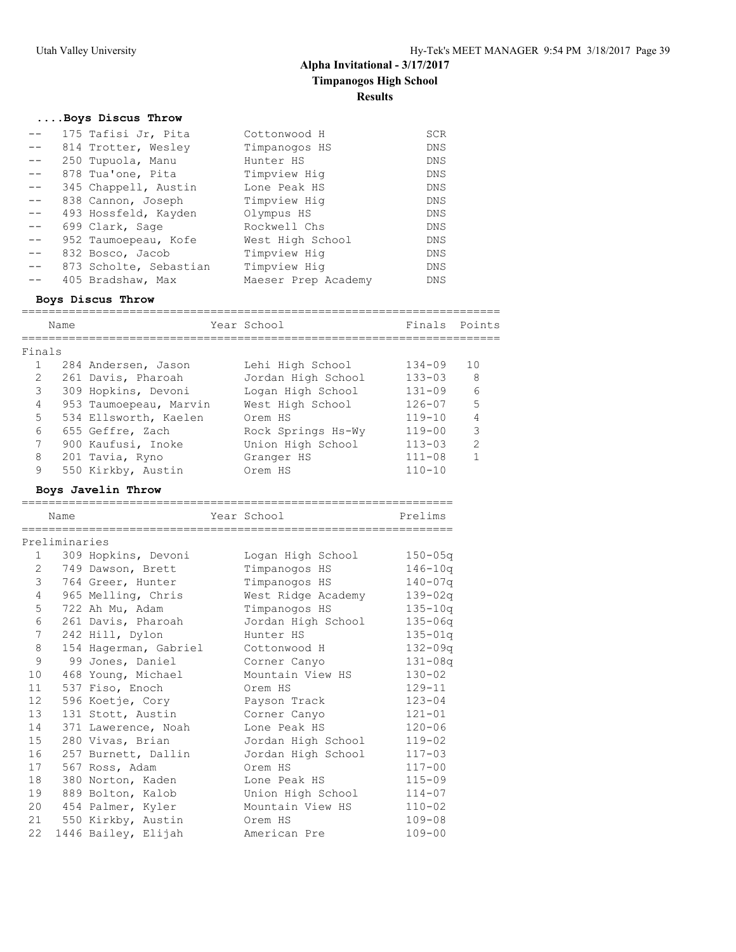## **....Boys Discus Throw**

|       | 175 Tafisi Jr, Pita    | Cottonwood H        | <b>SCR</b> |
|-------|------------------------|---------------------|------------|
|       | 814 Trotter, Wesley    | Timpanogos HS       | <b>DNS</b> |
|       | 250 Tupuola, Manu      | Hunter HS           | DNS        |
|       | 878 Tua'one, Pita      | Timpview Hig        | <b>DNS</b> |
| $--$  | 345 Chappell, Austin   | Lone Peak HS        | <b>DNS</b> |
| $---$ | 838 Cannon, Joseph     | Timpview Hig        | <b>DNS</b> |
| $- -$ | 493 Hossfeld, Kayden   | Olympus HS          | DNS        |
| $- -$ | 699 Clark, Sage        | Rockwell Chs        | DNS        |
|       | 952 Taumoepeau, Kofe   | West High School    | DNS        |
| $- -$ | 832 Bosco, Jacob       | Timpview Hig        | <b>DNS</b> |
|       | 873 Scholte, Sebastian | Timpview Hig        | DNS        |
|       | 405 Bradshaw, Max      | Maeser Prep Academy | <b>DNS</b> |
|       |                        |                     |            |

### **Boys Discus Throw**

| Finals Points<br>Year School<br>Name<br>Finals<br>10<br>$134 - 09$<br>284 Andersen, Jason<br>Lehi High School<br>$\mathfrak{L}$<br>8<br>$133 - 03$<br>261 Davis, Pharoah<br>Jordan High School<br>$\epsilon$<br>3<br>Logan High School<br>$131 - 09$<br>309 Hopkins, Devoni<br>5<br>4<br>953 Taumoepeau, Marvin<br>West High School<br>$126 - 07$<br>$5^{\circ}$<br>534 Ellsworth, Kaelen<br>$119 - 10$<br>Orem HS<br>3<br>6<br>$119 - 00$<br>Rock Springs Hs-Wy<br>655 Geffre, Zach<br>7<br>$\mathcal{L}$<br>Union High School<br>900 Kaufusi, Inoke<br>$113 - 03$<br>8<br>201 Tavia, Ryno<br>$111 - 08$<br>Granger HS<br>9<br>550 Kirkby, Austin<br>$110 - 10$<br>Orem HS |  |  |  |  |
|-----------------------------------------------------------------------------------------------------------------------------------------------------------------------------------------------------------------------------------------------------------------------------------------------------------------------------------------------------------------------------------------------------------------------------------------------------------------------------------------------------------------------------------------------------------------------------------------------------------------------------------------------------------------------------|--|--|--|--|
|                                                                                                                                                                                                                                                                                                                                                                                                                                                                                                                                                                                                                                                                             |  |  |  |  |
|                                                                                                                                                                                                                                                                                                                                                                                                                                                                                                                                                                                                                                                                             |  |  |  |  |
|                                                                                                                                                                                                                                                                                                                                                                                                                                                                                                                                                                                                                                                                             |  |  |  |  |
|                                                                                                                                                                                                                                                                                                                                                                                                                                                                                                                                                                                                                                                                             |  |  |  |  |
|                                                                                                                                                                                                                                                                                                                                                                                                                                                                                                                                                                                                                                                                             |  |  |  |  |
|                                                                                                                                                                                                                                                                                                                                                                                                                                                                                                                                                                                                                                                                             |  |  |  |  |
|                                                                                                                                                                                                                                                                                                                                                                                                                                                                                                                                                                                                                                                                             |  |  |  |  |
|                                                                                                                                                                                                                                                                                                                                                                                                                                                                                                                                                                                                                                                                             |  |  |  |  |
|                                                                                                                                                                                                                                                                                                                                                                                                                                                                                                                                                                                                                                                                             |  |  |  |  |
|                                                                                                                                                                                                                                                                                                                                                                                                                                                                                                                                                                                                                                                                             |  |  |  |  |
|                                                                                                                                                                                                                                                                                                                                                                                                                                                                                                                                                                                                                                                                             |  |  |  |  |

================================================================

## **Boys Javelin Throw**

|                 | Name          |                       | Year School        | Prelims     |
|-----------------|---------------|-----------------------|--------------------|-------------|
|                 | Preliminaries |                       |                    |             |
| $\mathbf{1}$    |               | 309 Hopkins, Devoni   | Logan High School  | $150 - 05q$ |
| 2               |               | 749 Dawson, Brett     | Timpanogos HS      | $146 - 10q$ |
| 3               |               | 764 Greer, Hunter     | Timpanogos HS      | $140 - 07q$ |
| 4               |               | 965 Melling, Chris    | West Ridge Academy | $139 - 02q$ |
| 5               |               | 722 Ah Mu, Adam       | Timpanogos HS      | $135 - 10q$ |
| 6               |               | 261 Davis, Pharoah    | Jordan High School | $135 - 06q$ |
| $7\phantom{.0}$ |               | 242 Hill, Dylon       | Hunter HS          | $135 - 01q$ |
| 8               |               | 154 Hagerman, Gabriel | Cottonwood H       | $132 - 09q$ |
| 9               |               | 99 Jones, Daniel      | Corner Canyo       | $131 - 08q$ |
| 10              |               | 468 Young, Michael    | Mountain View HS   | $130 - 02$  |
| 11              |               | 537 Fiso, Enoch       | Orem HS            | $129 - 11$  |
| 12 <sup>°</sup> |               | 596 Koetje, Cory      | Payson Track       | $123 - 04$  |
| 13              |               | 131 Stott, Austin     | Corner Canyo       | $121 - 01$  |
| 14              |               | 371 Lawerence, Noah   | Lone Peak HS       | $120 - 06$  |
| 15              |               | 280 Vivas, Brian      | Jordan High School | $119 - 02$  |
| 16              |               | 257 Burnett, Dallin   | Jordan High School | $117 - 03$  |
| 17              |               | 567 Ross, Adam        | Orem HS            | $117 - 00$  |
| 18              |               | 380 Norton, Kaden     | Lone Peak HS       | $115 - 09$  |
| 19              |               | 889 Bolton, Kalob     | Union High School  | $114 - 07$  |
| 20              |               | 454 Palmer, Kyler     | Mountain View HS   | $110 - 02$  |
| 21              |               | 550 Kirkby, Austin    | Orem HS            | $109 - 08$  |
| 22              |               | 1446 Bailey, Elijah   | American Pre       | $109 - 00$  |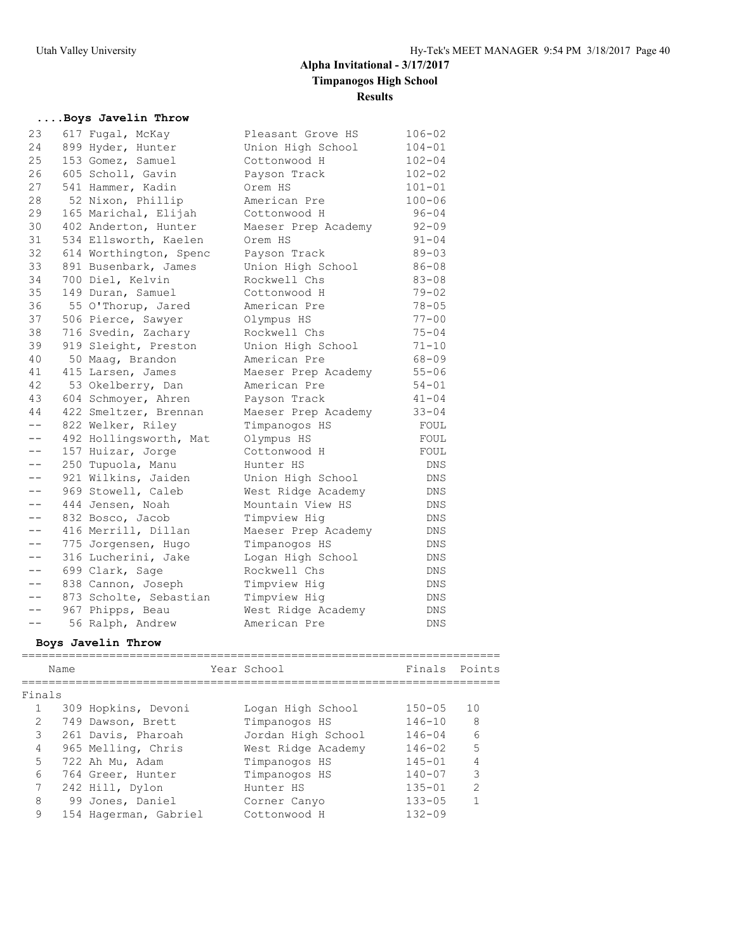## **....Boys Javelin Throw**

| 23    | 617 Fugal, McKay       | Pleasant Grove HS   | $106 - 02$ |
|-------|------------------------|---------------------|------------|
| 24    | 899 Hyder, Hunter      | Union High School   | $104 - 01$ |
| 25    | 153 Gomez, Samuel      | Cottonwood H        | $102 - 04$ |
| 26    | 605 Scholl, Gavin      | Payson Track        | $102 - 02$ |
| 27    | 541 Hammer, Kadin      | Orem HS             | $101 - 01$ |
| 28    | 52 Nixon, Phillip      | American Pre        | $100 - 06$ |
| 29    | 165 Marichal, Elijah   | Cottonwood H        | $96 - 04$  |
| 30    | 402 Anderton, Hunter   | Maeser Prep Academy | $92 - 09$  |
| 31    | 534 Ellsworth, Kaelen  | Orem HS             | $91 - 04$  |
| 32    | 614 Worthington, Spenc | Payson Track        | $89 - 03$  |
| 33    | 891 Busenbark, James   | Union High School   | $86 - 08$  |
| 34    | 700 Diel, Kelvin       | Rockwell Chs        | $83 - 08$  |
| 35    | 149 Duran, Samuel      | Cottonwood H        | $79 - 02$  |
| 36    | 55 O'Thorup, Jared     | American Pre        | $78 - 05$  |
| 37    | 506 Pierce, Sawyer     | Olympus HS          | $77 - 00$  |
| 38    | 716 Svedin, Zachary    | Rockwell Chs        | $75 - 04$  |
| 39    | 919 Sleight, Preston   | Union High School   | $71 - 10$  |
| 40    | 50 Maag, Brandon       | American Pre        | $68 - 09$  |
| 41    | 415 Larsen, James      | Maeser Prep Academy | $55 - 06$  |
| 42    | 53 Okelberry, Dan      | American Pre        | $54 - 01$  |
| 43    | 604 Schmoyer, Ahren    | Payson Track        | $41 - 04$  |
| 44    | 422 Smeltzer, Brennan  | Maeser Prep Academy | $33 - 04$  |
| $- -$ | 822 Welker, Riley      | Timpanogos HS       | FOUL       |
| $- -$ | 492 Hollingsworth, Mat | Olympus HS          | FOUL       |
| $- -$ | 157 Huizar, Jorge      | Cottonwood H        | FOUL       |
| $- -$ | 250 Tupuola, Manu      | Hunter HS           | DNS.       |
| $- -$ | 921 Wilkins, Jaiden    | Union High School   | DNS.       |
| $- -$ | 969 Stowell, Caleb     | West Ridge Academy  | DNS        |
| $- -$ | 444 Jensen, Noah       | Mountain View HS    | DNS        |
| $- -$ | 832 Bosco, Jacob       | Timpview Hig        | DNS        |
| $- -$ | 416 Merrill, Dillan    | Maeser Prep Academy | <b>DNS</b> |
| $- -$ | 775 Jorgensen, Hugo    | Timpanogos HS       | DNS.       |
| $- -$ | 316 Lucherini, Jake    | Logan High School   | <b>DNS</b> |
| $- -$ | 699 Clark, Sage        | Rockwell Chs        | <b>DNS</b> |
| $- -$ | 838 Cannon, Joseph     | Timpview Hig        | <b>DNS</b> |
| $- -$ | 873 Scholte, Sebastian | Timpview Hig        | DNS        |
| $- -$ | 967 Phipps, Beau       | West Ridge Academy  | DNS        |
| $- -$ | 56 Ralph, Andrew       | American Pre        | DNS        |
|       |                        |                     |            |

## **Boys Javelin Throw**

|               | Name |                       | Year School        | Finals Points |                |
|---------------|------|-----------------------|--------------------|---------------|----------------|
| Finals        |      |                       |                    |               |                |
|               |      | 309 Hopkins, Devoni   | Logan High School  | $150 - 05$    | 10             |
| $\mathcal{L}$ |      | 749 Dawson, Brett     | Timpanogos HS      | $146 - 10$    | 8              |
| 3             |      | 261 Davis, Pharoah    | Jordan High School | $146 - 04$    | 6              |
| 4             |      | 965 Melling, Chris    | West Ridge Academy | $146 - 02$    | 5              |
| 5             |      | 722 Ah Mu, Adam       | Timpanogos HS      | $145 - 01$    | 4              |
| 6             |      | 764 Greer, Hunter     | Timpanogos HS      | $140 - 07$    | 3              |
|               |      | 242 Hill, Dylon       | Hunter HS          | $135 - 01$    | $\mathfrak{D}$ |
| 8             |      | 99 Jones, Daniel      | Corner Canyo       | $133 - 05$    |                |
| 9             |      | 154 Hagerman, Gabriel | Cottonwood H       | $132 - 09$    |                |
|               |      |                       |                    |               |                |